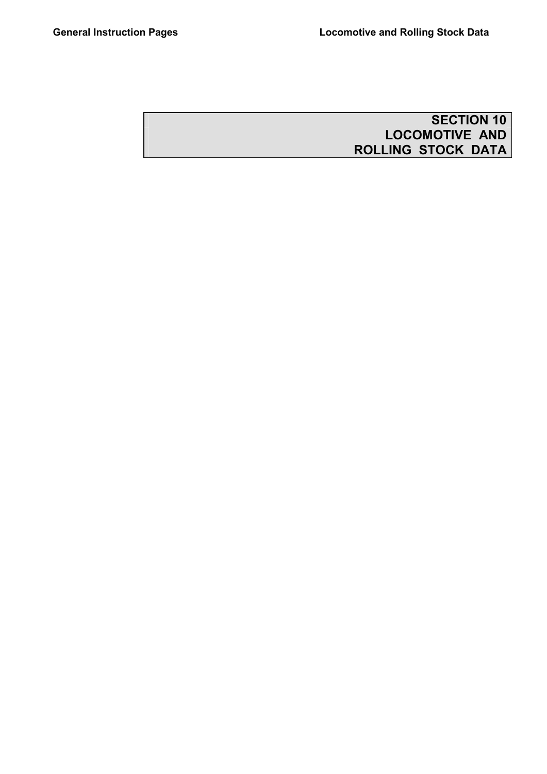# **SECTION 10 LOCOMOTIVE AND ROLLING STOCK DATA**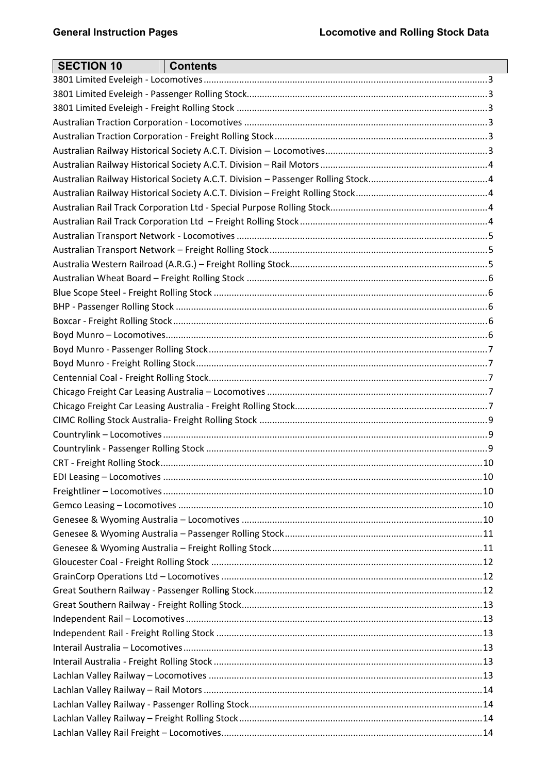| <b>SECTION 10</b> | <b>Contents</b> |  |
|-------------------|-----------------|--|
|                   |                 |  |
|                   |                 |  |
|                   |                 |  |
|                   |                 |  |
|                   |                 |  |
|                   |                 |  |
|                   |                 |  |
|                   |                 |  |
|                   |                 |  |
|                   |                 |  |
|                   |                 |  |
|                   |                 |  |
|                   |                 |  |
|                   |                 |  |
|                   |                 |  |
|                   |                 |  |
|                   |                 |  |
|                   |                 |  |
|                   |                 |  |
|                   |                 |  |
|                   |                 |  |
|                   |                 |  |
|                   |                 |  |
|                   |                 |  |
|                   |                 |  |
|                   |                 |  |
|                   |                 |  |
|                   |                 |  |
|                   |                 |  |
|                   |                 |  |
|                   |                 |  |
|                   |                 |  |
|                   |                 |  |
|                   |                 |  |
|                   |                 |  |
|                   |                 |  |
|                   |                 |  |
|                   |                 |  |
|                   |                 |  |
|                   |                 |  |
|                   |                 |  |
|                   |                 |  |
|                   |                 |  |
|                   |                 |  |
|                   |                 |  |
|                   |                 |  |
|                   |                 |  |
|                   |                 |  |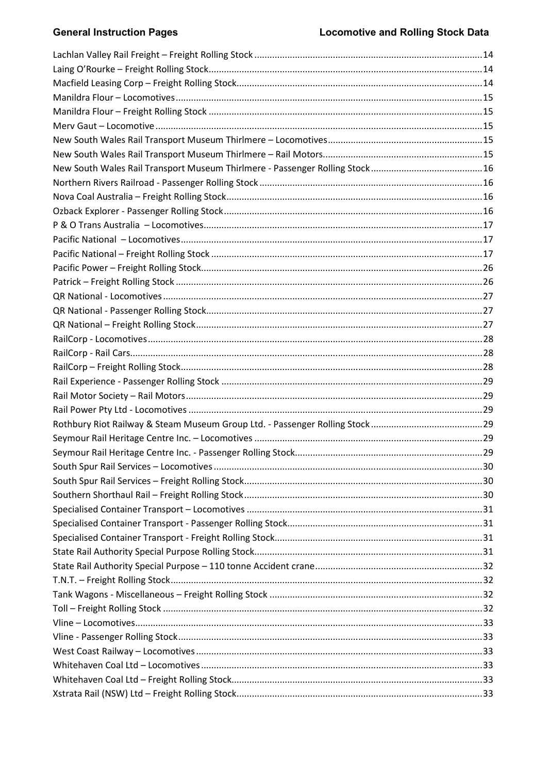# **General Instruction Pages**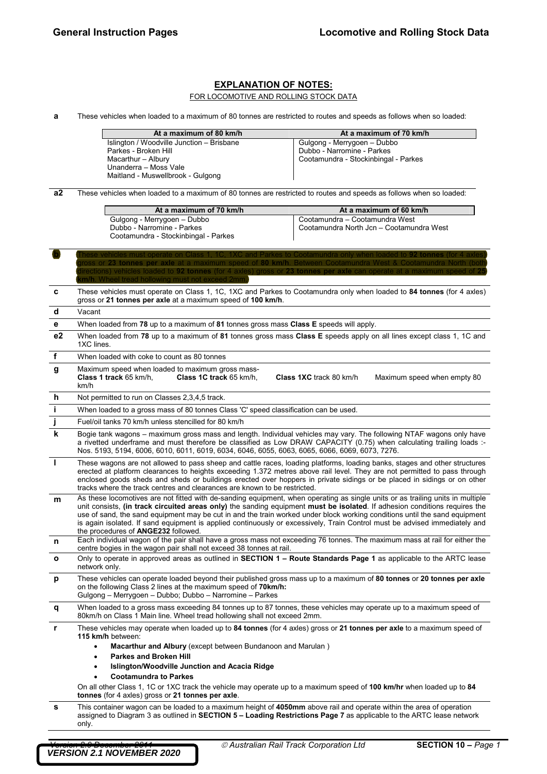### **EXPLANATION OF NOTES:**

FOR LOCOMOTIVE AND ROLLING STOCK DATA

**a** These vehicles when loaded to a maximum of 80 tonnes are restricted to routes and speeds as follows when so loaded:

| At a maximum of 80 km/h                   | At a maximum of 70 km/h              |
|-------------------------------------------|--------------------------------------|
| Islington / Woodville Junction - Brisbane | Gulgong - Merrygoen - Dubbo          |
| Parkes - Broken Hill                      | Dubbo - Narromine - Parkes           |
| Macarthur - Albury                        | Cootamundra - Stockinbingal - Parkes |
| Unanderra - Moss Vale                     |                                      |
| Maitland - Muswellbrook - Gulgong         |                                      |

**a2** These vehicles when loaded to a maximum of 80 tonnes are restricted to routes and speeds as follows when so loaded:

**b These vehicles must operate on Class 1, 1C, 1XC and Parkes to Cootamundra only when loaded to 92 tonnes (for 4 axles)** 

| At a maximum of 70 km/h                                                                           | At a maximum of 60 km/h                                                    |
|---------------------------------------------------------------------------------------------------|----------------------------------------------------------------------------|
| Gulgong - Merrygoen - Dubbo<br>Dubbo - Narromine - Parkes<br>Cootamundra - Stockinbingal - Parkes | Cootamundra - Cootamundra West<br>Cootamundra North Jcn - Cootamundra West |

|    | ross or 23 tonnes per axie at a maximum speed of 80 km/h. Between<br>irections) vehicles loaded to 92 tonnes (for 4 axles)<br><b>1</b> Wheel tread hollowing must not exceed                                                                                                                                                                                                                                                                                                                                                                                    |
|----|-----------------------------------------------------------------------------------------------------------------------------------------------------------------------------------------------------------------------------------------------------------------------------------------------------------------------------------------------------------------------------------------------------------------------------------------------------------------------------------------------------------------------------------------------------------------|
| c  | These vehicles must operate on Class 1, 1C, 1XC and Parkes to Cootamundra only when loaded to 84 tonnes (for 4 axles)<br>gross or 21 tonnes per axle at a maximum speed of 100 km/h.                                                                                                                                                                                                                                                                                                                                                                            |
| d  | Vacant                                                                                                                                                                                                                                                                                                                                                                                                                                                                                                                                                          |
| е  | When loaded from 78 up to a maximum of 81 tonnes gross mass Class E speeds will apply.                                                                                                                                                                                                                                                                                                                                                                                                                                                                          |
| e2 | When loaded from 78 up to a maximum of 81 tonnes gross mass Class E speeds apply on all lines except class 1, 1C and<br>1XC lines.                                                                                                                                                                                                                                                                                                                                                                                                                              |
| f  | When loaded with coke to count as 80 tonnes                                                                                                                                                                                                                                                                                                                                                                                                                                                                                                                     |
| g  | Maximum speed when loaded to maximum gross mass-<br>Class 1 track 65 km/h.<br>Class 1C track 65 km/h,<br>Class 1XC track 80 km/h<br>Maximum speed when empty 80<br>km/h                                                                                                                                                                                                                                                                                                                                                                                         |
| h  | Not permitted to run on Classes 2,3,4,5 track.                                                                                                                                                                                                                                                                                                                                                                                                                                                                                                                  |
| i. | When loaded to a gross mass of 80 tonnes Class 'C' speed classification can be used.                                                                                                                                                                                                                                                                                                                                                                                                                                                                            |
|    | Fuel/oil tanks 70 km/h unless stencilled for 80 km/h                                                                                                                                                                                                                                                                                                                                                                                                                                                                                                            |
| k  | Bogie tank wagons – maximum gross mass and length. Individual vehicles may vary. The following NTAF wagons only have<br>a rivetted underframe and must therefore be classified as Low DRAW CAPACITY (0.75) when calculating trailing loads :-<br>Nos. 5193, 5194, 6006, 6010, 6011, 6019, 6034, 6046, 6055, 6063, 6065, 6066, 6069, 6073, 7276.                                                                                                                                                                                                                 |
| L  | These wagons are not allowed to pass sheep and cattle races, loading platforms, loading banks, stages and other structures<br>erected at platform clearances to heights exceeding 1.372 metres above rail level. They are not permitted to pass through<br>enclosed goods sheds and sheds or buildings erected over hoppers in private sidings or be placed in sidings or on other<br>tracks where the track centres and clearances are known to be restricted.                                                                                                 |
| m  | As these locomotives are not fitted with de-sanding equipment, when operating as single units or as trailing units in multiple<br>unit consists, (in track circuited areas only) the sanding equipment must be isolated. If adhesion conditions requires the<br>use of sand, the sand equipment may be cut in and the train worked under block working conditions until the sand equipment<br>is again isolated. If sand equipment is applied continuously or excessively, Train Control must be advised immediately and<br>the procedures of ANGE232 followed. |
| n  | Each individual wagon of the pair shall have a gross mass not exceeding 76 tonnes. The maximum mass at rail for either the<br>centre bogies in the wagon pair shall not exceed 38 tonnes at rail.                                                                                                                                                                                                                                                                                                                                                               |
| O  | Only to operate in approved areas as outlined in <b>SECTION 1 – Route Standards Page 1</b> as applicable to the ARTC lease<br>network only.                                                                                                                                                                                                                                                                                                                                                                                                                     |
| p  | These vehicles can operate loaded beyond their published gross mass up to a maximum of 80 tonnes or 20 tonnes per axle<br>on the following Class 2 lines at the maximum speed of 70km/h:<br>Gulgong – Merrygoen – Dubbo; Dubbo – Narromine – Parkes                                                                                                                                                                                                                                                                                                             |
| q  | When loaded to a gross mass exceeding 84 tonnes up to 87 tonnes, these vehicles may operate up to a maximum speed of<br>80km/h on Class 1 Main line. Wheel tread hollowing shall not exceed 2mm.                                                                                                                                                                                                                                                                                                                                                                |
| r  | These vehicles may operate when loaded up to 84 tonnes (for 4 axles) gross or 21 tonnes per axle to a maximum speed of<br>115 km/h between:<br>Macarthur and Albury (except between Bundanoon and Marulan)<br>$\bullet$<br><b>Parkes and Broken Hill</b><br>$\bullet$<br>Islington/Woodville Junction and Acacia Ridge<br>$\bullet$<br><b>Cootamundra to Parkes</b><br>On all other Class 1, 1C or 1XC track the vehicle may operate up to a maximum speed of 100 km/hr when loaded up to 84<br>tonnes (for 4 axles) gross or 21 tonnes per axle.               |
| s  | This container wagon can be loaded to a maximum height of 4050mm above rail and operate within the area of operation<br>assigned to Diagram 3 as outlined in SECTION 5 – Loading Restrictions Page 7 as applicable to the ARTC lease network<br>only.                                                                                                                                                                                                                                                                                                           |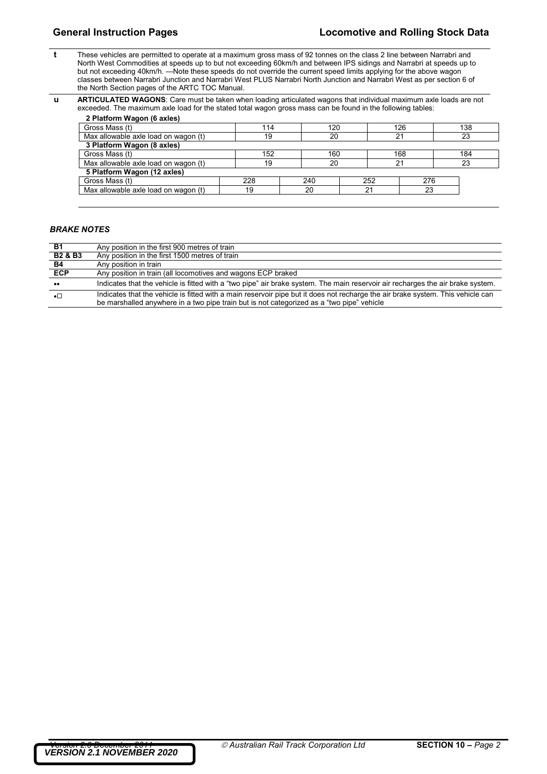- **t** These vehicles are permitted to operate at a maximum gross mass of 92 tonnes on the class 2 line between Narrabri and North West Commodities at speeds up to but not exceeding 60km/h and between IPS sidings and Narrabri at speeds up to but not exceeding 40km/h. —Note these speeds do not override the current speed limits applying for the above wagon classes between Narrabri Junction and Narrabri West PLUS Narrabri North Junction and Narrabri West as per section 6 of the North Section pages of the ARTC TOC Manual.
- **u ARTICULATED WAGONS**: Care must be taken when loading articulated wagons that individual maximum axle loads are not exceeded. The maximum axle load for the stated total wagon gross mass can be found in the following tables:

| 2 Platform Wagon (6 axles)           |     |     |     |     |     |
|--------------------------------------|-----|-----|-----|-----|-----|
| Gross Mass (t)                       | 114 | 120 |     | 126 | 138 |
| Max allowable axle load on wagon (t) | 19  | 20  |     |     | 23  |
| 3 Platform Wagon (8 axles)           |     |     |     |     |     |
| Gross Mass (t)                       | 152 | 160 |     | 168 | 184 |
| Max allowable axle load on wagon (t) | 19  | 20  |     | 2.  | 23  |
| 5 Platform Wagon (12 axles)          |     |     |     |     |     |
| Gross Mass (t)                       | 228 | 240 | 252 | 276 |     |
| Max allowable axle load on wagon (t) | 19  | 20  | 21  | 23  |     |
|                                      |     |     |     |     |     |

### *BRAKE NOTES*

 $\mathsf{l}$ 

| <b>B1</b>          | Any position in the first 900 metres of train                                                                                                                                                                                |
|--------------------|------------------------------------------------------------------------------------------------------------------------------------------------------------------------------------------------------------------------------|
| <b>B2 &amp; B3</b> | Any position in the first 1500 metres of train                                                                                                                                                                               |
| <b>B4</b>          | Any position in train                                                                                                                                                                                                        |
| <b>ECP</b>         | Any position in train (all locomotives and wagons ECP braked                                                                                                                                                                 |
| $\bullet\bullet$   | Indicates that the vehicle is fitted with a "two pipe" air brake system. The main reservoir air recharges the air brake system.                                                                                              |
| $\bullet$          | Indicates that the vehicle is fitted with a main reservoir pipe but it does not recharge the air brake system. This vehicle can<br>be marshalled anywhere in a two pipe train but is not categorized as a "two pipe" vehicle |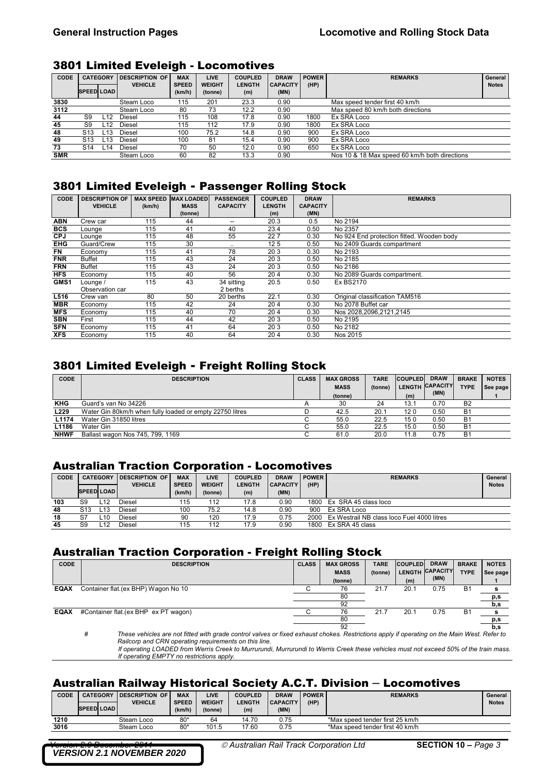### 3801 Limited Eveleigh - Locomotives

| <b>CODE</b> | <b>CATEGORY</b>   |     | DESCRIPTION OF | <b>MAX</b>   | <b>LIVE</b>   | <b>COUPLED</b> | <b>DRAW</b>     | <b>POWER</b> | <b>REMARKS</b>                                | General      |
|-------------|-------------------|-----|----------------|--------------|---------------|----------------|-----------------|--------------|-----------------------------------------------|--------------|
|             |                   |     | <b>VEHICLE</b> | <b>SPEED</b> | <b>WEIGHT</b> | <b>LENGTH</b>  | <b>CAPACITY</b> | (HP)         |                                               | <b>Notes</b> |
|             | <b>SPEED LOAD</b> |     |                | (km/h)       | (tonne)       | (m)            | (MN)            |              |                                               |              |
| 3830        |                   |     | Steam Loco     | 115          | 201           | 23.3           | 0.90            |              | Max speed tender first 40 km/h                |              |
| 3112        |                   |     | Steam Loco     | 80           | 73            | 12.2           | 0.90            |              | Max speed 80 km/h both directions             |              |
| 44          | S9                | L12 | Diesel         | 115          | 108           | 17.8           | 0.90            | 1800         | Ex SRA Loco                                   |              |
| 45          | S9                | L12 | Diesel         | 115          | 112           | 17.9           | 0.90            | 1800         | Ex SRA Loco                                   |              |
| 48          | S <sub>13</sub>   | L13 | Diesel         | 100          | 75.2          | 14.8           | 0.90            | 900          | Ex SRA Loco                                   |              |
| 49          | S <sub>13</sub>   | L13 | Diesel         | 100          | 81            | 15.4           | 0.90            | 900          | Ex SRA Loco                                   |              |
| 73          | S <sub>14</sub>   | L14 | Diesel         | 70           | 50            | 12.0           | 0.90            | 650          | Ex SRA Loco                                   |              |
| <b>SMR</b>  |                   |     | Steam Loco     | 60           | 82            | 13.3           | 0.90            |              | Nos 10 & 18 Max speed 60 km/h both directions |              |

### 3801 Limited Eveleigh - Passenger Rolling Stock

| <b>CODE</b>      | <b>DESCRIPTION OF</b> | <b>MAX SPEED</b> | <b>MAX LOADED</b> | <b>PASSENGER</b> | <b>COUPLED</b>  | <b>DRAW</b>     | <b>REMARKS</b>                            |
|------------------|-----------------------|------------------|-------------------|------------------|-----------------|-----------------|-------------------------------------------|
|                  | <b>VEHICLE</b>        | (km/h)           | <b>MASS</b>       | <b>CAPACITY</b>  | <b>LENGTH</b>   | <b>CAPACITY</b> |                                           |
|                  |                       |                  | (tonne)           |                  | (m)             | (MN)            |                                           |
| <b>ABN</b>       | Crew car              | 115              | 44                | --               | 20.3            | 0.5             | No 2194                                   |
| <b>BCS</b>       | Lounge                | 115              | 41                | 40               | 23.4            | 0.50            | No 2357                                   |
| <b>CPJ</b>       | Lounge                | 115              | 48                | 55               | 227             | 0.30            | No 924 End protection fitted. Wooden body |
| <b>EHG</b>       | Guard/Crew            | 115              | 30                |                  | 12 <sub>5</sub> | 0.50            | No 2409 Guards compartment                |
| <b>FN</b>        | Economy               | 115              | 41                | 78               | 203             | 0.30            | No 2193                                   |
| <b>FNR</b>       | Buffet                | 115              | 43                | 24               | 203             | 0.50            | No 2185                                   |
| <b>FRN</b>       | <b>Buffet</b>         | 115              | 43                | 24               | 20 3            | 0.50            | No 2186                                   |
| <b>HFS</b>       | Economy               | 115              | 40                | 56               | 204             | 0.30            | No 2089 Guards compartment.               |
| GMS <sub>1</sub> | Lounge /              | 115              | 43                | 34 sitting       | 20.5            | 0.50            | Ex BS2170                                 |
|                  | Observation car       |                  |                   | 2 berths         |                 |                 |                                           |
| L516             | Crew van              | 80               | 50                | 20 berths        | 22.1            | 0.30            | Original classification TAM516            |
| <b>MBR</b>       | Economy               | 115              | 42                | 24               | 204             | 0.30            | No 2078 Buffet car                        |
| <b>MFS</b>       | Economy               | 115              | 40                | 70               | 204             | 0.30            | Nos 2028.2096.2121.2145                   |
| <b>SBN</b>       | First                 | 115              | 44                | 42               | 20 3            | 0.50            | No 2195                                   |
| <b>SFN</b>       | Economy               | 115              | 41                | 64               | 203             | 0.50            | No 2182                                   |
| <b>XFS</b>       | Economy               | 115              | 40                | 64               | 204             | 0.30            | Nos 2015                                  |

### 3801 Limited Eveleigh - Freight Rolling Stock

| <b>CODE</b> | <b>DESCRIPTION</b>                                       | <b>CLASS</b> | <b>MAX GROSS</b> | <b>TARE</b> | <b>COUPLED</b> | <b>DRAW</b>     | <b>BRAKE</b>   | <b>NOTES</b> |
|-------------|----------------------------------------------------------|--------------|------------------|-------------|----------------|-----------------|----------------|--------------|
|             |                                                          |              | <b>MASS</b>      | (tonne)     |                | LENGTH CAPACITY | <b>TYPE</b>    | See page     |
|             |                                                          |              | (tonne)          |             | (m)            | (MN)            |                |              |
| <b>KHG</b>  | Guard's van No 34226                                     |              | 30               | 24          | 13.1           | 0.70            | <b>B2</b>      |              |
| L229        | Water Gin 80km/h when fully loaded or empty 22750 litres |              | 42.5             | 20.1        | 120            | 0.50            | B <sub>1</sub> |              |
| L1174       | Water Gin 31850 litres                                   |              | 55.0             | 22.5        | 150            | 0.50            | <b>B1</b>      |              |
| L1186       | Water Gin                                                |              | 55.0             | 22.5        | 15.0           | 0.50            | B <sub>1</sub> |              |
| <b>NHWF</b> | Ballast wagon Nos 745, 799, 1169                         |              | 61.0             | 20.0        | 11.8           | 0.75            | B <sub>1</sub> |              |

### Australian Traction Corporation - Locomotives

| CODE |                   | <b>CATEGORY</b> | <b>DESCRIPTION OF</b><br><b>VEHICLE</b> | <b>MAX</b><br><b>SPEED</b> | <b>LIVE</b><br><b>WEIGHT</b> | <b>COUPLED</b><br><b>LENGTH</b> | <b>DRAW</b><br><b>CAPACITY</b> | <b>POWER</b><br>(HP) | <b>REMARKS</b>                             | General<br><b>Notes</b> |
|------|-------------------|-----------------|-----------------------------------------|----------------------------|------------------------------|---------------------------------|--------------------------------|----------------------|--------------------------------------------|-------------------------|
|      | <b>SPEED LOAD</b> |                 |                                         | (km/h)                     | (tonne)                      | (m)                             | (MN)                           |                      |                                            |                         |
| 103  | S9                | L12             | Diesel                                  | 115                        | 112                          | 17.8                            | 0.90                           | 1800                 | Ex SRA 45 class loco                       |                         |
| 48   | S13               | -13             | Diesel                                  | 100                        | 75.2                         | 14.8                            | 0.90                           | 90C                  | Ex SRA Loco                                |                         |
| 18   | S7                | 10۔             | Diesel                                  | 90                         | 120                          | 17.9                            | 0.75                           | 2000                 | Ex Westrail NB class loco Fuel 4000 litres |                         |
| 45   | S9                | -12             | Diesel                                  | 115                        | 112                          | 17.9                            | 0.90                           | 1800                 | Ex SRA 45 class                            |                         |

### Australian Traction Corporation - Freight Rolling Stock

| <b>CODE</b> | <b>DESCRIPTION</b>                   | <b>CLASS</b> | <b>MAX GROSS</b><br><b>MASS</b><br>(tonne) | <b>TARE</b><br>(tonne) | <b>COUPLED</b><br>(m) | <b>DRAW</b><br>LENGTH CAPACITY<br>(MN) | <b>BRAKE</b><br><b>TYPE</b> | <b>NOTES</b><br>See page |
|-------------|--------------------------------------|--------------|--------------------------------------------|------------------------|-----------------------|----------------------------------------|-----------------------------|--------------------------|
| <b>EQAX</b> | Container flat.(ex BHP) Wagon No 10  |              | 76                                         | 21.7                   | 20.1                  | 0.75                                   | <b>B1</b>                   | s                        |
|             |                                      |              | 80                                         |                        |                       |                                        |                             | p,s                      |
|             |                                      |              | 92                                         |                        |                       |                                        |                             | b,s                      |
| <b>EQAX</b> | #Container flat.(ex BHP ex PT wagon) |              | 76                                         | 21.7                   | 20.1                  | 0.75                                   | B1                          | s                        |
|             |                                      |              | 80                                         |                        |                       |                                        |                             | p,s                      |
|             | .<br>$-$<br>$\cdots$                 | .            | 92<br>_ _ _ _                              |                        | .                     |                                        | .                           | b,s                      |

*# These vehicles are not fitted with grade control valves or fixed exhaust chokes. Restrictions apply if operating on the Main West. Refer to Railcorp and CRN operating requirements on this line.* 

 *If operating LOADED from Werris Creek to Murrurundi, Murrurundi to Werris Creek these vehicles must not exceed 50% of the train mass. If operating EMPTY no restrictions apply.* 

### Australian Railway Historical Society A.C.T. Division – Locomotives

| CODE | <b>CATEGORY</b><br><b>I DESCRIPTION OF</b> |            | <b>MAX</b>   | <b>LIVE</b>   | <b>COUPLED</b> | <b>DRAW</b>     | <b>POWER</b> | <b>REMARKS</b>                  | General      |
|------|--------------------------------------------|------------|--------------|---------------|----------------|-----------------|--------------|---------------------------------|--------------|
|      | <b>VEHICLE</b>                             |            | <b>SPEED</b> | <b>WEIGHT</b> | <b>LENGTH</b>  | <b>CAPACITY</b> | (HP)         |                                 | <b>Notes</b> |
|      | <b>SPEED LOAD</b>                          |            | (km/h)       | (tonne)       | (m)            | (MN)            |              |                                 |              |
| 1210 |                                            | Steam Loco | $80*$        | 64            | 14.70          | 0.75            |              | *Max speed tender first 25 km/h |              |
| 3016 |                                            | Steam Loco | $80*$        | 101.5         | 17.60          | 0.75            |              | *Max speed tender first 40 km/h |              |
|      |                                            |            |              |               |                |                 |              |                                 |              |

*VERSION 2.1 NOVEMBER 2020*

 $\oslash$  *Australian Rail Track Corporation Ltd* **SECTION 10 –** *Page 3*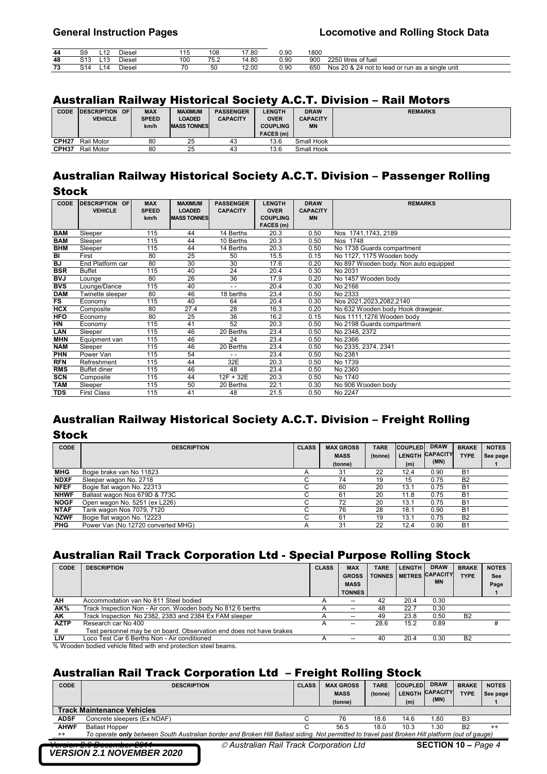| 44            | ັ | $\overline{a}$<br>$\overline{ }$ | Diese | 14 E<br>. | 108  | 17 RN<br>7.OU   | 0.90 | 1800 |                                                 |
|---------------|---|----------------------------------|-------|-----------|------|-----------------|------|------|-------------------------------------------------|
| 48            |   | <u>"</u><br>د، ا                 | Diese | 100       | 75.2 | 14.80           | 0.90 | 900  | 2250 litres of fuel                             |
| $\sim$<br>1 v |   | 14                               | Diese | 70        | 50   | 12. UU<br>LZ.UU | 0.90 | 650  | Nos 20 & 24 not to lead or run as a single unit |

### Australian Railway Historical Society A.C.T. Division – Rail Motors

| <b>CODE</b>       | <b>IDESCRIPTION</b> | <b>OF</b> | <b>MAX</b>   | <b>MAXIMUM</b>     | <b>PASSENGER</b> | <b>LENGTH</b>    | <b>DRAW</b>     | <b>REMARKS</b> |
|-------------------|---------------------|-----------|--------------|--------------------|------------------|------------------|-----------------|----------------|
|                   | <b>VEHICLE</b>      |           | <b>SPEED</b> | LOADED             | <b>CAPACITY</b>  | <b>OVER</b>      | <b>CAPACITY</b> |                |
|                   |                     |           | km/h         | <b>MASS TONNES</b> |                  | <b>COUPLING</b>  | <b>MN</b>       |                |
|                   |                     |           |              |                    |                  | <b>FACES</b> (m) |                 |                |
| CPH <sub>27</sub> | Rail Motor          |           | 80           | 25                 | 43               | 13.6             | Small Hook      |                |
| CPH37             | Rail Motor          |           | 80           | 25                 | 43               | 13.6             | Small Hook      |                |

# Australian Railway Historical Society A.C.T. Division – Passenger Rolling Stock

| <b>CODE</b> | <b>DESCRIPTION OF</b> | <b>MAX</b>   | <b>MAXIMUM</b>     | <b>PASSENGER</b> | <b>LENGTH</b>   | <b>DRAW</b>     | <b>REMARKS</b>                        |
|-------------|-----------------------|--------------|--------------------|------------------|-----------------|-----------------|---------------------------------------|
|             | <b>VEHICLE</b>        | <b>SPEED</b> | <b>LOADED</b>      | <b>CAPACITY</b>  | <b>OVER</b>     | <b>CAPACITY</b> |                                       |
|             |                       | km/h         | <b>MASS TONNES</b> |                  | <b>COUPLING</b> | <b>MN</b>       |                                       |
|             |                       |              |                    |                  | FACES (m)       |                 |                                       |
| <b>BAM</b>  | Sleeper               | 115          | 44                 | 14 Berths        | 20.3            | 0.50            | Nos 1741, 1743, 2189                  |
| <b>BAM</b>  | Sleeper               | 115          | 44                 | 10 Berths        | 20.3            | 0.50            | Nos 1748                              |
| <b>BHM</b>  | Sleeper               | 115          | 44                 | 14 Berths        | 20.3            | 0.50            | No 1738 Guards compartment            |
| BI          | First                 | 80           | 25                 | 50               | 15.5            | 0.15            | No 1127, 1175 Wooden body             |
| BJ          | End Platform car      | 80           | 30                 | 30               | 17.6            | 0.20            | No 897 Wooden body. Non auto equipped |
| <b>BSR</b>  | <b>Buffet</b>         | 115          | 40                 | $\overline{24}$  | 20.4            | 0.30            | No 2031                               |
| <b>BVJ</b>  | Lounge                | 80           | 26                 | 36               | 17.9            | 0.20            | No 1457 Wooden body                   |
| <b>BVS</b>  | Lounge/Dance          | 115          | 40                 | $\sim$ $\sim$    | 20.4            | 0.30            | No 2166                               |
| <b>DAM</b>  | Twinette sleeper      | 80           | 46                 | 18 berths        | 23.4            | 0.50            | No 2333                               |
| <b>FS</b>   | Economy               | 115          | 40                 | 64               | 20.4            | 0.30            | Nos 2021,2023,2082,2140               |
| HCX         | Composite             | 80           | 27.4               | 28               | 16.3            | 0.20            | No 632 Wooden body Hook drawgear.     |
| <b>HFO</b>  | Economy               | 80           | 25                 | 36               | 16.2            | 0.15            | Nos 1111,1276 Wooden body             |
| <b>HN</b>   | Economy               | 115          | 41                 | 52               | 20.3            | 0.50            | No 2198 Guards compartment            |
| LAN         | Sleeper               | 115          | 46                 | 20 Berths        | 23.4            | 0.50            | No 2348, 2372                         |
| <b>MHN</b>  | Equipment van         | 115          | 46                 | 24               | 23.4            | 0.50            | No 2366                               |
| <b>NAM</b>  | Sleeper               | 115          | 46                 | 20 Berths        | 23.4            | 0.50            | No 2335, 2374, 2341                   |
| <b>PHN</b>  | Power Van             | 115          | 54                 | $ -$             | 23.4            | 0.50            | No 2381                               |
| <b>RFN</b>  | Refreshment           | 115          | 44                 | 32E              | 20.3            | 0.50            | No 1739                               |
| <b>RMS</b>  | <b>Buffet diner</b>   | 115          | 46                 | 48               | 23.4            | 0.50            | No 2360                               |
| <b>SCN</b>  | Composite             | 115          | 44                 | 12F + 32E        | 20.3            | 0.50            | No 1740                               |
| <b>TAM</b>  | Sleeper               | 115          | 50                 | 20 Berths        | 22.1            | 0.30            | No 906 Wooden body                    |
| <b>TDS</b>  | <b>First Class</b>    | 115          | 41                 | 48               | 21.5            | 0.50            | No 2247                               |

# Australian Railway Historical Society A.C.T. Division – Freight Rolling **Stock**

| CODE        | <b>DESCRIPTION</b>                 | <b>CLASS</b> | <b>MAX GROSS</b><br><b>MASS</b><br>(tonne) | <b>TARE</b><br>(tonne) | <b>COUPLED</b><br><b>LENGTH</b><br>(m) | <b>DRAW</b><br><b>CAPACITY</b><br>(MN) | <b>BRAKE</b><br><b>TYPE</b> | <b>NOTES</b><br>See page |
|-------------|------------------------------------|--------------|--------------------------------------------|------------------------|----------------------------------------|----------------------------------------|-----------------------------|--------------------------|
| <b>MHG</b>  | Bogie brake van No 11823           |              | 31                                         | 22                     | 12.4                                   | 0.90                                   | <b>B1</b>                   |                          |
| <b>NDXF</b> | Sleeper wagon No. 2718             |              | 74                                         | 19                     | 15                                     | 0.75                                   | B <sub>2</sub>              |                          |
| <b>NFEF</b> | Bogie flat wagon No. 22313         |              | 60                                         | 20                     | 13.1                                   | 0.75                                   | <b>B1</b>                   |                          |
| <b>NHWF</b> | Ballast wagon Nos 679D & 773C      |              | 61                                         | 20                     | 11.8                                   | 0.75                                   | <b>B1</b>                   |                          |
| <b>NOGF</b> | Open wagon No. 5251 (ex L226)      |              | 72                                         | 20                     | 13.1                                   | 0.75                                   | B1                          |                          |
| <b>NTAF</b> | Tank wagon Nos 7079, 7120          |              | 76                                         | 28                     | 18.1                                   | 0.90                                   | <b>B1</b>                   |                          |
| <b>NZWF</b> | Bogie flat wagon No. 12223         |              | 61                                         | 19                     | 13.1                                   | 0.75                                   | B <sub>2</sub>              |                          |
| <b>PHG</b>  | Power Van (No 12720 converted MHG) |              | 31                                         | 22                     | 12.4                                   | 0.90                                   | <b>B1</b>                   |                          |

# Australian Rail Track Corporation Ltd - Special Purpose Rolling Stock

| <b>CODE</b> | <b>DESCRIPTION</b>                                                   | <b>CLASS</b>   | <b>MAX</b>               | <b>TARE</b>   | <b>LENGTH</b> | <b>DRAW</b>     | <b>BRAKE</b>   | <b>NOTES</b> |
|-------------|----------------------------------------------------------------------|----------------|--------------------------|---------------|---------------|-----------------|----------------|--------------|
|             |                                                                      |                | <b>GROSS</b>             | <b>TONNES</b> | <b>METRES</b> | <b>CAPACITY</b> | <b>TYPE</b>    | See          |
|             |                                                                      |                | <b>MASS</b>              |               |               | <b>MN</b>       |                | Page         |
|             |                                                                      |                | <b>TONNES</b>            |               |               |                 |                |              |
| <b>AH</b>   | Accommodation van No 811 Steel bodied                                | А              | $\overline{\phantom{a}}$ | 42            | 20.4          | 0.30            |                |              |
| AK%         | Track Inspection Non - Air con. Wooden body No 812 6 berths          | А              | $- -$                    | 48            | 22.7          | 0.30            |                |              |
| <b>AK</b>   | Track Inspection No 2382, 2383 and 2384 Ex FAM sleeper               | $\overline{A}$ | $\hspace{0.05cm}$        | 49            | 23.8          | 0.50            | B <sub>2</sub> |              |
| <b>AZTP</b> | Research car No 400                                                  | A              | $-$                      | 28.6          | 15.2          | 0.89            |                |              |
| #           | Test personnel may be on board. Observation end does not have brakes |                |                          |               |               |                 |                |              |
| <b>LIV</b>  | Loco Test Car 6 Berths Non - Air conditioned                         | A              | $-$                      | 40            | 20.4          | 0.30            | B <sub>2</sub> |              |
|             | 0/ 18/saden hadiad vabiale fitted with and protection steel hoome    |                |                          |               |               |                 |                |              |

% Wooden bodied vehicle fitted with end protection steel beams.

# Australian Rail Track Corporation Ltd – Freight Rolling Stock

| CODE        | <b>DESCRIPTION</b>                                                                                                                                                               | <b>CLASS</b> | <b>MAX GROSS</b> | <b>TARE</b> | <b>COUPLED</b> | <b>DRAW</b><br><b>CAPACITY</b> | <b>BRAKE</b> | <b>NOTES</b> |  |  |
|-------------|----------------------------------------------------------------------------------------------------------------------------------------------------------------------------------|--------------|------------------|-------------|----------------|--------------------------------|--------------|--------------|--|--|
|             |                                                                                                                                                                                  |              | <b>MASS</b>      | (tonne)     | <b>LENGTH</b>  | (MN)                           | <b>TYPE</b>  | See page     |  |  |
|             |                                                                                                                                                                                  |              | (tonne)          |             | (m)            |                                |              |              |  |  |
|             | <b>Track Maintenance Vehicles</b>                                                                                                                                                |              |                  |             |                |                                |              |              |  |  |
| <b>ADSF</b> | Concrete sleepers (Ex NDAF)                                                                                                                                                      |              | 76               | 18.6        | 14.6           | 1.80                           | B3           |              |  |  |
| <b>AHWF</b> | <b>Ballast Hopper</b>                                                                                                                                                            |              | 56.5             | 18.0        | 10.3           | 1.30                           | B2           | $^{++}$      |  |  |
| $^{++}$     | To operate only between South Australian border and Broken Hill Ballast siding. Not permitted to travel past Broken Hill platform (out of gauge)                                 |              |                  |             |                |                                |              |              |  |  |
|             | $\sim$ $\sim$ $\sim$<br>0.011<br><b>SECTION 10 – Page 4</b><br>© Australian Rail Track Corporation Ltd<br><del>90000 6.9 Pttonnee 69 H</del><br><b>VERSION 2.1 NOVEMBER 2020</b> |              |                  |             |                |                                |              |              |  |  |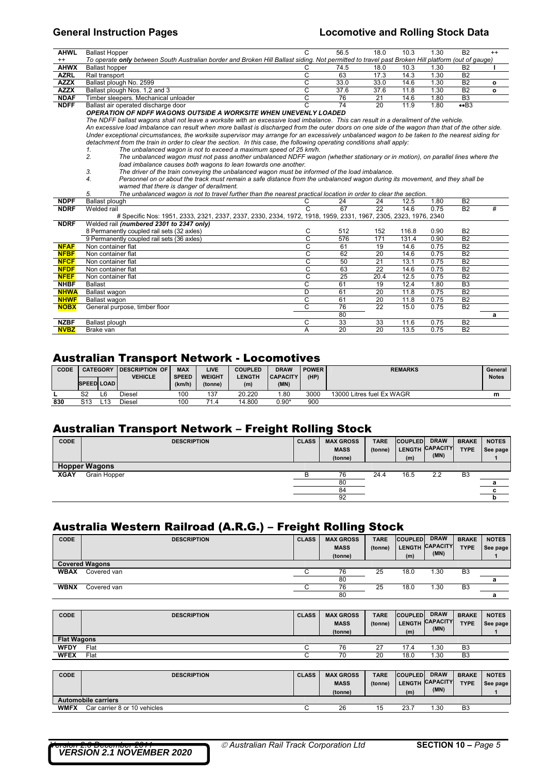### **General Instruction Pages Locomotive and Rolling Stock Data**

| <b>AHWL</b> | <b>Ballast Hopper</b>                                                                                                                             |  | 56.5 | 18.0 | 10.3 | .30  | <b>B2</b>      | $^{++}$      |  |  |  |
|-------------|---------------------------------------------------------------------------------------------------------------------------------------------------|--|------|------|------|------|----------------|--------------|--|--|--|
| $^{++}$     | To operate only between South Australian border and Broken Hill Ballast siding. Not permitted to travel past Broken Hill platform (out of gauge)  |  |      |      |      |      |                |              |  |  |  |
| <b>AHWX</b> | <b>Ballast hopper</b>                                                                                                                             |  | 74.5 | 18.0 | 10.3 | . 30 | <b>B2</b>      |              |  |  |  |
| <b>AZRL</b> | Rail transport                                                                                                                                    |  | 63   | 17.3 | 14.3 | 1.30 | <b>B2</b>      |              |  |  |  |
| <b>AZZX</b> | Ballast plough No. 2599                                                                                                                           |  | 33.0 | 33.0 | 14.6 | 1.30 | <b>B2</b>      | $\circ$      |  |  |  |
| <b>AZZX</b> | Ballast plough Nos. 1.2 and 3                                                                                                                     |  | 37.6 | 37.6 | 11.8 | 1.30 | <b>B2</b>      | $\mathbf{o}$ |  |  |  |
| <b>NDAF</b> | Timber sleepers. Mechanical unloader                                                                                                              |  | 76   | 21   | 14.6 | 1.80 | B <sub>3</sub> |              |  |  |  |
| <b>NDFF</b> | Ballast air operated discharge door                                                                                                               |  | 74   | 20   | 11.9 | 1.80 | $\bullet$ B3   |              |  |  |  |
|             | OPERATION OF NDFF WAGONS OUTSIDE A WORKSITE WHEN UNEVENLY LOADED                                                                                  |  |      |      |      |      |                |              |  |  |  |
|             | The NDFF ballast wagons shall not leave a worksite with an excessive load imbalance. This can result in a derailment of the vehicle.              |  |      |      |      |      |                |              |  |  |  |
|             | An excessive load imbalance can result when more ballast is discharged from the outer doors on one side of the wagon than that of the other side. |  |      |      |      |      |                |              |  |  |  |
|             | Under exceptional circumstances, the worksite supervisor may arrange for an excessively unbalanced wagon to be taken to the nearest siding for    |  |      |      |      |      |                |              |  |  |  |

*detachment from the train in order to clear the section. In this case, the following operating conditions shall apply:* 

*1. The unbalanced wagon is not to exceed a maximum speed of 25 km/h. 2. The unbalanced wagon must not pass another unbalanced NDFF wagon (whether stationary or in motion), on parallel lines where the load imbalance causes both wagons to lean towards one another.* 

3. The driver of the train conveying the unbalanced wagon must be informed of the load imbalance.<br>4. Personnel on or about the track must remain a safe distance from the unbalanced wagon durin *warned that there is danger of derailment.* 

*5. The unbalanced wagon is not to travel further than the nearest practical location in order to clear the section.* 

| <b>NDPF</b> | Ballast plough                                                                                                 | C  | 24  | 24   | 12.5  | 1.80 | B <sub>2</sub> |   |
|-------------|----------------------------------------------------------------------------------------------------------------|----|-----|------|-------|------|----------------|---|
| <b>NDRF</b> | Welded rail                                                                                                    |    | 67  | 22   | 14.6  | 0.75 | <b>B2</b>      | # |
|             | # Specific Nos: 1951, 2333, 2321, 2337, 2337, 2330, 2334, 1972, 1918, 1959, 2331, 1967, 2305, 2323, 1976, 2340 |    |     |      |       |      |                |   |
| <b>NDRF</b> | Welded rail (numbered 2301 to 2347 only)                                                                       |    |     |      |       |      |                |   |
|             | 8 Permanently coupled rail sets (32 axles)                                                                     | С  | 512 | 152  | 116.8 | 0.90 | <b>B2</b>      |   |
|             | 9 Permanently coupled rail sets (36 axles)                                                                     | С  | 576 | 171  | 131.4 | 0.90 | <b>B2</b>      |   |
| <b>NFAF</b> | Non container flat                                                                                             | С  | 61  | 19   | 14.6  | 0.75 | B <sub>2</sub> |   |
| <b>NFBF</b> | Non container flat                                                                                             | C  | 62  | 20   | 14.6  | 0.75 | B <sub>2</sub> |   |
| <b>NFCF</b> | Non container flat                                                                                             | С  | 50  | 21   | 13.1  | 0.75 | B <sub>2</sub> |   |
| <b>NFDF</b> | Non container flat                                                                                             | C. | 63  | 22   | 14.6  | 0.75 | <b>B2</b>      |   |
| <b>NFEF</b> | Non container flat                                                                                             | C. | 25  | 20.4 | 12.5  | 0.75 | <b>B2</b>      |   |
| <b>NHBF</b> | <b>Ballast</b>                                                                                                 | C. | 61  | 19   | 12.4  | 1.80 | B <sub>3</sub> |   |
| <b>NHWA</b> | Ballast wagon                                                                                                  | D  | 61  | 20   | 11.8  | 0.75 | B <sub>2</sub> |   |
| <b>NHWF</b> | Ballast wagon                                                                                                  | С  | 61  | 20   | 11.8  | 0.75 | <b>B2</b>      |   |
| <b>NOBX</b> | General purpose, timber floor                                                                                  | С  | 76  | 22   | 15.0  | 0.75 | <b>B2</b>      |   |
|             |                                                                                                                |    | 80  |      |       |      |                | а |
| <b>NZBF</b> | Ballast plough                                                                                                 | С  | 33  | 33   | 11.6  | 0.75 | <b>B2</b>      |   |
| <b>NVBZ</b> | Brake van                                                                                                      | A  | 20  | 20   | 13.5  | 0.75 | <b>B2</b>      |   |

## Australian Transport Network - Locomotives

| CODE | <b>CATEGORY</b>   |                 | <b>IDESCRIPTION OF</b> | <b>MAX</b>   | LIVE                   | <b>COUPLED</b> | <b>DRAW</b>     | <b>POWER</b> | <b>REMARKS</b>            | General      |
|------|-------------------|-----------------|------------------------|--------------|------------------------|----------------|-----------------|--------------|---------------------------|--------------|
|      |                   |                 | <b>VEHICLE</b>         | <b>SPEED</b> | <b>WEIGHT</b>          | LENGTH         | <b>CAPACITY</b> | (HP)         |                           | <b>Notes</b> |
|      | <b>SPEED LOAD</b> |                 |                        | (km/h)       | (tonne)                | (m)            | (MN)            |              |                           |              |
|      | S <sub>2</sub>    | L6              | Diesel                 | 100          | 137                    | 20.220         | .80             | 3000         | 13000 Litres fuel Ex WAGR | m            |
| 830  | S13               | L <sub>13</sub> | Diesel                 | 100          | 71 <sub>1</sub><br>1.4 | 14.800         | $0.90*$         | 900          |                           |              |

### Australian Transport Network – Freight Rolling Stock

| <b>CODE</b> | <b>DESCRIPTION</b>   | <b>CLASS</b> | <b>MAX GROSS</b><br><b>MASS</b><br>(tonne) | <b>TARE</b><br>(tonne) | <b>COUPLED</b><br>(m) | <b>DRAW</b><br>LENGTH CAPACITY<br>(MN) | <b>BRAKE</b><br><b>TYPE</b> | <b>NOTES</b><br>See page |
|-------------|----------------------|--------------|--------------------------------------------|------------------------|-----------------------|----------------------------------------|-----------------------------|--------------------------|
|             | <b>Hopper Wagons</b> |              |                                            |                        |                       |                                        |                             |                          |
| <b>XGAY</b> | Grain Hopper         |              | 76                                         | 24.4                   | 16.5                  | 2.2                                    | B <sub>3</sub>              |                          |
|             |                      |              | 80                                         |                        |                       |                                        |                             |                          |
|             |                      |              | 84                                         |                        |                       |                                        |                             |                          |
|             |                      |              | 92                                         |                        |                       |                                        |                             |                          |

### Australia Western Railroad (A.R.G.) – Freight Rolling Stock

| <b>CODE</b> | <b>DESCRIPTION</b>    | <b>CLASS</b> | <b>MAX GROSS</b> | <b>TARE</b> | <b>COUPLED</b> | <b>DRAW</b>     | <b>BRAKE</b>   | <b>NOTES</b> |
|-------------|-----------------------|--------------|------------------|-------------|----------------|-----------------|----------------|--------------|
|             |                       |              | <b>MASS</b>      | (tonne)     |                | LENGTH CAPACITY | <b>TYPE</b>    | See page     |
|             |                       |              | (tonne)          |             | (m)            | (MN)            |                |              |
|             | <b>Covered Wagons</b> |              |                  |             |                |                 |                |              |
| <b>WBAX</b> | Covered van           |              | 76               | 25          | 18.0           | .30             | B <sub>3</sub> |              |
|             |                       |              | 80               |             |                |                 |                |              |
| <b>WBNX</b> | Covered van           |              | 76               | 25          | 18.0           | 30. ا           | B <sub>3</sub> |              |
|             |                       |              | 80               |             |                |                 |                |              |

| CODE               | <b>DESCRIPTION</b> | <b>CLASS</b> | <b>MAX GROSS</b><br><b>MASS</b><br>(tonne) | <b>TARE</b><br>(tonne) | <b>COUPLED</b><br>(m) | <b>DRAW</b><br>LENGTH CAPACITY<br>(MN) | <b>BRAKE</b><br><b>TYPE</b> | <b>NOTES</b><br>See page |
|--------------------|--------------------|--------------|--------------------------------------------|------------------------|-----------------------|----------------------------------------|-----------------------------|--------------------------|
| <b>Flat Wagons</b> |                    |              |                                            |                        |                       |                                        |                             |                          |
| <b>WFDY</b>        | Flat               |              | 76                                         | 27                     | 17.4                  | 1.30                                   | B <sub>3</sub>              |                          |
| <b>WFEX</b>        | Flat               |              | 70                                         | 20                     | 18.0                  | 1.30                                   | B <sub>3</sub>              |                          |

| <b>CODE</b> | <b>DESCRIPTION</b>           | <b>CLASS</b> | <b>MAX GROSS</b><br><b>MASS</b><br>(tonne) | <b>TARE</b><br>(tonne) | <b>COUPLED</b><br>(m) | <b>DRAW</b><br>LENGTH CAPACITY<br>(MN) | <b>BRAKE</b><br><b>TYPE</b> | <b>NOTES</b><br>See page |
|-------------|------------------------------|--------------|--------------------------------------------|------------------------|-----------------------|----------------------------------------|-----------------------------|--------------------------|
|             | <b>Automobile carriers</b>   |              |                                            |                        |                       |                                        |                             |                          |
| <b>WMFX</b> | Car carrier 8 or 10 vehicles |              | 26                                         | 15                     | 23.7                  | .30                                    | B <sub>3</sub>              |                          |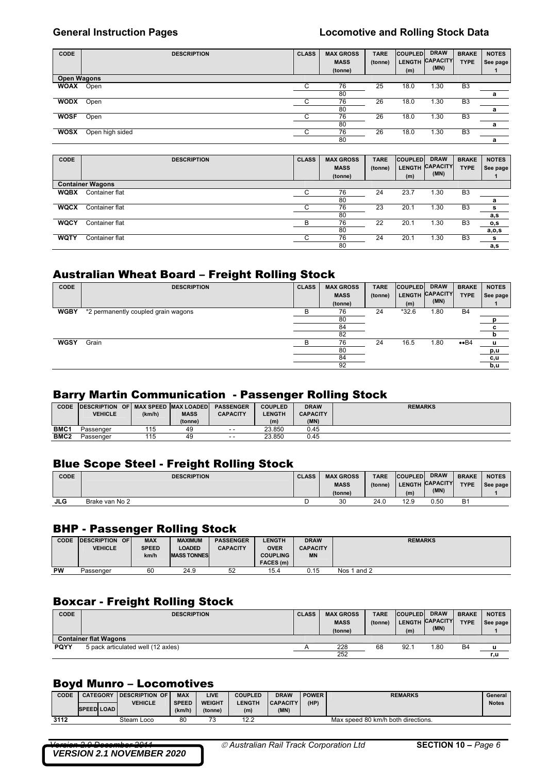| <b>CODE</b> | <b>DESCRIPTION</b> | <b>CLASS</b> | <b>MAX GROSS</b><br><b>MASS</b><br>(tonne) | <b>TARE</b><br>(tonne) | <b>COUPLED</b><br><b>LENGTH</b><br>(m) | <b>DRAW</b><br><b>CAPACITY</b><br>(MN) | <b>BRAKE</b><br><b>TYPE</b> | <b>NOTES</b><br>See page |
|-------------|--------------------|--------------|--------------------------------------------|------------------------|----------------------------------------|----------------------------------------|-----------------------------|--------------------------|
| Open Wagons |                    |              |                                            |                        |                                        |                                        |                             |                          |
| <b>WOAX</b> | Open               |              | 76                                         | 25                     | 18.0                                   | 1.30                                   | B <sub>3</sub>              |                          |
|             |                    |              | 80                                         |                        |                                        |                                        |                             | а                        |
| <b>WODX</b> | Open               | С            | 76                                         | 26                     | 18.0                                   | 1.30                                   | B <sub>3</sub>              |                          |
|             |                    |              | 80                                         |                        |                                        |                                        |                             | а                        |
| <b>WOSF</b> | Open               |              | 76                                         | 26                     | 18.0                                   | 1.30                                   | B <sub>3</sub>              |                          |
|             |                    |              | 80                                         |                        |                                        |                                        |                             | а                        |
| <b>WOSX</b> | Open high sided    |              | 76                                         | 26                     | 18.0                                   | 1.30                                   | B <sub>3</sub>              |                          |
|             |                    |              | 80                                         |                        |                                        |                                        |                             | a                        |

| CODE        | <b>DESCRIPTION</b>      | <b>CLASS</b> | <b>MAX GROSS</b><br><b>MASS</b><br>(tonne) | <b>TARE</b><br>(tonne) | <b>COUPLED</b><br><b>LENGTH</b><br>(m) | <b>DRAW</b><br><b>CAPACITY</b><br>(MN) | <b>BRAKE</b><br><b>TYPE</b> | <b>NOTES</b><br>See page |
|-------------|-------------------------|--------------|--------------------------------------------|------------------------|----------------------------------------|----------------------------------------|-----------------------------|--------------------------|
|             | <b>Container Wagons</b> |              |                                            |                        |                                        |                                        |                             |                          |
| <b>WQBX</b> | Container flat          |              | 76                                         | 24                     | 23.7                                   | 1.30                                   | B <sub>3</sub>              |                          |
|             |                         |              | 80                                         |                        |                                        |                                        |                             | a                        |
| <b>WQCX</b> | Container flat          |              | 76                                         | 23                     | 20.1                                   | 1.30                                   | B <sub>3</sub>              | s                        |
|             |                         |              | 80                                         |                        |                                        |                                        |                             | a,s                      |
| <b>WQCY</b> | Container flat          | В            | 76                                         | 22                     | 20.1                                   | 1.30                                   | B <sub>3</sub>              | o,s                      |
|             |                         |              | 80                                         |                        |                                        |                                        |                             | a,o,s                    |
| <b>WQTY</b> | Container flat          | ⌒<br>U       | 76                                         | 24                     | 20.1                                   | 1.30                                   | B <sub>3</sub>              | s                        |
|             |                         |              | 80                                         |                        |                                        |                                        |                             | a,s                      |

### Australian Wheat Board – Freight Rolling Stock

| CODE        | <b>DESCRIPTION</b>                  | <b>CLASS</b> | <b>MAX GROSS</b><br><b>MASS</b><br>(tonne) | <b>TARE</b><br>(tonne) | <b>COUPLED</b><br>LENGTH CAPACITY<br>(m) | <b>DRAW</b><br>(MN) | <b>BRAKE</b><br><b>TYPE</b> | <b>NOTES</b><br>See page |
|-------------|-------------------------------------|--------------|--------------------------------------------|------------------------|------------------------------------------|---------------------|-----------------------------|--------------------------|
| <b>WGBY</b> | *2 permanently coupled grain wagons |              | 76                                         | 24                     | $*32.6$                                  | 1.80                | B <sub>4</sub>              |                          |
|             |                                     |              | 80                                         |                        |                                          |                     |                             |                          |
|             |                                     |              | 84                                         |                        |                                          |                     |                             | с                        |
|             |                                     |              | 82                                         |                        |                                          |                     |                             |                          |
| <b>WGSY</b> | Grain                               | R            | 76                                         | 24                     | 16.5                                     | 1.80                | $\bullet$ B4                | u                        |
|             |                                     |              | 80                                         |                        |                                          |                     |                             | p,u                      |
|             |                                     |              | 84                                         |                        |                                          |                     |                             | c,u                      |
|             |                                     |              | 92                                         |                        |                                          |                     |                             | b,u                      |

# Barry Martin Communication - Passenger Rolling Stock

| <b>CODE</b> | <b>DESCRIPTION OF MAX SPEED MAX LOADED</b> |        |             | <b>PASSENGER</b> | <b>COUPLED</b> | <b>DRAW</b>     | <b>REMARKS</b> |
|-------------|--------------------------------------------|--------|-------------|------------------|----------------|-----------------|----------------|
|             | <b>VEHICLE</b>                             | (km/h) | <b>MASS</b> | <b>CAPACITY</b>  | <b>LENGTH</b>  | <b>CAPACITY</b> |                |
|             |                                            |        | (tonne)     |                  | (m)            | (MN)            |                |
| <b>BMC1</b> | Passenger                                  | 115    | 49          | $ -$             | 23.850         | 0.45            |                |
| <b>BMC2</b> | Passenger                                  | 115    | 49          | $ -$             | 23.850         | 0.45            |                |

## Blue Scope Steel - Freight Rolling Stock

| <b>CODE</b> | <b>DESCRIPTION</b> | <b>CLASS</b> | <b>MAX GROSS</b> | <b>TARE</b> | <b>COUPLED</b> | <b>DRAW</b>     | <b>BRAKE</b> | <b>NOTES</b> |
|-------------|--------------------|--------------|------------------|-------------|----------------|-----------------|--------------|--------------|
|             |                    |              | <b>MASS</b>      | (tonne)     |                | LENGTH CAPACITY | <b>TYPE</b>  | See page     |
|             |                    |              | (tonne)          |             | (m)            | (MN)            |              |              |
|             |                    |              |                  |             |                |                 |              |              |

### BHP - Passenger Rolling Stock

| <b>CODE</b> | <b>DESCRIPTION OF</b><br><b>VEHICLE</b> | <b>MAX</b><br><b>SPEED</b><br>km/h | <b>MAXIMUM</b><br>LOADED<br><b>MASS TONNES</b> | <b>PASSENGER</b><br><b>CAPACITY</b> | <b>LENGTH</b><br><b>OVER</b><br><b>COUPLING</b><br>FACES (m) | <b>DRAW</b><br><b>CAPACITY</b><br><b>MN</b> | <b>REMARKS</b> |
|-------------|-----------------------------------------|------------------------------------|------------------------------------------------|-------------------------------------|--------------------------------------------------------------|---------------------------------------------|----------------|
| <b>PW</b>   | Passenger                               | 60                                 | 24.9                                           | 52                                  | 15.4                                                         | 0.15                                        | Nos 1 and 2    |

## Boxcar - Freight Rolling Stock

| <b>CODE</b> | <b>DESCRIPTION</b>                 | <b>CLASS</b> | <b>MAX GROSS</b><br><b>MASS</b><br>(tonne) | <b>TARE</b><br>(tonne) | <b>COUPLED</b><br>(m) | <b>DRAW</b><br>LENGTH CAPACITY<br>(MN) | <b>BRAKE</b><br><b>TYPE</b> | <b>NOTES</b><br>See page |
|-------------|------------------------------------|--------------|--------------------------------------------|------------------------|-----------------------|----------------------------------------|-----------------------------|--------------------------|
|             | <b>Container flat Wagons</b>       |              |                                            |                        |                       |                                        |                             |                          |
| PQYY        | 5 pack articulated well (12 axles) |              | 228                                        | 68                     | 92.7                  | .80                                    | B4                          | <b>u</b>                 |
|             |                                    |              | 252                                        |                        |                       |                                        |                             | r,u                      |

### Boyd Munro – Locomotives

| CODE | <b>CATEGORY</b>   | <b>IDESCRIPTION OF</b> | <b>MAX</b>   | LIVE          | <b>COUPLED</b> | <b>DRAW</b>     | <b>POWER</b> | <b>REMARKS</b>                     | General      |
|------|-------------------|------------------------|--------------|---------------|----------------|-----------------|--------------|------------------------------------|--------------|
|      |                   | <b>VEHICLE</b>         | <b>SPEED</b> | <b>WEIGHT</b> | <b>ENGTH</b>   | <b>CAPACITY</b> | (HP)         |                                    | <b>Notes</b> |
|      | <b>SPEED LOAD</b> |                        | (km/h)       | (tonne)       | (m)            | (MN)            |              |                                    |              |
| 3112 |                   | Steam Loco             | 80           | 72<br>ن ا     | 12.2           |                 |              | Max speed 80 km/h both directions. |              |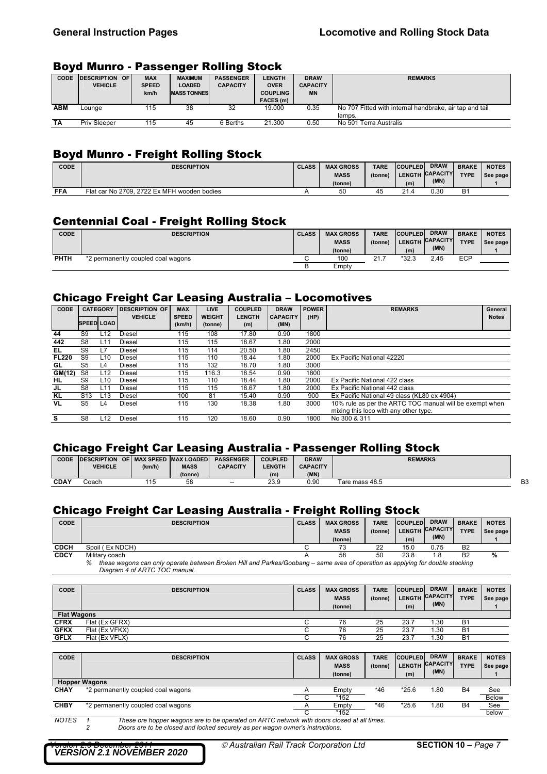### Boyd Munro - Passenger Rolling Stock

| <b>CODE</b> | <b>IDESCRIPTION OF</b> | <b>MAX</b>   | <b>MAXIMUM</b>     | <b>PASSENGER</b> | <b>LENGTH</b>   | <b>DRAW</b>     | <b>REMARKS</b>                                          |
|-------------|------------------------|--------------|--------------------|------------------|-----------------|-----------------|---------------------------------------------------------|
|             | <b>VEHICLE</b>         | <b>SPEED</b> | <b>LOADED</b>      | <b>CAPACITY</b>  | <b>OVER</b>     | <b>CAPACITY</b> |                                                         |
|             |                        | km/h         | <b>MASS TONNES</b> |                  | <b>COUPLING</b> | <b>MN</b>       |                                                         |
|             |                        |              |                    |                  | FACES (m)       |                 |                                                         |
| <b>ABM</b>  | Lounge                 | 115          | 38                 | 32               | 19.000          | 0.35            | No 707 Fitted with internal handbrake, air tap and tail |
|             |                        |              |                    |                  |                 |                 | lamps.                                                  |
| TA          | <b>Priv Sleeper</b>    | 115          | 45                 | 6 Berths         | 21.300          | 0.50            | No 501 Terra Australis                                  |

## Boyd Munro - Freight Rolling Stock

| <b>CODE</b> | <b>DESCRIPTION</b>                          | <b>CLASS</b> | <b>MAX GROSS</b> | <b>TARE</b> | <b>COUPLED</b> | <b>DRAW</b>     | <b>BRAKE</b> | <b>NOTES</b> |
|-------------|---------------------------------------------|--------------|------------------|-------------|----------------|-----------------|--------------|--------------|
|             |                                             |              | <b>MASS</b>      | (tonne)     |                | LENGTH CAPACITY | <b>TYPE</b>  | See page     |
|             |                                             |              | (tonne)          |             | (m)            | (MN)            |              |              |
| <b>FFA</b>  | Flat car No 2709, 2722 Ex MFH wooden bodies |              | 50               |             | 21.4           | 0.30            | B1           |              |

## Centennial Coal - Freight Rolling Stock

| <b>CODE</b> | <b>DESCRIPTION</b>                 | <b>CLASS</b> | <b>MAX GROSS</b><br><b>MASS</b><br>(tonne) | <b>TARE</b><br>(tonne) | <b>COUPLED</b><br><b>LENGTH</b><br>(m) | <b>DRAW</b><br><b>CAPACITY</b><br>(MN) | <b>BRAKE</b><br><b>TYPE</b> | <b>NOTES</b><br>See page |
|-------------|------------------------------------|--------------|--------------------------------------------|------------------------|----------------------------------------|----------------------------------------|-----------------------------|--------------------------|
| <b>PHTH</b> | *2 permanently coupled coal wagons |              | 100                                        | 21.                    | $*32.3$                                | 2.45                                   | ECP                         |                          |
|             |                                    |              | Empty                                      |                        |                                        |                                        |                             |                          |

## Chicago Freight Car Leasing Australia – Locomotives

| CODE         |                   | <b>CATEGORY</b> | <b>DESCRIPTION OF</b> | <b>MAX</b>             | <b>LIVE</b>              | <b>COUPLED</b>       | <b>DRAW</b>             | <b>POWER</b> | <b>REMARKS</b>                                          | General      |
|--------------|-------------------|-----------------|-----------------------|------------------------|--------------------------|----------------------|-------------------------|--------------|---------------------------------------------------------|--------------|
|              | <b>SPEED LOAD</b> |                 | <b>VEHICLE</b>        | <b>SPEED</b><br>(km/h) | <b>WEIGHT</b><br>(tonne) | <b>LENGTH</b><br>(m) | <b>CAPACITY</b><br>(MN) | (HP)         |                                                         | <b>Notes</b> |
| 44           | S9                | L <sub>12</sub> | Diesel                | 115                    | 108                      | 17.80                | 0.90                    | 1800         |                                                         |              |
| 442          | S8                | L <sub>11</sub> | Diesel                | 115                    | 115                      | 18.67                | 1.80                    | 2000         |                                                         |              |
| EL           | S9                | L7              | Diesel                | 115                    | 114                      | 20.50                | 1.80                    | 2450         |                                                         |              |
| <b>FL220</b> | S9                | L <sub>10</sub> | Diesel                | 115                    | 110                      | 18.44                | 1.80                    | 2000         | Ex Pacific National 42220                               |              |
| GL           | S5                | L4              | <b>Diesel</b>         | 115                    | 132                      | 18.70                | 1.80                    | 3000         |                                                         |              |
| GM(12)       | S <sub>8</sub>    | L <sub>12</sub> | <b>Diesel</b>         | 115                    | 116.3                    | 18.54                | 0.90                    | 1800         |                                                         |              |
| HL.          | S9                | L10             | <b>Diesel</b>         | 115                    | 110                      | 18.44                | 1.80                    | 2000         | Ex Pacific National 422 class                           |              |
| JL           | S8                | L11             | <b>Diesel</b>         | 115                    | 115                      | 18.67                | 1.80                    | 2000         | Ex Pacific National 442 class                           |              |
| <b>KL</b>    | S <sub>13</sub>   | L13             | <b>Diesel</b>         | 100                    | 81                       | 15.40                | 0.90                    | 900          | Ex Pacific National 49 class (KL80 ex 4904)             |              |
| <b>VL</b>    | S5                | L4              | Diesel                | 115                    | 130                      | 18.38                | 1.80                    | 3000         | 10% rule as per the ARTC TOC manual will be exempt when |              |
|              |                   |                 |                       |                        |                          |                      |                         |              | mixing this loco with any other type.                   |              |
| s            | S8                | L12             | Diesel                | 115                    | 120                      | 18.60                | 0.90                    | 1800         | No 300 & 311                                            |              |

## Chicago Freight Car Leasing Australia - Passenger Rolling Stock

|             | __                  |                         |             | __               |                |                 | __             |                |
|-------------|---------------------|-------------------------|-------------|------------------|----------------|-----------------|----------------|----------------|
| CODE        | <b>IDESCRIPTION</b> | OF MAX SPEED MAX LOADED |             | <b>PASSENGER</b> | <b>COUPLED</b> | <b>DRAW</b>     | <b>REMARKS</b> |                |
|             | VEHICLE             | (km/h)                  | <b>MASS</b> | <b>CAPACITY</b>  | <b>LENGTH</b>  | <b>CAPACITY</b> |                |                |
|             |                     |                         | (tonne)     |                  | (m)            | (MN)            |                |                |
| <b>CDAY</b> | Coach               | 115                     | 58          | $- -$            | 23.9           | 0.90            | Tare mass 48.5 | B <sub>3</sub> |

## Chicago Freight Car Leasing Australia - Freight Rolling Stock

| <b>CODE</b> | <b>DESCRIPTION</b>                                                                                                                                                  | <b>CLASS</b> | <b>MAX GROSS</b> | <b>TARE</b> | <b>COUPLED</b> | <b>DRAW</b>     | <b>BRAKE</b>   | <b>NOTES</b> |
|-------------|---------------------------------------------------------------------------------------------------------------------------------------------------------------------|--------------|------------------|-------------|----------------|-----------------|----------------|--------------|
|             |                                                                                                                                                                     |              | <b>MASS</b>      | (tonne)     |                | LENGTH CAPACITY | <b>TYPE</b>    | See page     |
|             |                                                                                                                                                                     |              | (tonne)          |             | (m)            | (MN)            |                |              |
| <b>CDCH</b> | Spoil (Ex NDCH)                                                                                                                                                     |              | 73               | 22          | 15.0           | 0.75            | B <sub>2</sub> |              |
| <b>CDCY</b> | Military coach                                                                                                                                                      |              | 58               | 50          | 23.8           | .8              | <b>B2</b>      | %            |
|             | these wagons can only operate between Broken Hill and Parkes/Goobang – same area of operation as applying for double stacking<br>%<br>Diagram 4 of ARTC TOC manual. |              |                  |             |                |                 |                |              |

| <b>CODE</b>        | <b>DESCRIPTION</b> | <b>CLASS</b> | <b>MAX GROSS</b><br><b>MASS</b><br>(tonne) | <b>TARE</b><br>(tonne) | <b>COUPLED</b><br>(m) | <b>DRAW</b><br>LENGTH CAPACITY<br>(MN) | <b>BRAKE</b><br><b>TYPE</b> | <b>NOTES</b><br>See page |
|--------------------|--------------------|--------------|--------------------------------------------|------------------------|-----------------------|----------------------------------------|-----------------------------|--------------------------|
| <b>Flat Wagons</b> |                    |              |                                            |                        |                       |                                        |                             |                          |
| <b>CFRX</b>        | Flat (Ex GFRX)     |              | 76                                         | 25                     | 23.7                  | .30                                    | B <sub>1</sub>              |                          |
| <b>GFKX</b>        | Flat (Ex VFKX)     |              | 76                                         | 25                     | 23.7                  | .30                                    | <b>B1</b>                   |                          |
| <b>GFLX</b>        | Flat (Ex VFLX)     |              | 76                                         | 25                     | 23.7                  | .30                                    | B <sub>1</sub>              |                          |

| <b>CODE</b> | <b>DESCRIPTION</b>                                                                        | <b>CLASS</b> | <b>MAX GROSS</b><br><b>MASS</b><br>(tonne) | <b>TARE</b><br>(tonne) | <b>COUPLED</b><br><b>LENGTH</b><br>(m) | <b>DRAW</b><br><b>CAPACITY</b><br>(MN) | <b>BRAKE</b><br><b>TYPE</b> | <b>NOTES</b><br>See page |
|-------------|-------------------------------------------------------------------------------------------|--------------|--------------------------------------------|------------------------|----------------------------------------|----------------------------------------|-----------------------------|--------------------------|
|             | <b>Hopper Wagons</b>                                                                      |              |                                            |                        |                                        |                                        |                             |                          |
| <b>CHAY</b> | *2 permanently coupled coal wagons                                                        |              | Empty                                      | $*46$                  | $*25.6$                                | 1.80                                   | B <sub>4</sub>              | See                      |
|             |                                                                                           |              | $*152$                                     |                        |                                        |                                        |                             | <b>Below</b>             |
| <b>CHBY</b> | *2 permanently coupled coal wagons                                                        |              | Empty                                      | *46                    | $*25.6$                                | 1.80                                   | <b>B4</b>                   | See                      |
|             |                                                                                           |              | *152                                       |                        |                                        |                                        |                             | below                    |
| MOTEC       | These are benner wegens are to be energted an ADTC petwerk with deers closed at all times |              |                                            |                        |                                        |                                        |                             |                          |

*NOTES 1 These ore hopper wagons are to be operated on ARTC network with doors closed at all times. 2 Doors are to be closed and locked securely as per wagon owner's instructions.*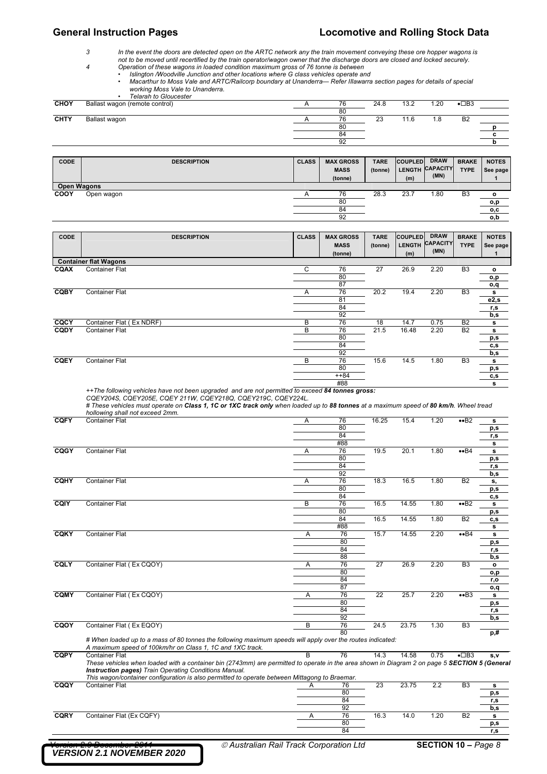*3 In the event the doors are detected open on the ARTC network any the train movement conveying these ore hopper wagons is not to be moved until recertified by the train operator/wagon owner that the discharge doors are closed and locked securely.* 

- *4 Operation of these wagons in loaded condition maximum gross of 76 tonne is between* 
	- *Islington /Woodville Junction and other locations where G class vehicles operate and*
	- *Macarthur to Moss Vale and ARTC/Railcorp boundary at Unanderra— Refer IIlawarra section pages for details of special working Moss Vale to Unanderra. • Telarah to Gloucester*

|             | <u>Fididii lu Giuuceslei</u>   |          |      |      |      |                     |  |
|-------------|--------------------------------|----------|------|------|------|---------------------|--|
| <b>CHOY</b> | Ballast wagon (remote control) | 76       | 24.8 | 13.2 | .20  | $\bullet$ $\Box$ B3 |  |
|             |                                | 80       |      |      |      |                     |  |
| <b>CHTY</b> | Ballast wagon                  | 76       | 23   | 11.6 | 8. ا | B <sub>2</sub>      |  |
|             |                                | 80       |      |      |      |                     |  |
|             |                                | 84       |      |      |      |                     |  |
|             |                                | ດາ<br>ວ∠ |      |      |      |                     |  |

| CODE<br><b>Open Wagons</b> | <b>DESCRIPTION</b> | <b>CLASS</b> | <b>MAX GROSS</b><br><b>MASS</b><br>(tonne) | <b>TARE</b><br>(tonne) | <b>COUPLED</b><br>(m) | <b>DRAW</b><br>LENGTH CAPACITY<br>(MN) | <b>BRAKE</b><br><b>TYPE</b> | <b>NOTES</b><br>See page |
|----------------------------|--------------------|--------------|--------------------------------------------|------------------------|-----------------------|----------------------------------------|-----------------------------|--------------------------|
| COOY                       | Open wagon         |              | 76                                         | 28.3                   | 23.7                  | 1.80                                   | B <sub>3</sub>              | о                        |
|                            |                    |              | 80                                         |                        |                       |                                        |                             | o,p                      |
|                            |                    |              | 84                                         |                        |                       |                                        |                             | o, c                     |
|                            |                    |              | 92                                         |                        |                       |                                        |                             | o,b                      |

| CODE        | <b>DESCRIPTION</b>           | <b>CLASS</b> | <b>MAX GROSS</b><br><b>MASS</b><br>(tonne) | <b>TARE</b><br>(tonne) | <b>COUPLED</b><br><b>LENGTH</b><br>(m) | <b>DRAW</b><br><b>CAPACITY</b><br>(MN) | <b>BRAKE</b><br><b>TYPE</b> | <b>NOTES</b><br>See page |
|-------------|------------------------------|--------------|--------------------------------------------|------------------------|----------------------------------------|----------------------------------------|-----------------------------|--------------------------|
|             | <b>Container flat Wagons</b> |              |                                            |                        |                                        |                                        |                             |                          |
| <b>CQAX</b> | <b>Container Flat</b>        | C            | 76                                         | 27                     | 26.9                                   | 2.20                                   | B <sub>3</sub>              | o                        |
|             |                              |              | 80                                         |                        |                                        |                                        |                             | o,p                      |
|             |                              |              | 87                                         |                        |                                        |                                        |                             | o,q                      |
| <b>CQBY</b> | <b>Container Flat</b>        | Α            | 76                                         | 20.2                   | 19.4                                   | 2.20                                   | B <sub>3</sub>              | s                        |
|             |                              |              | 81                                         |                        |                                        |                                        |                             | e2, s                    |
|             |                              |              | 84                                         |                        |                                        |                                        |                             | r,s                      |
|             |                              |              | 92                                         |                        |                                        |                                        |                             | b,s                      |
| CQCY        | Container Flat (Ex NDRF)     | B            | 76                                         | 18                     | 14.7                                   | 0.75                                   | B <sub>2</sub>              | s                        |
| CQDY        | <b>Container Flat</b>        | B            | 76                                         | 21.5                   | 16.48                                  | 2.20                                   | <b>B2</b>                   | s                        |
|             |                              |              | 80                                         |                        |                                        |                                        |                             | p,s                      |
|             |                              |              | 84                                         |                        |                                        |                                        |                             | c,s                      |
|             |                              |              | 92                                         |                        |                                        |                                        |                             | b,s                      |
| <b>CQEY</b> | <b>Container Flat</b>        | B            | 76                                         | 15.6                   | 14.5                                   | 1.80                                   | B <sub>3</sub>              | s                        |
|             |                              |              | 80                                         |                        |                                        |                                        |                             | p,s                      |
|             |                              |              | $++84$                                     |                        |                                        |                                        |                             | c, s                     |
|             |                              |              | #88                                        |                        |                                        |                                        |                             | s                        |

*++The following vehicles have not been upgraded and are not permitted to exceed 84 tonnes gross:* 

CQEY204S, CQEY205E, CQEY 211W, CQEY218Q, CQEY219C, CQEY224L.<br># These vehicles must operate on **Class 1, 1C or 1XC track only** when loaded up to **88 tonnes** at a maximum speed of **80 km/h**. Wheel tread *hollowing shall not exceed 2mm.* 

| <b>CQFY</b> | <b>Container Flat</b>                                                                                                                         | Α | 76  | 16.25           | 15.4  | 1.20 | $\bullet$ B <sub>2</sub> | s            |
|-------------|-----------------------------------------------------------------------------------------------------------------------------------------------|---|-----|-----------------|-------|------|--------------------------|--------------|
|             |                                                                                                                                               |   | 80  |                 |       |      |                          | p,s          |
|             |                                                                                                                                               |   | 84  |                 |       |      |                          | r,s          |
|             |                                                                                                                                               |   | #88 |                 |       |      |                          | s            |
| CQGY        | <b>Container Flat</b>                                                                                                                         | Α | 76  | 19.5            | 20.1  | 1.80 | $\bullet$ B4             | s            |
|             |                                                                                                                                               |   | 80  |                 |       |      |                          | p,s          |
|             |                                                                                                                                               |   | 84  |                 |       |      |                          | r,s          |
|             |                                                                                                                                               |   | 92  |                 |       |      |                          | b,s          |
| <b>CQHY</b> | <b>Container Flat</b>                                                                                                                         | Α | 76  | 18.3            | 16.5  | 1.80 | <b>B2</b>                | s,           |
|             |                                                                                                                                               |   | 80  |                 |       |      |                          | p,s          |
|             |                                                                                                                                               |   | 84  |                 |       |      |                          | c, s         |
| CQIY        | <b>Container Flat</b>                                                                                                                         | В | 76  | 16.5            | 14.55 | 1.80 | $\bullet$ B <sub>2</sub> | s            |
|             |                                                                                                                                               |   | 80  |                 |       |      |                          | p,s          |
|             |                                                                                                                                               |   | 84  | 16.5            | 14.55 | 1.80 | <b>B2</b>                | c,s          |
|             |                                                                                                                                               |   | #88 |                 |       |      |                          | s            |
| <b>CQKY</b> | <b>Container Flat</b>                                                                                                                         | Α | 76  | 15.7            | 14.55 | 2.20 | $\bullet$ B4             | s            |
|             |                                                                                                                                               |   | 80  |                 |       |      |                          | p,s          |
|             |                                                                                                                                               |   | 84  |                 |       |      |                          | r,s          |
|             |                                                                                                                                               |   | 88  |                 |       |      |                          | b,s          |
| CQLY        | Container Flat (Ex CQOY)                                                                                                                      | Α | 76  | 27              | 26.9  | 2.20 | B <sub>3</sub>           | $\mathbf{o}$ |
|             |                                                                                                                                               |   | 80  |                 |       |      |                          | o,p          |
|             |                                                                                                                                               |   | 84  |                 |       |      |                          | r,o          |
|             |                                                                                                                                               |   | 87  |                 |       |      |                          | o,q          |
| <b>CQMY</b> | Container Flat (Ex CQOY)                                                                                                                      | Α | 76  | $\overline{22}$ | 25.7  | 2.20 | $\bullet$ B3             | s            |
|             |                                                                                                                                               |   | 80  |                 |       |      |                          | p,s          |
|             |                                                                                                                                               |   | 84  |                 |       |      |                          | r,s          |
|             |                                                                                                                                               |   | 92  |                 |       |      |                          | b,s          |
| CQOY        | Container Flat (Ex EQOY)                                                                                                                      | B | 76  | 24.5            | 23.75 | 1.30 | B <sub>3</sub>           |              |
|             |                                                                                                                                               |   | 80  |                 |       |      |                          | p,#          |
|             | # When loaded up to a mass of 80 tonnes the following maximum speeds will apply over the routes indicated:                                    |   |     |                 |       |      |                          |              |
|             | A maximum speed of 100km/hr on Class 1, 1C and 1XC track.                                                                                     |   |     |                 |       |      |                          |              |
| <b>CQPY</b> | <b>Container Flat</b>                                                                                                                         | R | 76  | 14.3            | 14.58 | 0.75 | $\bullet$ $\Box$ B3      | S, V         |
|             | These vehicles when loaded with a container bin (2743mm) are permitted to operate in the area shown in Diagram 2 on page 5 SECTION 5 (General |   |     |                 |       |      |                          |              |
|             | <b>Instruction pages)</b> Train Operating Conditions Manual.                                                                                  |   |     |                 |       |      |                          |              |
|             | This wagon/container configuration is also permitted to operate between Mittagong to Braemar.                                                 |   |     |                 |       |      |                          |              |
| CQQY        | <b>Container Flat</b>                                                                                                                         | A | 76  | 23              | 23.75 | 2.2  | B <sub>3</sub>           | s            |

 80 **p,s**  84 **r,s**  92 **b,s CQRY** Container Flat (Ex CQFY) **A** 76 16.3 14.0 1.20 B2 **s**<br>80 80 **p,s**  84 **r,s**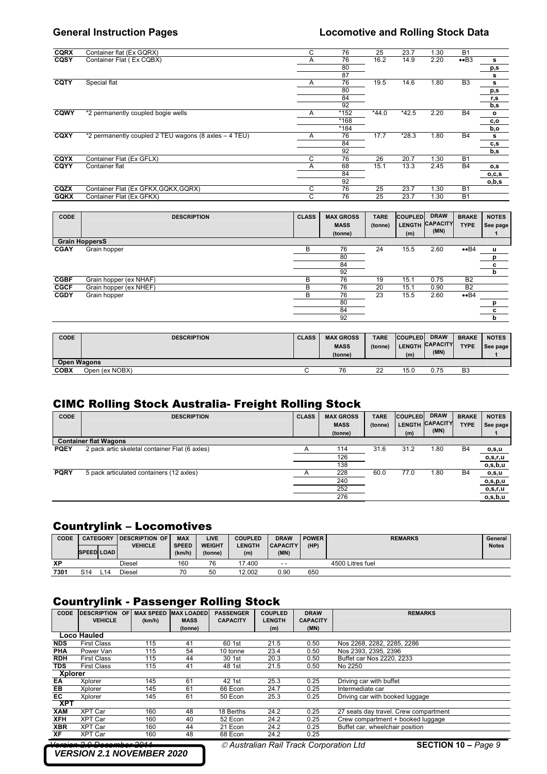| <b>CQRX</b> | Container flat (Ex GQRX)                              | C | 76   | 25      | 23.7    | 1.30 | <b>B1</b>      |              |
|-------------|-------------------------------------------------------|---|------|---------|---------|------|----------------|--------------|
| CQSY        | Container Flat (Ex CQBX)                              | Α | 76   | 16.2    | 14.9    | 2.20 | $\bullet$ B3   | s            |
|             |                                                       |   | 80   |         |         |      |                | p,s          |
|             |                                                       |   | 87   |         |         |      |                | s            |
| CQTY        | Special flat                                          | A | 76   | 19.5    | 14.6    | 1.80 | B <sub>3</sub> | s            |
|             |                                                       |   | 80   |         |         |      |                | p,s          |
|             |                                                       |   | 84   |         |         |      |                | r,s          |
|             |                                                       |   | 92   |         |         |      |                | b,s          |
| CQWY        | *2 permanently coupled bogie wells                    | A | *152 | $*44.0$ | $*42.5$ | 2.20 | <b>B4</b>      | $\mathbf{o}$ |
|             |                                                       |   | *168 |         |         |      |                | c,o          |
|             |                                                       |   | *184 |         |         |      |                | b,o          |
| CQXY        | *2 permanently coupled 2 TEU wagons (8 axles - 4 TEU) | A | 76   | 17.7    | $*28.3$ | 1.80 | <b>B4</b>      | s            |
|             |                                                       |   | 84   |         |         |      |                | c,s          |
|             |                                                       |   | 92   |         |         |      |                | b,s          |
| CQYX        | Container Flat (Ex GFLX)                              | C | 76   | 26      | 20.7    | 1.30 | <b>B1</b>      |              |
| CQYY        | Container flat                                        | A | 68   | 15.1    | 13.3    | 2.45 | <b>B4</b>      | o, s         |
|             |                                                       |   | 84   |         |         |      |                | o,c,s        |
|             |                                                       |   | 92   |         |         |      |                | o,b,s        |
| CQZX        | Container Flat (Ex GFKX, GQKX, GQRX)                  | C | 76   | 25      | 23.7    | 1.30 | <b>B1</b>      |              |
| <b>GQKX</b> | Container Flat (Ex GFKX)                              | C | 76   | 25      | 23.7    | 1.30 | <b>B1</b>      |              |
|             |                                                       |   |      |         |         |      |                |              |

| <b>CODE</b> |                        | <b>DESCRIPTION</b> | <b>CLASS</b> | <b>MAX GROSS</b><br><b>MASS</b><br>(tonne) | <b>TARE</b><br>(tonne) | <b>COUPLED</b><br><b>LENGTH</b><br>(m) | <b>DRAW</b><br><b>CAPACITY</b><br>(MN) | <b>BRAKE</b><br><b>TYPE</b> | <b>NOTES</b><br>See page |
|-------------|------------------------|--------------------|--------------|--------------------------------------------|------------------------|----------------------------------------|----------------------------------------|-----------------------------|--------------------------|
|             | <b>Grain HoppersS</b>  |                    |              |                                            |                        |                                        |                                        |                             |                          |
| <b>CGAY</b> | Grain hopper           |                    | B            | 76                                         | 24                     | 15.5                                   | 2.60                                   | $\bullet$ B4                | u                        |
|             |                        |                    |              | 80                                         |                        |                                        |                                        |                             | $\overline{p}$           |
|             |                        |                    |              | 84                                         |                        |                                        |                                        |                             | $\mathbf{c}$             |
|             |                        |                    |              | 92                                         |                        |                                        |                                        |                             | b                        |
| <b>CGBF</b> | Grain hopper (ex NHAF) |                    | B            | 76                                         | 19                     | 15.1                                   | 0.75                                   | <b>B2</b>                   |                          |
| <b>CGCF</b> | Grain hopper (ex NHEF) |                    | В            | 76                                         | 20                     | 15.1                                   | 0.90                                   | <b>B2</b>                   |                          |
| <b>CGDY</b> | Grain hopper           |                    | В            | 76                                         | 23                     | 15.5                                   | 2.60                                   | $\bullet$ B4                |                          |
|             |                        |                    |              | 80                                         |                        |                                        |                                        |                             |                          |
|             |                        |                    |              | 84                                         |                        |                                        |                                        |                             | $\mathbf{c}$             |
|             |                        |                    |              | 92                                         |                        |                                        |                                        |                             | b                        |

| <b>CODE</b>        | <b>DESCRIPTION</b> | <b>CLASS</b> | <b>MAX GROSS</b><br><b>MASS</b><br>(tonne) | <b>TARE</b><br>(tonne) | <b>COUPLED</b><br><b>LENGTH</b><br>(m) | <b>DRAW</b><br><b>CAPACITY</b><br>(MN) | <b>BRAKE</b><br><b>TYPE</b> | <b>NOTES</b><br>See page |
|--------------------|--------------------|--------------|--------------------------------------------|------------------------|----------------------------------------|----------------------------------------|-----------------------------|--------------------------|
| <b>Open Wagons</b> |                    |              |                                            |                        |                                        |                                        |                             |                          |
| <b>COBX</b>        | Open (ex NOBX)     |              | 76                                         | つつ<br>ے                | 15.0                                   | 0.75                                   | B <sub>3</sub>              |                          |

## CIMC Rolling Stock Australia- Freight Rolling Stock

| <b>CODE</b> | <b>DESCRIPTION</b>                             | <b>CLASS</b> | <b>MAX GROSS</b><br><b>MASS</b><br>(tonne) | <b>TARE</b><br>(tonne) | <b>COUPLED</b><br><b>LENGTH</b><br>(m) | <b>DRAW</b><br><b>CAPACITY</b><br>(MN) | <b>BRAKE</b><br><b>TYPE</b> | <b>NOTES</b><br>See page |
|-------------|------------------------------------------------|--------------|--------------------------------------------|------------------------|----------------------------------------|----------------------------------------|-----------------------------|--------------------------|
|             | <b>Container flat Wagons</b>                   |              |                                            |                        |                                        |                                        |                             |                          |
| <b>PQEY</b> | 2 pack artic skeletal container Flat (6 axles) |              | 114                                        | 31.6                   | 31.2                                   | 1.80                                   | <b>B4</b>                   | 0,S,U                    |
|             |                                                |              | 126                                        |                        |                                        |                                        |                             | o,s,r,u                  |
|             |                                                |              | 138                                        |                        |                                        |                                        |                             | o,s,b,u                  |
| <b>PQRY</b> | 5 pack articulated containers (12 axles)       |              | 228                                        | 60.0                   | 77.0                                   | 1.80                                   | <b>B4</b>                   | o,s,u                    |
|             |                                                |              | 240                                        |                        |                                        |                                        |                             | o,s,p,u                  |
|             |                                                |              | 252                                        |                        |                                        |                                        |                             | o,s,r,u                  |
|             |                                                |              | 276                                        |                        |                                        |                                        |                             | o,s,b,u                  |

### Countrylink – Locomotives

| CODE      | <b>CATEGORY</b>   |     | <b>IDESCRIPTION OF</b><br><b>VEHICLE</b> | <b>MAX</b><br><b>SPEED</b> | LIVE<br><b>WEIGHT</b> | <b>COUPLED</b><br><b>ENGTH</b> | <b>DRAW</b><br><b>CAPACITY</b> | <b>POWER</b><br>(HP) |                  | <b>REMARKS</b> | General<br><b>Notes</b> |
|-----------|-------------------|-----|------------------------------------------|----------------------------|-----------------------|--------------------------------|--------------------------------|----------------------|------------------|----------------|-------------------------|
|           | <b>SPEED LOAD</b> |     |                                          | (km/h)                     | (tonne)               | (m)                            | (MN)                           |                      |                  |                |                         |
| <b>XP</b> |                   |     | Diesel                                   | 160                        | 76                    | 17.400                         | $ -$                           |                      | 4500 Litres fuel |                |                         |
| 7301      | S <sub>14</sub>   | ∟14 | Diesel                                   | 70                         | 50                    | 12.002                         | 0.90                           | 650                  |                  |                |                         |

# Countrylink - Passenger Rolling Stock

| <b>CODE</b>    | <b>DESCRIPTION OF</b> | <b>MAX SPEED</b> | <b>MAX LOADED</b> | <b>PASSENGER</b> | <b>COUPLED</b> | <b>DRAW</b>     | <b>REMARKS</b>                        |
|----------------|-----------------------|------------------|-------------------|------------------|----------------|-----------------|---------------------------------------|
|                | <b>VEHICLE</b>        | (km/h)           | <b>MASS</b>       | <b>CAPACITY</b>  | <b>LENGTH</b>  | <b>CAPACITY</b> |                                       |
|                |                       |                  | (tonne)           |                  | (m)            | (MN)            |                                       |
|                | Loco Hauled           |                  |                   |                  |                |                 |                                       |
| <b>NDS</b>     | <b>First Class</b>    | 115              | 41                | 60 1st           | 21.5           | 0.50            | Nos 2268, 2282, 2285, 2286            |
| <b>PHA</b>     | Power Van             | 115              | 54                | 10 tonne         | 23.4           | 0.50            | Nos 2393, 2395, 2396                  |
| <b>RDH</b>     | <b>First Class</b>    | 115              | 44                | 30 1st           | 20.3           | 0.50            | Buffet car Nos 2220, 2233             |
| <b>TDS</b>     | <b>First Class</b>    | 115              | 41                | 48 1st           | 21.5           | 0.50            | No 2250                               |
| <b>Xplorer</b> |                       |                  |                   |                  |                |                 |                                       |
| EA             | Xplorer               | 145              | 61                | 42 1st           | 25.3           | 0.25            | Driving car with buffet               |
| EB.            | Xplorer               | 145              | 61                | 66 Econ          | 24.7           | 0.25            | Intermediate car                      |
| EC             | Xplorer               | 145              | 61                | 50 Econ          | 25.3           | 0.25            | Driving car with booked luggage       |
| <b>XPT</b>     |                       |                  |                   |                  |                |                 |                                       |
| <b>XAM</b>     | <b>XPT Car</b>        | 160              | 48                | 18 Berths        | 24.2           | 0.25            | 27 seats day travel. Crew compartment |
| <b>XFH</b>     | <b>XPT Car</b>        | 160              | 40                | 52 Econ          | 24.2           | 0.25            | Crew compartment + booked luggage     |
| <b>XBR</b>     | <b>XPT Car</b>        | 160              | 44                | 21 Econ          | 24.2           | 0.25            | Buffet car, wheelchair position       |
| XF             | <b>XPT Car</b>        | 160              | 48                | 68 Econ          | 24.2           | 0.25            |                                       |
|                | ---                   | ----             |                   |                  |                | . .             | .<br>--------                         |

# *VERSION 2.1 NOVEMBER 2020*

*Ø Australian Rail Track Corporation Ltd SECTION 10 – Page 9*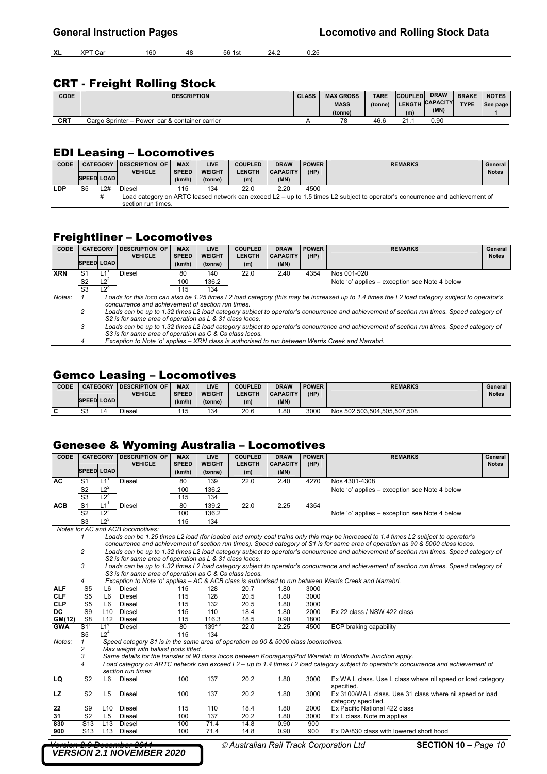**XL** XPT Car 160 48 56 1st 24.2 0.25

### CRT - Freight Rolling Stock

| <b>CODE</b> | <b>DESCRIPTION</b>                             | <b>CLASS</b> | <b>MAX GROSS</b> | <b>TARE</b> | <b>COUPLED</b> | <b>DRAW</b>     | <b>BRAKE</b> | <b>NOTES</b> |
|-------------|------------------------------------------------|--------------|------------------|-------------|----------------|-----------------|--------------|--------------|
|             |                                                |              | <b>MASS</b>      | (tonne)     |                | LENGTH CAPACITY | <b>TYPE</b>  | See page     |
|             |                                                |              | (tonne)          |             | (m)            | (MN)            |              |              |
| CRT         | Cargo Sprinter - Power car & container carrier |              | 78               | 46.6        | 21.1           | 0.90            |              |              |

### EDI Leasing – Locomotives

| <b>CODE</b> | <b>SPEED LOAD</b> | <b>CATEGORY</b> | <b>IDESCRIPTION OF</b><br><b>VEHICLE</b> | <b>MAX</b><br><b>SPEED</b><br>(km/h) | <b>LIVE</b><br><b>WEIGHT</b><br>(tonne) | <b>COUPLED</b><br><b>LENGTH</b><br>(m) | <b>DRAW</b><br><b>CAPACITY</b><br>(MN) | <b>POWER</b><br>(HP) | <b>REMARKS</b>                                                                                                               | General<br><b>Notes</b> |
|-------------|-------------------|-----------------|------------------------------------------|--------------------------------------|-----------------------------------------|----------------------------------------|----------------------------------------|----------------------|------------------------------------------------------------------------------------------------------------------------------|-------------------------|
| <b>LDP</b>  | S5                | -2#             | Diesel                                   | 115                                  | 134                                     | 22.0                                   | 2.20                                   | 4500                 |                                                                                                                              |                         |
|             |                   | ∓               | section run times.                       |                                      |                                         |                                        |                                        |                      | Load category on ARTC leased network can exceed L2 – up to 1.5 times L2 subject to operator's concurrence and achievement of |                         |

## Freightliner – Locomotives

| <b>CODE</b> | <b>CATEGORY</b>   |                 | DESCRIPTION OF                                          | <b>MAX</b>             | <b>LIVE</b>              | <b>COUPLED</b>       | <b>DRAW</b>                                                                                                                              | <b>POWER</b>                                                                                      | <b>REMARKS</b>                                                                                                                                | General      |  |  |  |  |  |
|-------------|-------------------|-----------------|---------------------------------------------------------|------------------------|--------------------------|----------------------|------------------------------------------------------------------------------------------------------------------------------------------|---------------------------------------------------------------------------------------------------|-----------------------------------------------------------------------------------------------------------------------------------------------|--------------|--|--|--|--|--|
|             | <b>SPEED LOAD</b> |                 | <b>VEHICLE</b>                                          | <b>SPEED</b><br>(km/h) | <b>WEIGHT</b><br>(tonne) | <b>LENGTH</b><br>(m) | <b>CAPACITY</b><br>(MN)                                                                                                                  | (HP)                                                                                              |                                                                                                                                               | <b>Notes</b> |  |  |  |  |  |
| <b>XRN</b>  | S1                |                 | Diesel                                                  | 80                     | 140                      | 22.0                 | 2.40                                                                                                                                     | 4354                                                                                              | Nos 001-020                                                                                                                                   |              |  |  |  |  |  |
|             | S <sub>2</sub>    | $L2^2$          |                                                         | 100                    | 136.2                    |                      |                                                                                                                                          |                                                                                                   | Note 'o' applies – exception see Note 4 below                                                                                                 |              |  |  |  |  |  |
|             | S <sub>3</sub>    | 12 <sup>3</sup> |                                                         | 115                    | 134                      |                      |                                                                                                                                          |                                                                                                   |                                                                                                                                               |              |  |  |  |  |  |
| Notes:      |                   |                 | concurrence and achievement of section run times.       |                        |                          |                      |                                                                                                                                          |                                                                                                   | Loads for this loco can also be 1.25 times L2 load category (this may be increased up to 1.4 times the L2 load category subject to operator's |              |  |  |  |  |  |
|             |                   |                 | S2 is for same area of operation as L & 31 class locos. |                        |                          |                      |                                                                                                                                          |                                                                                                   | Loads can be up to 1.32 times L2 load category subject to operator's concurrence and achievement of section run times. Speed category of      |              |  |  |  |  |  |
|             | 3                 |                 | S3 is for same area of operation as C & Cs class locos. |                        |                          |                      | Loads can be up to 1.32 times L2 load category subject to operator's concurrence and achievement of section run times. Speed category of |                                                                                                   |                                                                                                                                               |              |  |  |  |  |  |
|             | 4                 |                 |                                                         |                        |                          |                      |                                                                                                                                          | Exception to Note 'o' applies – XRN class is authorised to run between Werris Creek and Narrabri. |                                                                                                                                               |              |  |  |  |  |  |

### Gemco Leasing – Locomotives

| <b>CODE</b> |                   | <b>CATEGORY</b> | <b>IDESCRIPTION OF</b> | <b>MAX</b>   | LIVE          | <b>COUPLED</b> | <b>DRAW</b>     | <b>POWER</b> | <b>REMARKS</b>              | General      |
|-------------|-------------------|-----------------|------------------------|--------------|---------------|----------------|-----------------|--------------|-----------------------------|--------------|
|             |                   |                 | VEHICLE                | <b>SPEED</b> | <b>WEIGHT</b> | <b>LENGTH</b>  | <b>CAPACITY</b> | (HP)         |                             | <b>Notes</b> |
|             | <b>SPEED LOAD</b> |                 |                        | (km/h)       | (tonne)       | (m)            | (MN)            |              |                             |              |
| ⌒           | S3                | 4،              | Diesel                 | 115          | 134           | 20.6           | .80             | 3000         | Nos 502,503,504,505,507,508 |              |

### Genesee & Wyoming Australia – Locomotives

| <b>CODE</b> |                          | <b>CATEGORY</b>   | <b>DESCRIPTION OF</b>                                                              | <b>MAX</b>   | LIVE          | <b>COUPLED</b> | <b>DRAW</b>     | <b>POWER</b> | <b>REMARKS</b>                                                                                                                           | General      |
|-------------|--------------------------|-------------------|------------------------------------------------------------------------------------|--------------|---------------|----------------|-----------------|--------------|------------------------------------------------------------------------------------------------------------------------------------------|--------------|
|             | <b>SPEED LOAD</b>        |                   | <b>VEHICLE</b>                                                                     | <b>SPEED</b> | <b>WEIGHT</b> | <b>LENGTH</b>  | <b>CAPACITY</b> | (HP)         |                                                                                                                                          | <b>Notes</b> |
|             |                          |                   |                                                                                    | (km/h)       | (tonne)       | (m)            | (MN)            |              |                                                                                                                                          |              |
| AC          | S <sub>1</sub>           | $L1$ <sup>1</sup> | <b>Diesel</b>                                                                      | 80           | 139           | 22.0           | 2.40            | 4270         | Nos 4301-4308                                                                                                                            |              |
|             | S <sub>2</sub>           | $L2^2$            |                                                                                    | 100          | 136.2         |                |                 |              | Note 'o' applies – exception see Note 4 below                                                                                            |              |
|             | $\overline{\text{S3}}$   | $L2^3$            |                                                                                    | 115          | 134           |                |                 |              |                                                                                                                                          |              |
| <b>ACB</b>  | S <sub>1</sub>           | $L1$ <sup>1</sup> | <b>Diesel</b>                                                                      | 80           | 139.2         | 22.0           | 2.25            | 4354         |                                                                                                                                          |              |
|             | S <sub>2</sub>           | $L2^2$            |                                                                                    | 100          | 136.2         |                |                 |              | Note 'o' applies – exception see Note 4 below                                                                                            |              |
|             | $\overline{\text{S3}}$   | $L2^3$            |                                                                                    | 115          | 134           |                |                 |              |                                                                                                                                          |              |
|             |                          |                   | Notes for AC and ACB locomotives:                                                  |              |               |                |                 |              |                                                                                                                                          |              |
|             |                          |                   |                                                                                    |              |               |                |                 |              | Loads can be 1.25 times L2 load (for loaded and empty coal trains only this may be increased to 1.4 times L2 subject to operator's       |              |
|             |                          |                   |                                                                                    |              |               |                |                 |              | concurrence and achievement of section run times). Speed category of S1 is for same area of operation as 90 & 5000 class locos.          |              |
|             | 2                        |                   |                                                                                    |              |               |                |                 |              | Loads can be up to 1.32 times L2 load category subject to operator's concurrence and achievement of section run times. Speed category of |              |
|             |                          |                   | S2 is for same area of operation as L & 31 class locos.                            |              |               |                |                 |              |                                                                                                                                          |              |
|             | 3                        |                   |                                                                                    |              |               |                |                 |              | Loads can be up to 1.32 times L2 load category subject to operator's concurrence and achievement of section run times. Speed category of |              |
|             |                          |                   | S3 is for same area of operation as C & Cs class locos.                            |              |               |                |                 |              |                                                                                                                                          |              |
|             | 4                        |                   |                                                                                    |              |               |                |                 |              | Exception to Note 'o' applies - AC & ACB class is authorised to run between Werris Creek and Narrabri.                                   |              |
| <b>ALF</b>  | S <sub>5</sub>           | L6                | <b>Diesel</b>                                                                      | 115          | 128           | 20.7           | 1.80            | 3000         |                                                                                                                                          |              |
| <b>CLF</b>  | S <sub>5</sub>           | L6                | Diesel                                                                             | 115          | 128           | 20.5           | 1.80            | 3000         |                                                                                                                                          |              |
| <b>CLP</b>  | S <sub>5</sub>           | L6                | <b>Diesel</b>                                                                      | 115          | 132           | 20.5           | 1.80            | 3000         |                                                                                                                                          |              |
| <b>DC</b>   | S <sub>9</sub>           | L10               | Diesel                                                                             | 115          | 110           | 18.4           | 1.80            | 2000         | Ex 22 class / NSW 422 class                                                                                                              |              |
| GM(12)      | S <sub>8</sub>           | L12               | Diesel                                                                             | 115          | 116.3         | 18.5           | 0.90            | 1800         |                                                                                                                                          |              |
| <b>GWA</b>  | $S1$ <sup>1</sup>        | $L1^4$            | <b>Diesel</b>                                                                      | 80           | $139^{2,3}$   | 22.0           | 2.25            | 4500         | ECP braking capability                                                                                                                   |              |
|             | S <sub>5</sub>           | 12 <sup>4</sup>   |                                                                                    | 115          | 134           |                |                 |              |                                                                                                                                          |              |
| Notes:      |                          |                   | Speed category S1 is in the same area of operation as 90 & 5000 class locomotives. |              |               |                |                 |              |                                                                                                                                          |              |
|             | 2                        |                   | Max weight with ballast pods fitted.                                               |              |               |                |                 |              |                                                                                                                                          |              |
|             | 3                        |                   |                                                                                    |              |               |                |                 |              | Same details for the transfer of 90 class locos between Kooragang/Port Waratah to Woodville Junction apply.                              |              |
|             | $\overline{\mathcal{A}}$ |                   |                                                                                    |              |               |                |                 |              | Load category on ARTC network can exceed L2 - up to 1.4 times L2 load category subject to operator's concurrence and achievement of      |              |
|             |                          |                   | section run times                                                                  |              |               |                |                 |              |                                                                                                                                          |              |
| <b>LQ</b>   | $\overline{\text{S2}}$   | L6                | <b>Diesel</b>                                                                      | 100          | 137           | 20.2           | 1.80            | 3000         | Ex WA L class. Use L class where nil speed or load category                                                                              |              |
|             |                          |                   |                                                                                    |              |               |                |                 |              | specified.                                                                                                                               |              |
| <b>LZ</b>   | S <sub>2</sub>           | L <sub>5</sub>    | <b>Diesel</b>                                                                      | 100          | 137           | 20.2           | 1.80            | 3000         | Ex 3100/WA L class. Use 31 class where nil speed or load                                                                                 |              |
|             |                          |                   |                                                                                    |              |               |                |                 |              | category specified.                                                                                                                      |              |
| 22          | S9<br>S <sub>2</sub>     | L <sub>10</sub>   | Diesel                                                                             | 115          | 110<br>137    | 18.4           | 1.80            | 2000         | Ex Pacific National 422 class                                                                                                            |              |
| 31          |                          | L <sub>5</sub>    | Diesel                                                                             | 100          |               | 20.2           | 1.80            | 3000         | Ex L class. Note m applies                                                                                                               |              |
| 830         | S <sub>13</sub>          | L13               | Diesel                                                                             | 100          | 71.4          | 14.8           | 0.90            | 900          |                                                                                                                                          |              |
| 900         | S <sub>13</sub>          | L13               | Diesel                                                                             | 100          | 71.4          | 14.8           | 0.90            | 900          | Ex DA/830 class with lowered short hood                                                                                                  |              |

*VERSION 2.1 NOVEMBER 2020*

 $\odot$  *Australian Rail Track Corporation Ltd* **SECTION 10 –** *Page 10*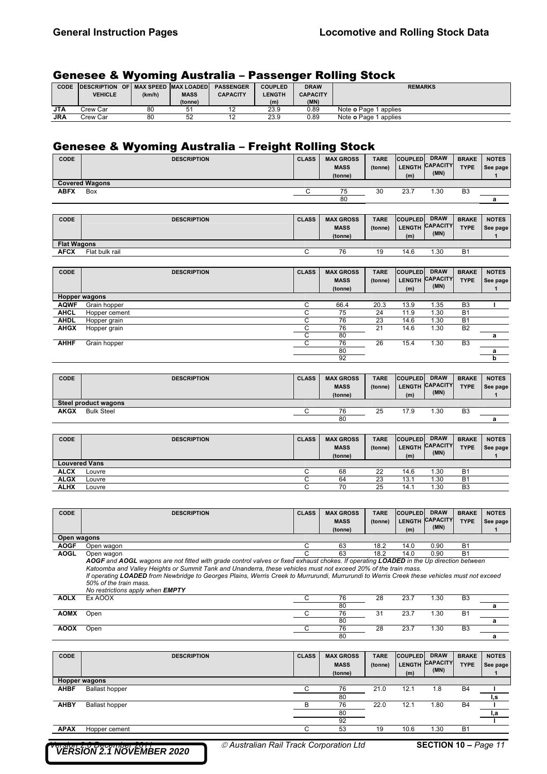## Genesee & Wyoming Australia – Passenger Rolling Stock

| <b>CODE</b> | <b>DESCRIPTION OF MAX SPEED MAX LOADED</b> |        |             | <b>PASSENGER</b> | <b>COUPLED</b> | <b>DRAW</b>     | <b>REMARKS</b>               |
|-------------|--------------------------------------------|--------|-------------|------------------|----------------|-----------------|------------------------------|
|             | VEHICLE                                    | (km/h) | <b>MASS</b> | <b>CAPACITY</b>  | <b>LENGTH</b>  | <b>CAPACITY</b> |                              |
|             |                                            |        | (tonne)     |                  | (m)            | (MN)            |                              |
| <b>JTA</b>  | .cw Car                                    | 80     | 51          | ' -              | 23.9           | 0.89            | Note <b>o</b> Page 1 applies |
| JRA         | Crew Car                                   | 80     | 52          | . .              | 23.9           | 0.89            | Note <b>o</b> Page 1 applies |

## Genesee & Wyoming Australia – Freight Rolling Stock

| <b>CODE</b> | <b>DESCRIPTION</b>    | <b>CLASS</b> | <b>MAX GROSS</b><br><b>MASS</b><br>(tonne) | <b>TARE</b><br>(tonne) | <b>COUPLED</b><br>LENGTH CAPACITY TW<br>(m) | <b>DRAW</b><br>(MN) | <b>BRAKE</b><br><b>TYPE</b> | <b>NOTES</b><br>See page |
|-------------|-----------------------|--------------|--------------------------------------------|------------------------|---------------------------------------------|---------------------|-----------------------------|--------------------------|
|             | <b>Covered Wagons</b> |              |                                            |                        |                                             |                     |                             |                          |
| <b>ABFX</b> | Box                   |              | 75                                         | 30                     | 23.7                                        | .30                 | B <sub>3</sub>              |                          |
|             |                       |              | 80                                         |                        |                                             |                     |                             | a                        |

| <b>CODE</b>        | <b>DESCRIPTION</b> | <b>CLASS</b> | <b>MAX GROSS</b><br><b>MASS</b><br>(tonne) | <b>TARE</b><br>(tonne) | <b>COUPLED</b><br>(m) | <b>DRAW</b><br>LENGTH CAPACITY<br>(MN) | <b>BRAKE</b><br><b>TYPE</b> | <b>NOTES</b><br>See page |
|--------------------|--------------------|--------------|--------------------------------------------|------------------------|-----------------------|----------------------------------------|-----------------------------|--------------------------|
| <b>Flat Wagons</b> |                    |              |                                            |                        |                       |                                        |                             |                          |
| <b>AFCX</b>        | Flat bulk rail     |              | 76                                         | 19                     | 14.6                  | .30                                    | <b>B1</b>                   |                          |

| CODE        | <b>DESCRIPTION</b>   | <b>CLASS</b> | <b>MAX GROSS</b><br><b>MASS</b><br>(tonne) | <b>TARE</b><br>(tonne) | <b>COUPLED</b><br><b>LENGTH</b><br>(m) | <b>DRAW</b><br><b>CAPACITY</b><br>(MN) | <b>BRAKE</b><br><b>TYPE</b> | <b>NOTES</b><br>See page |
|-------------|----------------------|--------------|--------------------------------------------|------------------------|----------------------------------------|----------------------------------------|-----------------------------|--------------------------|
|             | <b>Hopper wagons</b> |              |                                            |                        |                                        |                                        |                             |                          |
| <b>AQWF</b> | Grain hopper         |              | 66.4                                       | 20.3                   | 13.9                                   | 1.35                                   | B <sub>3</sub>              |                          |
| <b>AHCL</b> | Hopper cement        | ⌒<br>u       | 75                                         | 24                     | 11.9                                   | 1.30                                   | B <sub>1</sub>              |                          |
| <b>AHDL</b> | Hopper grain         | ⌒<br>U       | 76                                         | 23                     | 14.6                                   | 1.30                                   | B <sub>1</sub>              |                          |
| <b>AHGX</b> | Hopper grain         | ⌒            | 76                                         | 21                     | 14.6                                   | 1.30                                   | B <sub>2</sub>              |                          |
|             |                      | ⌒            | 80                                         |                        |                                        |                                        |                             | а                        |
| <b>AHHF</b> | Grain hopper         |              | 76                                         | 26                     | 15.4                                   | 1.30                                   | B <sub>3</sub>              |                          |
|             |                      |              | 80                                         |                        |                                        |                                        |                             | а                        |
|             |                      |              | 92                                         |                        |                                        |                                        |                             | b                        |

| <b>CODE</b> | <b>DESCRIPTION</b>   | <b>CLASS</b> | <b>MAX GROSS</b><br><b>MASS</b><br>(tonne) | <b>TARE</b><br>(tonne) | <b>COUPLED</b><br>(m) | <b>DRAW</b><br>LENGTH CAPACITY<br>(MN) | <b>BRAKE</b><br><b>TYPE</b> | <b>NOTES</b><br>See page |
|-------------|----------------------|--------------|--------------------------------------------|------------------------|-----------------------|----------------------------------------|-----------------------------|--------------------------|
|             | Steel product wagons |              |                                            |                        |                       |                                        |                             |                          |
| <b>AKGX</b> | <b>Bulk Steel</b>    |              | 76                                         | 25                     | 17.9                  | 1.30                                   | B <sub>3</sub>              |                          |
|             |                      |              | 80                                         |                        |                       |                                        |                             |                          |

| CODE        | <b>DESCRIPTION</b>   | <b>CLASS</b> | <b>MAX GROSS</b><br><b>MASS</b><br>(tonne) | <b>TARE</b><br>(tonne) | <b>COUPLED</b><br><b>LENGTH</b><br>(m) | <b>DRAW</b><br><b>CAPACITY</b><br>(MN) | <b>BRAKE</b><br><b>TYPE</b> | <b>NOTES</b><br>See page |
|-------------|----------------------|--------------|--------------------------------------------|------------------------|----------------------------------------|----------------------------------------|-----------------------------|--------------------------|
|             | <b>Louvered Vans</b> |              |                                            |                        |                                        |                                        |                             |                          |
| <b>ALCX</b> | Louvre               |              | 68                                         | 22                     | 14.6                                   | . 30                                   | B <sub>1</sub>              |                          |
| <b>ALGX</b> | Louvre               |              | 64                                         | 23                     | 13.1                                   | 30.،                                   | <b>B</b> 1                  |                          |
| <b>ALHX</b> | Louvre               |              |                                            | 25                     | 14.                                    | . .30                                  | B <sub>3</sub>              |                          |

| <b>CODE</b> | <b>DESCRIPTION</b>                                                                                                                          | <b>CLASS</b> | <b>MAX GROSS</b> | <b>TARE</b> | <b>COUPLED</b> | <b>DRAW</b>     | <b>BRAKE</b>   | <b>NOTES</b> |
|-------------|---------------------------------------------------------------------------------------------------------------------------------------------|--------------|------------------|-------------|----------------|-----------------|----------------|--------------|
|             |                                                                                                                                             |              | <b>MASS</b>      | (tonne)     | <b>LENGTH</b>  | <b>CAPACITY</b> | <b>TYPE</b>    | See page     |
|             |                                                                                                                                             |              | (tonne)          |             | (m)            | (MN)            |                |              |
| Open wagons |                                                                                                                                             |              |                  |             |                |                 |                |              |
| <b>AOGF</b> | Open wagon                                                                                                                                  | C            | 63               | 18.2        | 14.0           | 0.90            | <b>B1</b>      |              |
| <b>AOGL</b> | Open wagon                                                                                                                                  |              | 63               | 18.2        | 14.0           | 0.90            | <b>B1</b>      |              |
|             | AOGF and AOGL wagons are not fitted with grade control valves or fixed exhaust chokes. If operating LOADED in the Up direction between      |              |                  |             |                |                 |                |              |
|             | Katoomba and Valley Heights or Summit Tank and Unanderra, these vehicles must not exceed 20% of the train mass.                             |              |                  |             |                |                 |                |              |
|             | If operating LOADED from Newbridge to Georges Plains, Werris Creek to Murrurundi, Murrurundi to Werris Creek these vehicles must not exceed |              |                  |             |                |                 |                |              |
|             | 50% of the train mass.                                                                                                                      |              |                  |             |                |                 |                |              |
|             | No restrictions apply when <b>EMPTY</b>                                                                                                     |              |                  |             |                |                 |                |              |
| <b>AOLX</b> | Ex AOOX                                                                                                                                     | C            | 76               | 28          | 23.7           | 1.30            | B <sub>3</sub> |              |
|             |                                                                                                                                             |              | 80               |             |                |                 |                | a            |
| <b>AOMX</b> | Open                                                                                                                                        | С            | 76               | 31          | 23.7           | 1.30            | <b>B1</b>      |              |
|             |                                                                                                                                             |              | 80               |             |                |                 |                | a            |
| <b>AOOX</b> | Open                                                                                                                                        | C            | 76               | 28          | 23.7           | 1.30            | B <sub>3</sub> |              |
|             |                                                                                                                                             |              | 80               |             |                |                 |                | a            |
|             |                                                                                                                                             |              |                  |             |                |                 |                |              |
|             |                                                                                                                                             |              |                  |             |                |                 |                |              |

| CODE        | <b>DESCRIPTION</b>    | <b>CLASS</b> | <b>MAX GROSS</b><br><b>MASS</b><br>(tonne) | <b>TARE</b><br>(tonne) | <b>COUPLED</b><br>(m) | <b>DRAW</b><br>LENGTH CAPACITY<br>(MN) | <b>BRAKE</b><br><b>TYPE</b> | <b>NOTES</b><br>See page |
|-------------|-----------------------|--------------|--------------------------------------------|------------------------|-----------------------|----------------------------------------|-----------------------------|--------------------------|
|             | Hopper wagons         |              |                                            |                        |                       |                                        |                             |                          |
| <b>AHBF</b> | <b>Ballast hopper</b> |              | 76                                         | 21.0                   | 12.1                  | 8.،                                    | B <sub>4</sub>              |                          |
|             |                       |              | 80                                         |                        |                       |                                        |                             | I,s                      |
| <b>AHBY</b> | <b>Ballast hopper</b> |              | 76                                         | 22.0                   | 12.1                  | .80                                    | <b>B4</b>                   |                          |
|             |                       |              | 80                                         |                        |                       |                                        |                             | ı,a                      |
|             |                       |              | 92                                         |                        |                       |                                        |                             |                          |
| <b>APAX</b> | Hopper cement         |              | 53                                         | 19                     | 10.6                  | .30                                    | B <sub>1</sub>              |                          |

*VERSION 2.1 NOVEMBER 2020*

*Version 2.0 December 2011 Australian Rail Track Corporation Ltd* **SECTION 10 –** *Page 11*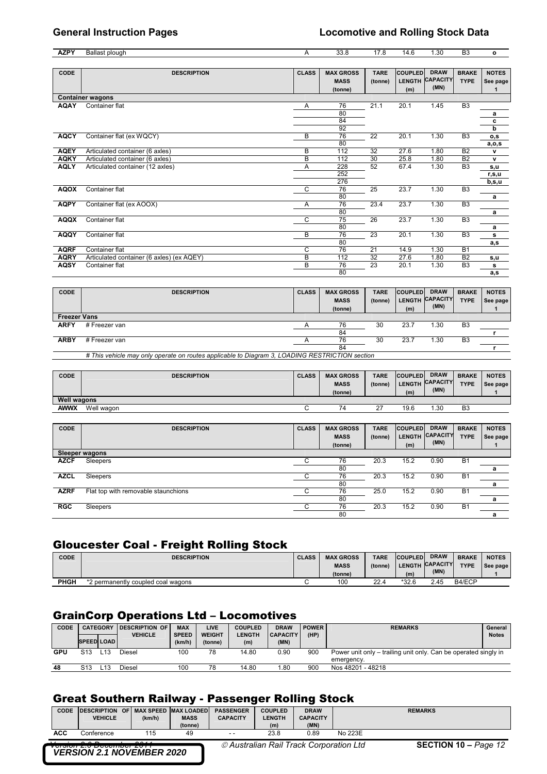| <b>AZPY</b> | Ballast plough                            | A            | 33.8                                       | 17.8                   | 14.6                  | 1.30                                   | B <sub>3</sub>              | $\mathbf{o}$             |
|-------------|-------------------------------------------|--------------|--------------------------------------------|------------------------|-----------------------|----------------------------------------|-----------------------------|--------------------------|
|             |                                           |              |                                            |                        |                       |                                        |                             |                          |
| CODE        | <b>DESCRIPTION</b>                        | <b>CLASS</b> | <b>MAX GROSS</b><br><b>MASS</b><br>(tonne) | <b>TARE</b><br>(tonne) | <b>COUPLED</b><br>(m) | <b>DRAW</b><br>LENGTH CAPACITY<br>(MN) | <b>BRAKE</b><br><b>TYPE</b> | <b>NOTES</b><br>See page |
|             | <b>Container wagons</b>                   |              |                                            |                        |                       |                                        |                             |                          |
| <b>AQAY</b> | Container flat                            | A            | 76<br>80<br>84<br>92                       | 21.1                   | 20.1                  | 1.45                                   | B <sub>3</sub>              | a<br>c<br>b              |
| <b>AQCY</b> | Container flat (ex WQCY)                  | В            | 76<br>80                                   | 22                     | 20.1                  | 1.30                                   | B <sub>3</sub>              | o,s<br>a, o, s           |
| <b>AQEY</b> | Articulated container (6 axles)           | B            | 112                                        | 32                     | 27.6                  | 1.80                                   | B <sub>2</sub>              | ۷                        |
| <b>AQKY</b> | Articulated container (6 axles)           | B            | 112                                        | 30                     | 25.8                  | 1.80                                   | B <sub>2</sub>              | $\mathbf{v}$             |
| <b>AQLY</b> | Articulated container (12 axles)          | Α            | 228<br>252<br>276                          | 52                     | 67.4                  | 1.30                                   | B <sub>3</sub>              | s,u<br>r, s, u<br>b,s,u  |
| <b>AQOX</b> | Container flat                            | C            | 76<br>80                                   | 25                     | 23.7                  | 1.30                                   | B <sub>3</sub>              | a                        |
| <b>AQPY</b> | Container flat (ex AOOX)                  | Α            | 76<br>80                                   | 23.4                   | 23.7                  | 1.30                                   | B <sub>3</sub>              | a                        |
| <b>AQQX</b> | Container flat                            | C            | 75<br>80                                   | 26                     | 23.7                  | 1.30                                   | B <sub>3</sub>              | a                        |
| <b>AQQY</b> | Container flat                            | B            | 76<br>80                                   | 23                     | 20.1                  | 1.30                                   | B <sub>3</sub>              | s<br>a,s                 |
| <b>AQRF</b> | Container flat                            | C            | 76                                         | 21                     | 14.9                  | 1.30                                   | <b>B1</b>                   |                          |
| <b>AQRY</b> | Articulated container (6 axles) (ex AQEY) | B            | 112                                        | 32                     | 27.6                  | 1.80                                   | B <sub>2</sub>              | s,u                      |
| <b>AQSY</b> | Container flat                            | B            | 76                                         | 23                     | 20.1                  | 1.30                                   | B <sub>3</sub>              | s                        |
|             |                                           |              | 80                                         |                        |                       |                                        |                             | a,s                      |

| CODE                | <b>DESCRIPTION</b>                                                                             | <b>CLASS</b> | <b>MAX GROSS</b><br><b>MASS</b><br>(tonne) | <b>TARE</b><br>(tonne) | <b>COUPLED</b><br>(m) | <b>DRAW</b><br>LENGTH CAPACITY<br>(MN) | <b>BRAKE</b><br><b>TYPE</b> | <b>NOTES</b><br>See page |  |  |
|---------------------|------------------------------------------------------------------------------------------------|--------------|--------------------------------------------|------------------------|-----------------------|----------------------------------------|-----------------------------|--------------------------|--|--|
| <b>Freezer Vans</b> |                                                                                                |              |                                            |                        |                       |                                        |                             |                          |  |  |
| <b>ARFY</b>         | # Freezer van                                                                                  |              | 76                                         | 30                     | 23.7                  | 1.30                                   | B <sub>3</sub>              |                          |  |  |
|                     |                                                                                                |              | 84                                         |                        |                       |                                        |                             |                          |  |  |
| <b>ARBY</b>         | # Freezer van                                                                                  |              | 76                                         | 30                     | 23.7                  | 1.30                                   | B <sub>3</sub>              |                          |  |  |
|                     |                                                                                                |              | 84                                         |                        |                       |                                        |                             |                          |  |  |
|                     | # This vehicle may only operate on routes applicable to Diagram 3, LOADING RESTRICTION section |              |                                            |                        |                       |                                        |                             |                          |  |  |

| CODE               | <b>DESCRIPTION</b> | <b>CLASS</b> | <b>MAX GROSS</b><br><b>MASS</b><br>(tonne) | <b>TARE</b><br>(tonne) | <b>COUPLED</b><br>(m) | <b>DRAW</b><br>LENGTH CAPACITY<br>(MN) | <b>BRAKE</b><br><b>TYPE</b> | <b>NOTES</b><br>See page |
|--------------------|--------------------|--------------|--------------------------------------------|------------------------|-----------------------|----------------------------------------|-----------------------------|--------------------------|
| <b>Well wagons</b> |                    |              |                                            |                        |                       |                                        |                             |                          |
| awwx               | Well wagon         |              | 74                                         | $\sim$                 | 19.6                  | .30                                    | B <sub>3</sub>              |                          |

| CODE        | <b>DESCRIPTION</b>                  | <b>CLASS</b> | <b>MAX GROSS</b><br><b>MASS</b><br>(tonne) | <b>TARE</b><br>(tonne) | <b>COUPLED</b><br><b>LENGTH</b><br>(m) | <b>DRAW</b><br><b>CAPACITY</b><br>(MN) | <b>BRAKE</b><br><b>TYPE</b> | <b>NOTES</b><br>See page |
|-------------|-------------------------------------|--------------|--------------------------------------------|------------------------|----------------------------------------|----------------------------------------|-----------------------------|--------------------------|
|             | Sleeper wagons                      |              |                                            |                        |                                        |                                        |                             |                          |
| <b>AZCF</b> | Sleepers                            |              | 76                                         | 20.3                   | 15.2                                   | 0.90                                   | B <sub>1</sub>              |                          |
|             |                                     |              | 80                                         |                        |                                        |                                        |                             | а                        |
| <b>AZCL</b> | Sleepers                            |              | 76                                         | 20.3                   | 15.2                                   | 0.90                                   | B <sub>1</sub>              |                          |
|             |                                     |              | 80                                         |                        |                                        |                                        |                             | a                        |
| <b>AZRF</b> | Flat top with removable staunchions | ⌒            | 76                                         | 25.0                   | 15.2                                   | 0.90                                   | B <sub>1</sub>              |                          |
|             |                                     |              | 80                                         |                        |                                        |                                        |                             | а                        |
| <b>RGC</b>  | Sleepers                            |              | 76                                         | 20.3                   | 15.2                                   | 0.90                                   | B <sub>1</sub>              |                          |
|             |                                     |              | 80                                         |                        |                                        |                                        |                             | a                        |

# Gloucester Coal - Freight Rolling Stock

| <b>CODE</b> | <b>DESCRIPTION</b>                | <b>CLASS</b> | <b>MAX GROSS</b> | <b>TARE</b> | <b>COUPLED</b> | <b>DRAW</b>     | <b>BRAKE</b> | <b>NOTES</b> |
|-------------|-----------------------------------|--------------|------------------|-------------|----------------|-----------------|--------------|--------------|
|             |                                   |              | <b>MASS</b>      | (tonne)     |                | LENGTH CAPACITY | <b>TYPE</b>  | See page     |
|             |                                   |              | (tonne)          |             | (m)            | (MN)            |              |              |
| <b>PHGH</b> | 2 permanently coupled coal wagons |              | 100              | 22.4        | $*32.6$        | 2.45            | B4/ECP       |              |

# GrainCorp Operations Ltd – Locomotives

| CODE | <b>SPEED LOAD</b> | <b>CATEGORY</b> | <b>IDESCRIPTION OF</b><br><b>VEHICLE</b> | <b>MAX</b><br><b>SPEED</b><br>(km/h) | LIVE<br><b>WEIGHT</b><br>(tonne) | <b>COUPLED</b><br><b>LENGTH</b><br>(m) | <b>DRAW</b><br><b>CAPACITY</b><br>(MN) | <b>POWER</b><br>(HP) | <b>REMARKS</b>                                                                | General<br><b>Notes</b> |
|------|-------------------|-----------------|------------------------------------------|--------------------------------------|----------------------------------|----------------------------------------|----------------------------------------|----------------------|-------------------------------------------------------------------------------|-------------------------|
| GPU  | S13               |                 | Diesel                                   | 100                                  | 78                               | 14.80                                  | 0.90                                   | 900                  | Power unit only – trailing unit only. Can be operated singly in<br>emergency. |                         |
| 48   | S13               | L13             | Diesel                                   | 100                                  | 78                               | 14.80                                  | .80                                    | 900                  | Nos 48201 - 48218                                                             |                         |

## Great Southern Railway - Passenger Rolling Stock

|                                                                      | <b>CODE</b> | <b>IDESCRIPTION</b> |  |        | OF MAX SPEED MAX LOADED | <b>PASSENGER</b> | <b>COUPLED</b>                          | <b>DRAW</b>     |         | <b>REMARKS</b>              |
|----------------------------------------------------------------------|-------------|---------------------|--|--------|-------------------------|------------------|-----------------------------------------|-----------------|---------|-----------------------------|
|                                                                      |             | <b>VEHICLE</b>      |  | (km/h) | <b>MASS</b>             | <b>CAPACITY</b>  | <b>LENGTH</b>                           | <b>CAPACITY</b> |         |                             |
|                                                                      |             |                     |  |        | (tonne)                 |                  | (m)                                     | (MN)            |         |                             |
|                                                                      | ACC         | ⊃onference          |  | 115    | 49                      | $ -$             | 23.8                                    | 0.89            | No 223E |                             |
|                                                                      |             |                     |  | ---    |                         |                  |                                         |                 |         |                             |
| <u>version 2.0 December 2011</u><br><b>VERSION 2.1 NOVEMBER 2020</b> |             |                     |  |        |                         |                  | © Australian Rail Track Corporation Ltd |                 |         | <b>SECTION 10 – Page 12</b> |
|                                                                      |             |                     |  |        |                         |                  |                                         |                 |         |                             |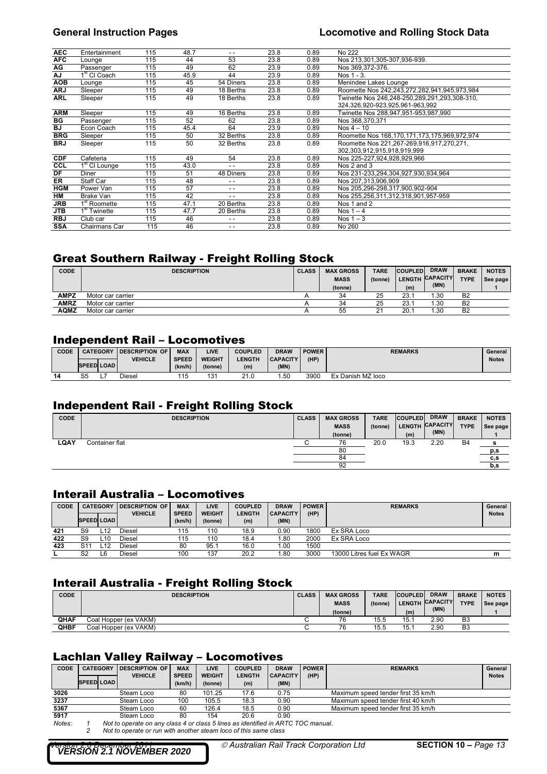| <b>AEC</b> | Entertainment                          | 115 | 48.7 | - -           | 23.8 | 0.89 | No 222                                        |
|------------|----------------------------------------|-----|------|---------------|------|------|-----------------------------------------------|
| <b>AFC</b> | Lounge                                 | 115 | 44   | 53            | 23.8 | 0.89 | Nos 213,301,305-307,936-939.                  |
| AG         | Passenger                              | 115 | 49   | 62            | 23.9 | 0.89 | Nos 369.372-376.                              |
| AJ         | 1 <sup>st</sup> CI Coach               | 115 | 45.9 | 44            | 23.9 | 0.89 | Nos 1 - 3.                                    |
| <b>AOB</b> | Lounge                                 | 115 | 45   | 54 Diners     | 23.8 | 0.89 | Menindee Lakes Lounge                         |
| <b>ARJ</b> | Sleeper                                | 115 | 49   | 18 Berths     | 23.8 | 0.89 | Roomette Nos 242,243,272,282,941,945,973,984  |
| <b>ARL</b> | Sleeper                                | 115 | 49   | 18 Berths     | 23.8 | 0.89 | Twinette Nos 246,248-250,289,291,293,308-310, |
|            |                                        |     |      |               |      |      | 324,326,920-923,925,961-963,992               |
| <b>ARM</b> | Sleeper                                | 115 | 49   | 16 Berths     | 23.8 | 0.89 | Twinette Nos 288,947,951-953,987,990          |
| BG         | Passenger                              | 115 | 52   | 62            | 23.8 | 0.89 | Nos 368,370,371                               |
| <b>BJ</b>  | Econ Coach                             | 115 | 45.4 | 64            | 23.9 | 0.89 | Nos $4 - 10$                                  |
| <b>BRG</b> | Sleeper                                | 115 | 50   | 32 Berths     | 23.8 | 0.89 | Roomette Nos 168,170,171,173,175,969,972,974  |
| <b>BRJ</b> | Sleeper                                | 115 | 50   | 32 Berths     | 23.8 | 0.89 | Roomette Nos 221,267-269,916,917,270,271,     |
|            |                                        |     |      |               |      |      | 302,303,912,915,918,919,999                   |
| <b>CDF</b> | Cafeteria                              | 115 | 49   | 54            | 23.8 | 0.89 | Nos 225-227,924,928,929,966                   |
| CCL        | $\overline{1}$ <sup>st</sup> CI Lounge | 115 | 43.0 | $\sim$ $\sim$ | 23.8 | 0.89 | Nos 2 and 3                                   |
| DF         | Diner                                  | 115 | 51   | 48 Diners     | 23.8 | 0.89 | Nos 231-233,294,304,927,930,934,964           |
| ER         | Staff Car                              | 115 | 48   | $ -$          | 23.8 | 0.89 | Nos 207.313.906.909                           |
| <b>HGM</b> | Power Van                              | 115 | 57   | $ -$          | 23.8 | 0.89 | Nos 205,296-298,317,900,902-904               |
| HM         | Brake Van                              | 115 | 42   | $ -$          | 23.8 | 0.89 | Nos 255,256,311,312,318,901,957-959           |
| JRB        | 1 <sup>st</sup> Roomette               | 115 | 47.1 | 20 Berths     | 23.8 | 0.89 | Nos 1 and 2                                   |
| <b>JTB</b> | 1 <sup>st</sup> Twinette               | 115 | 47.7 | 20 Berths     | 23.8 | 0.89 | Nos $1 - 4$                                   |
| <b>RBJ</b> | Club car                               | 115 | 46   | - -           | 23.8 | 0.89 | Nos $1 - 3$                                   |
| <b>SSA</b> | Chairmans Car                          | 115 | 46   | - -           | 23.8 | 0.89 | No 260                                        |

## Great Southern Railway - Freight Rolling Stock

| <b>CODE</b> | <b>DESCRIPTION</b> | <b>CLASS</b> | <b>MAX GROSS</b> | <b>TARE</b> | <b>COUPLED</b> | <b>DRAW</b>     | <b>BRAKE</b>   | <b>NOTES</b> |
|-------------|--------------------|--------------|------------------|-------------|----------------|-----------------|----------------|--------------|
|             |                    |              | <b>MASS</b>      | (tonne)     |                | LENGTH CAPACITY | <b>TYPE</b>    | See page     |
|             |                    |              | (tonne)          |             | (m)            | (MN)            |                |              |
| AMPZ        | Motor car carrier  |              | 34               | 25          | 23.7           | .30             | B <sub>2</sub> |              |
| <b>AMRZ</b> | Motor car carrier  |              | 34               | 25          | 23.1           | .30             | B <sub>2</sub> |              |
| <b>AQMZ</b> | Motor car carrier  |              | 55               | つィ          | 20.7           | .30             | B <sub>2</sub> |              |

## Independent Rail – Locomotives

| CODE |                   | <b>CATEGORY</b> | <b>IDESCRIPTION</b><br><b>OF</b> | <b>MAX</b>   | LIVE          | <b>COUPLED</b> | <b>DRAW</b>     | <b>POWER</b> | <b>REMARKS</b>    | General      |
|------|-------------------|-----------------|----------------------------------|--------------|---------------|----------------|-----------------|--------------|-------------------|--------------|
|      |                   |                 | <b>VEHICLE</b>                   | <b>SPEED</b> | <b>WEIGHT</b> | <b>LENGTH</b>  | <b>CAPACITY</b> | (HIP)        |                   | <b>Notes</b> |
|      | <b>SPEED LOAD</b> |                 |                                  | (km/h)       | (tonne)       | (m)            | (MN)            |              |                   |              |
| 14   |                   |                 | Diesel                           | 115          | 131           | 210            | .50             | 3900         | Ex Danish MZ loco |              |

### Independent Rail - Freight Rolling Stock

| <b>CODE</b> | <b>DESCRIPTION</b> | <b>CLASS</b> | <b>MAX GROSS</b> | <b>TARE</b> | <b>COUPLED</b> | <b>DRAW</b>     | <b>BRAKE</b> | <b>NOTES</b> |
|-------------|--------------------|--------------|------------------|-------------|----------------|-----------------|--------------|--------------|
|             |                    |              | <b>MASS</b>      | (tonne)     |                | LENGTH CAPACITY | <b>TYPE</b>  | See page     |
|             |                    |              | (tonne)          |             | (m)            | (MN)            |              |              |
| <b>LQAY</b> | Container flat     |              | 76               | 20.0        | 19.3           | 2.20            | <b>B4</b>    | Ð            |
|             |                    |              | 80               |             |                |                 |              | p,s          |
|             |                    |              | 84               |             |                |                 |              | c,s          |
|             |                    |              | 92               |             |                |                 |              | b,s          |

## Interail Australia – Locomotives

| <b>CODE</b> | <b>CATEGORY</b>   |     | <b>IDESCRIPTION OF</b> | <b>MAX</b>   | LIVE          | <b>COUPLED</b> | <b>DRAW</b>     | <b>POWER</b> | <b>REMARKS</b>            | General      |
|-------------|-------------------|-----|------------------------|--------------|---------------|----------------|-----------------|--------------|---------------------------|--------------|
|             |                   |     | <b>VEHICLE</b>         | <b>SPEED</b> | <b>WEIGHT</b> | <b>LENGTH</b>  | <b>CAPACITY</b> | (HP)         |                           | <b>Notes</b> |
|             | <b>SPEED LOAD</b> |     |                        | (km/h)       | (tonne)       | (m)            | (MN)            |              |                           |              |
| 421         | S9                | L12 | Diesel                 | 115          | 110           | 18.9           | 0.90            | 1800         | Ex SRA Loco               |              |
| 422         | S9                | L10 | Diesel                 | 115          | 110           | 18.4           | .80             | 2000         | Ex SRA Loco               |              |
| 423         | S11               |     | Diesel                 | 80           | 95.1          | 16.0           | 1.00            | 1500         |                           |              |
|             | S2                | L6  | Diesel                 | 100          | 137           | 20.2           | .80             | 3000         | 13000 Litres fuel Ex WAGR | m            |

## Interail Australia - Freight Rolling Stock

| <b>CODE</b> | <b>DESCRIPTION</b>    | <b>CLASS</b> | <b>MAX GROSS</b><br><b>MASS</b><br>(tonne) | <b>TARE</b><br>(tonne) | <b>COUPLED</b><br>(m) | <b>DRAW</b><br>LENGTH CAPACITY<br>(MN) | <b>BRAKE</b><br><b>TYPE</b> | <b>NOTES</b><br>See page |
|-------------|-----------------------|--------------|--------------------------------------------|------------------------|-----------------------|----------------------------------------|-----------------------------|--------------------------|
| <b>QHAF</b> | Coal Hopper (ex VAKM) |              | 76                                         | 15.5                   | 15.1                  | 2.90                                   | B <sub>3</sub>              |                          |
| <b>QHBF</b> | Coal Hopper (ex VAKM) |              | 76                                         | 15.5                   | 15.1                  | 2.90                                   | B <sub>3</sub>              |                          |

## Lachlan Valley Railway – Locomotives

| CODE   | <b>CATEGORY</b>   | <b>IDESCRIPTION OF</b><br><b>VEHICLE</b>                                         | <b>MAX</b><br><b>SPEED</b> | <b>LIVE</b><br><b>WEIGHT</b> | <b>COUPLED</b><br><b>LENGTH</b> | <b>DRAW</b><br><b>CAPACITY</b> | <b>POWER</b><br>(HP) | <b>REMARKS</b>                     | General<br><b>Notes</b> |
|--------|-------------------|----------------------------------------------------------------------------------|----------------------------|------------------------------|---------------------------------|--------------------------------|----------------------|------------------------------------|-------------------------|
|        | <b>SPEED LOAD</b> |                                                                                  | (km/h)                     | (tonne)                      | (m)                             | (MN)                           |                      |                                    |                         |
|        |                   |                                                                                  |                            |                              |                                 |                                |                      |                                    |                         |
| 3026   |                   | Steam Loco                                                                       | 80                         | 101.25                       | 17.6                            | 0.75                           |                      | Maximum speed tender first 35 km/h |                         |
| 3237   |                   | Steam Loco                                                                       | 100                        | 105.5                        | 18.3                            | 0.90                           |                      | Maximum speed tender first 40 km/h |                         |
| 5367   |                   | Steam Loco                                                                       | 60                         | 126.4                        | 18.5                            | 0.90                           |                      | Maximum speed tender first 35 km/h |                         |
| 5917   |                   | Steam Loco                                                                       | 80                         | 154                          | 20.6                            | 0.90                           |                      |                                    |                         |
| Notes: |                   | Not to operate on any class 4 or class 5 lines as identified in ARTC TOC manual. |                            |                              |                                 |                                |                      |                                    |                         |
|        |                   | Not to operate or run with another steam loco of this same class                 |                            |                              |                                 |                                |                      |                                    |                         |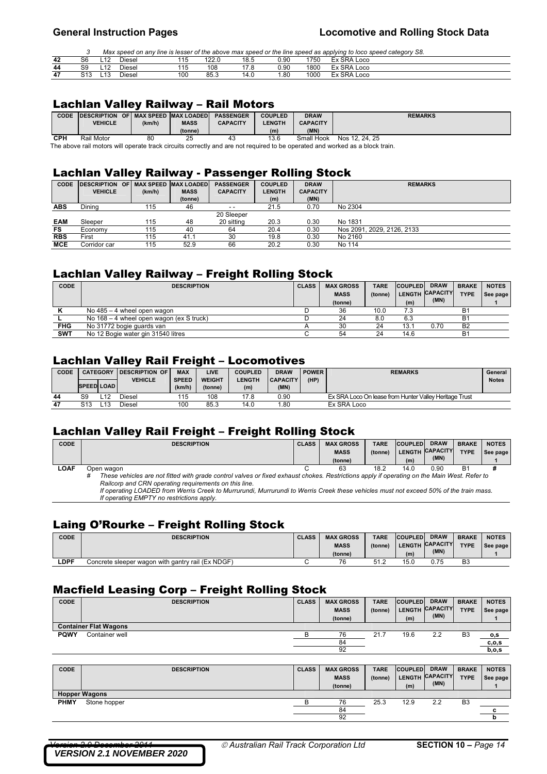*3 Max speed on any line is lesser of the above max speed or the line speed as applying to loco speed category S8.* 

| 42 | ົ<br>50      | L12 | Diesel             | .<br>ں ،             | ח ררו<br>22.U | 18.5        | 0.90        | 1750 | TY SRA Loco |  |
|----|--------------|-----|--------------------|----------------------|---------------|-------------|-------------|------|-------------|--|
| 44 | S9           | L12 | Diesel             | 115<br>ں ا           | 108           | ە 1-<br>7.0 | 0.90        | 1800 | 도x SRA Loco |  |
| 47 | ົາລ<br>ں ا ت | L13 | <b>Diesel</b><br>. | 100<br>$\sim$ $\sim$ | 85.3<br>.     | 14.0        | .80<br>$ -$ | 1000 | Ex SRA Loco |  |

### Lachlan Valley Railway – Rail Motors

| <b>CODE</b> | <b>IDESCRIPTION</b> |        | OF I MAX SPEED MAX LOADED | <b>PASSENGER</b> | <b>COUPLED</b> | <b>DRAW</b>     | <b>REMARKS</b> |
|-------------|---------------------|--------|---------------------------|------------------|----------------|-----------------|----------------|
|             | <b>VEHICLE</b>      | (km/h) | <b>MASS</b>               | <b>CAPACITY</b>  | <b>LENGTH</b>  | <b>CAPACITY</b> |                |
|             |                     |        | (tonne)                   |                  | (m)            | (MN)            |                |
| CPH         | Rail Motor          | 80     | 25                        |                  | 13.6           | Small Hook      | Nos 12, 24, 25 |

The above rail motors will operate track circuits correctly and are not required to be operated and worked as a block train.

## Lachlan Valley Railway - Passenger Rolling Stock

| <b>CODE</b> | <b>DESCRIPTION OF MAX SPEED MAX LOADED</b> |        |             | <b>PASSENGER</b> | <b>COUPLED</b> | <b>DRAW</b>     | <b>REMARKS</b>             |
|-------------|--------------------------------------------|--------|-------------|------------------|----------------|-----------------|----------------------------|
|             | <b>VEHICLE</b>                             | (km/h) | <b>MASS</b> | <b>CAPACITY</b>  | <b>LENGTH</b>  | <b>CAPACITY</b> |                            |
|             |                                            |        | (tonne)     |                  | (m)            | (MN)            |                            |
| <b>ABS</b>  | Dinina                                     | 115    | 46          | $ -$             | 21.5           | 0.70            | No 2304                    |
|             |                                            |        |             | 20 Sleeper       |                |                 |                            |
| <b>EAM</b>  | Sleeper                                    | 115    | 48          | 20 sitting       | 20.3           | 0.30            | No 1831                    |
| FS          | Economy                                    | 115    | 40          | 64               | 20.4           | 0.30            | Nos 2091, 2029, 2126, 2133 |
| <b>RBS</b>  | First                                      | 115    | 41.1        | 30               | 19.8           | 0.30            | No 2160                    |
| MCE         | Corridor car                               | 115    | 52.9        | 66               | 20.2           | 0.30            | No 114                     |

## Lachlan Valley Railway – Freight Rolling Stock

| <b>CODE</b> | <b>DESCRIPTION</b>                       | <b>CLASS</b> | <b>MAX GROSS</b> | <b>TARE</b> | <b>COUPLED</b> | <b>DRAW</b>     | <b>BRAKE</b> | <b>NOTES</b> |
|-------------|------------------------------------------|--------------|------------------|-------------|----------------|-----------------|--------------|--------------|
|             |                                          |              | <b>MASS</b>      | (tonne)     |                | LENGTH CAPACITY | <b>TYPE</b>  | See page     |
|             |                                          |              | (tonne)          |             | (m)            | (MN)            |              |              |
|             | No $485 - 4$ wheel open wagon            |              | 36               | 10.0        | 7.3            |                 | <b>B1</b>    |              |
|             | No 168 – 4 wheel open wagon (ex S truck) |              | 24               | 8.0         | 6.3            |                 | <b>B1</b>    |              |
| FHG         | No 31772 bogie quards van                |              | 30               | 24          | 13.1           | 0.70            | <b>B2</b>    |              |
| SWT         | No 12 Bogie water gin 31540 litres       |              | 54               | 24          | 14.6           |                 | <b>B1</b>    |              |

# Lachlan Valley Rail Freight – Locomotives

| CODE | <b>CATEGORY</b>   |                | <b>IDESCRIPTION OF</b> | <b>MAX</b>   | <b>LIVE</b>   | <b>COUPLED</b> |                 | <b>POWER</b> | <b>REMARKS</b>                                         | General      |
|------|-------------------|----------------|------------------------|--------------|---------------|----------------|-----------------|--------------|--------------------------------------------------------|--------------|
|      |                   | <b>VEHICLE</b> |                        | <b>SPEED</b> | <b>WEIGHT</b> | <b>LENGTH</b>  | <b>CAPACITY</b> | (HP)         |                                                        | <b>Notes</b> |
|      | <b>SPEED LOAD</b> |                |                        | (km/h)       | (tonne)       | (m)            | (MN)            |              |                                                        |              |
| 44   | S9                |                | Diesel                 | 115          | 108           | 17.8           | 0.90            |              | Ex SRA Loco On lease from Hunter Valley Heritage Trust |              |
| 47   | S13               |                | Diesel                 | 100          | 85.3          | 14.0           | .80             |              | Ex SRA Loco                                            |              |

## Lachlan Valley Rail Freight – Freight Rolling Stock

| <b>CODE</b> | <b>DESCRIPTION</b>                                                                                                                               | <b>CLASS</b> | <b>MAX GROSS</b> | <b>TARE</b> | <b>COUPLED</b> | <b>DRAW</b>     | <b>BRAKE</b> | <b>NOTES</b> |
|-------------|--------------------------------------------------------------------------------------------------------------------------------------------------|--------------|------------------|-------------|----------------|-----------------|--------------|--------------|
|             |                                                                                                                                                  |              | <b>MASS</b>      | (tonne)     | <b>LENGTH</b>  | <b>CAPACITY</b> | <b>TYPE</b>  | See page     |
|             |                                                                                                                                                  |              | (tonne)          |             | (m)            | (MN)            |              |              |
| LOAF        | Open wagon                                                                                                                                       |              | 63               | 18.2        | 14.0           | 0.90            | Β1           |              |
|             | These vehicles are not fitted with grade control valves or fixed exhaust chokes. Restrictions apply if operating on the Main West. Refer to<br># |              |                  |             |                |                 |              |              |
|             | Railcorp and CRN operating requirements on this line.                                                                                            |              |                  |             |                |                 |              |              |
|             | If operating LOADED from Werris Creek to Murrurundi, Murrurundi to Werris Creek these vehicles must not exceed 50% of the train mass             |              |                  |             |                |                 |              |              |

 *If operating LOADED from Werris Creek to Murrurundi, Murrurundi to Werris Creek these vehicles must not exceed 50% of the train mass. If operating EMPTY no restrictions apply.* 

## Laing O'Rourke – Freight Rolling Stock

| CODE        | <b>DESCRIPTION</b>                                | <b>CLASS</b> | <b>MAX GROSS</b> | <b>TARE</b> | <b>COUPLED</b> | <b>DRAW</b>     | <b>BRAKE</b> | <b>NOTES</b> |
|-------------|---------------------------------------------------|--------------|------------------|-------------|----------------|-----------------|--------------|--------------|
|             |                                                   |              | <b>MASS</b>      | (tonne)     |                | LENGTH CAPACITY | <b>TYPE</b>  | See page     |
|             |                                                   |              | (tonne)          |             | (m)            | (MN)            |              |              |
| <b>LDPF</b> | Concrete sleeper wagon with gantry rail (Ex NDGF) |              | 76               | 51<br>ــ    | 15.0           | 0.75            | B3           |              |

## Macfield Leasing Corp – Freight Rolling Stock

| <b>CODE</b> | <b>DESCRIPTION</b>           | <b>CLASS</b> | <b>MAX GROSS</b> | <b>TARE</b> | <b>COUPLED</b> | <b>DRAW</b>     | <b>BRAKE</b>   | <b>NOTES</b> |
|-------------|------------------------------|--------------|------------------|-------------|----------------|-----------------|----------------|--------------|
|             |                              |              | <b>MASS</b>      | (tonne)     | <b>LENGTH</b>  | <b>CAPACITY</b> | <b>TYPE</b>    | See page     |
|             |                              |              | (tonne)          |             | (m)            | (MN)            |                |              |
|             | <b>Container Flat Wagons</b> |              |                  |             |                |                 |                |              |
| <b>PQWY</b> | Container well               |              | 76               | 21.7        | 19.6           | 2.2             | B <sub>3</sub> | <u>0,S</u>   |
|             |                              |              | 84               |             |                |                 |                | c, o, s      |
|             |                              |              | 92               |             |                |                 |                | b, o, s      |
|             |                              |              |                  |             |                |                 |                |              |

| CODE        | <b>DESCRIPTION</b>   | <b>CLASS</b> | <b>MAX GROSS</b><br><b>MASS</b><br>(tonne) | <b>TARE</b><br>(tonne) | <b>COUPLED</b><br>(m) | <b>DRAW</b><br>LENGTH CAPACITY<br>(MN) | <b>BRAKE</b><br><b>TYPE</b> | <b>NOTES</b><br>See page |
|-------------|----------------------|--------------|--------------------------------------------|------------------------|-----------------------|----------------------------------------|-----------------------------|--------------------------|
|             | <b>Hopper Wagons</b> |              |                                            |                        |                       |                                        |                             |                          |
| <b>PHMY</b> | Stone hopper         |              | 76                                         | 25.3                   | 12.9                  | 2.2                                    | B <sub>3</sub>              |                          |
|             |                      |              | 84                                         |                        |                       |                                        |                             |                          |
|             |                      |              | 92                                         |                        |                       |                                        |                             |                          |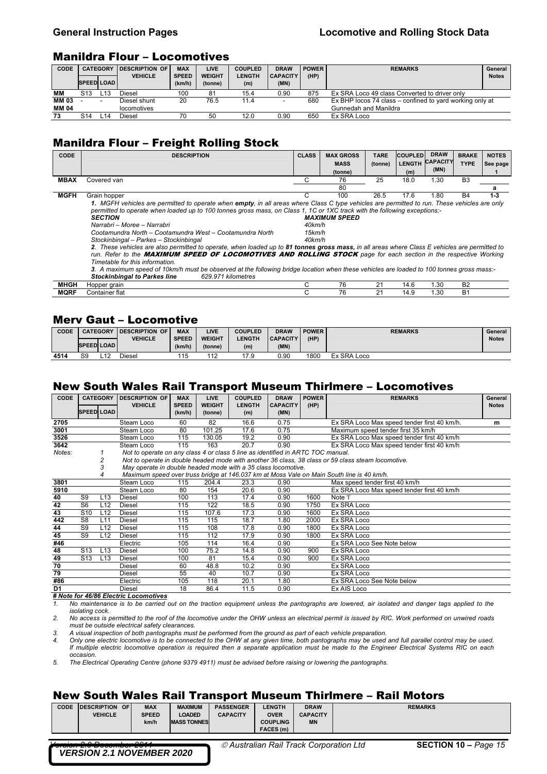### **General Instruction Pages Locomotive and Rolling Stock Data**

### Manildra Flour – Locomotives

| CODE  | <b>CATEGORY</b>   |     | <b>IDESCRIPTION OF</b> | <b>MAX</b>   | <b>LIVE</b>   | <b>COUPLED</b> | <b>DRAW</b>              | <b>POWER</b> | <b>REMARKS</b>                                           | General      |  |  |  |
|-------|-------------------|-----|------------------------|--------------|---------------|----------------|--------------------------|--------------|----------------------------------------------------------|--------------|--|--|--|
|       |                   |     | <b>VEHICLE</b>         | <b>SPEED</b> | <b>WEIGHT</b> | <b>LENGTH</b>  | <b>CAPACITY</b>          | (HP)         |                                                          | <b>Notes</b> |  |  |  |
|       | <b>SPEED LOAD</b> |     |                        | (km/h)       | (tonne)       | (m)            | (MN)                     |              |                                                          |              |  |  |  |
| MМ    | S13               | L13 | Diesel                 | 100          | 81            | 15.4           | 0.90                     | 875          | Ex SRA Loco 49 class Converted to driver only            |              |  |  |  |
| MM 03 |                   |     | Diesel shunt           | 20           | 76.5          | 11.4           | $\overline{\phantom{0}}$ | 680          | Ex BHP locos 74 class – confined to yard working only at |              |  |  |  |
| MM 04 |                   |     | locomotives            |              |               |                |                          |              | Gunnedah and Manildra                                    |              |  |  |  |
| 73    | S14               | L14 | Diesel                 | 70           | 50            | 12.0           | 0.90                     | 650          | Ex SRA Loco                                              |              |  |  |  |

### Manildra Flour – Freight Rolling Stock

| <b>CODE</b> | <b>DESCRIPTION</b>                                                                                                                            | <b>CLASS</b> | <b>MAX GROSS</b>     | <b>TARE</b> | <b>COUPLED</b> | <b>DRAW</b>     | <b>BRAKE</b>   | <b>NOTES</b> |
|-------------|-----------------------------------------------------------------------------------------------------------------------------------------------|--------------|----------------------|-------------|----------------|-----------------|----------------|--------------|
|             |                                                                                                                                               |              | <b>MASS</b>          | (tonne)     | <b>LENGTH</b>  | <b>CAPACITY</b> | <b>TYPE</b>    | See page     |
|             |                                                                                                                                               |              | (tonne)              |             | (m)            | (MN)            |                |              |
| <b>MBAX</b> | Covered van                                                                                                                                   | С            | 76                   | 25          | 18.0           | 1.30            | B <sub>3</sub> |              |
|             |                                                                                                                                               |              | 80                   |             |                |                 |                | a            |
| <b>MGFH</b> | Grain hopper                                                                                                                                  | C.           | 100                  | 26.5        | 17.6           | 1.80            | <b>B4</b>      | $1 - 3$      |
|             | 1. MGFH vehicles are permitted to operate when empty, in all areas where Class C type vehicles are permitted to run. These vehicles are only  |              |                      |             |                |                 |                |              |
|             | permitted to operate when loaded up to 100 tonnes gross mass, on Class 1, 1C or 1XC track with the following exceptions:-                     |              |                      |             |                |                 |                |              |
|             | <b>SECTION</b>                                                                                                                                |              | <b>MAXIMUM SPEED</b> |             |                |                 |                |              |
|             | Narrabri - Moree - Narrabri                                                                                                                   | 40km/h       |                      |             |                |                 |                |              |
|             | Cootamundra North - Cootamundra West - Cootamundra North                                                                                      | 15km/h       |                      |             |                |                 |                |              |
|             | Stockinbingal - Parkes - Stockinbingal                                                                                                        | $40$ km/h    |                      |             |                |                 |                |              |
|             | 2. These vehicles are also permitted to operate, when loaded up to 81 tonnes gross mass, in all areas where Class E vehicles are permitted to |              |                      |             |                |                 |                |              |
|             | run. Refer to the MAXIMUM SPEED OF LOCOMOTIVES AND ROLLING STOCK page for each section in the respective Working                              |              |                      |             |                |                 |                |              |
|             | Timetable for this information.                                                                                                               |              |                      |             |                |                 |                |              |
|             | 3. A maximum speed of 10km/h must be observed at the following bridge location when these vehicles are loaded to 100 tonnes gross mass:-      |              |                      |             |                |                 |                |              |
|             | <b>Stockinbingal to Parkes line</b><br>629.971 kilometres                                                                                     |              |                      |             |                |                 |                |              |
| МНGН        | Hopper grain                                                                                                                                  | C            | 76                   | 21          | 14.6           | 1.30            | <b>B2</b>      |              |
| <b>MQRF</b> | Container flat                                                                                                                                | С            | 76                   | 21          | 14.9           | 1.30            | <b>B1</b>      |              |

## Merv Gaut – Locomotive

| CODE |                   | <b>CATEGORY</b> | <b>IDESCRIPTION OF</b> | <b>MAX</b>             | LIVE                     | <b>COUPLED</b> | <b>DRAW</b>             | <b>POWER</b> |             | <b>REMARKS</b> | General      |
|------|-------------------|-----------------|------------------------|------------------------|--------------------------|----------------|-------------------------|--------------|-------------|----------------|--------------|
|      | <b>SPEED LOAD</b> |                 | <b>VEHICLE</b>         | <b>SPEED</b><br>(km/h) | <b>WEIGHT</b><br>(tonne) | <b>ENGTH</b>   | <b>CAPACITY</b><br>(MN) | (HP)         |             |                | <b>Notes</b> |
|      |                   |                 |                        |                        |                          | (m)            |                         |              |             |                |              |
| 4514 | S <sub>9</sub>    | L12             | Diesel                 | 115                    | 112                      | 17.9           | 0.90                    | 1800         | Ex SRA Loco |                |              |

### New South Wales Rail Transport Museum Thirlmere – Locomotives

| CODE            |                 | <b>CATEGORY</b>   | <b>DESCRIPTION OF</b><br><b>VEHICLE</b>                                         | <b>MAX</b><br><b>SPEED</b> | <b>LIVE</b><br><b>WEIGHT</b> | <b>COUPLED</b><br><b>LENGTH</b> | <b>DRAW</b><br><b>CAPACITY</b> | <b>POWER</b><br>(HP) | <b>REMARKS</b>                                                                                     | General<br><b>Notes</b> |
|-----------------|-----------------|-------------------|---------------------------------------------------------------------------------|----------------------------|------------------------------|---------------------------------|--------------------------------|----------------------|----------------------------------------------------------------------------------------------------|-------------------------|
|                 |                 | <b>SPEED LOAD</b> |                                                                                 | (km/h)                     | (tonne)                      | (m)                             | (MN)                           |                      |                                                                                                    |                         |
| 2705            |                 |                   | Steam Loco                                                                      | 60                         | 82                           | 16.6                            | 0.75                           |                      | Ex SRA Loco Max speed tender first 40 km/h.                                                        | m                       |
| 3001            |                 |                   | Steam Loco                                                                      | 80                         | 101.25                       | 17.6                            | 0.75                           |                      | Maximum speed tender first 35 km/h                                                                 |                         |
| 3526            |                 |                   | Steam Loco                                                                      | 115                        | 130.05                       | 19.2                            | 0.90                           |                      | Ex SRA Loco Max speed tender first 40 km/h                                                         |                         |
| 3642            |                 |                   | Steam Loco                                                                      | 115                        | 163                          | 20.7                            | 0.90                           |                      | Ex SRA Loco Max speed tender first 40 km/h                                                         |                         |
| Notes:          |                 |                   | Not to operate on any class 4 or class 5 line as identified in ARTC TOC manual. |                            |                              |                                 |                                |                      |                                                                                                    |                         |
|                 |                 |                   |                                                                                 |                            |                              |                                 |                                |                      | Not to operate in double headed mode with another 36 class, 38 class or 59 class steam locomotive. |                         |
|                 |                 | 3                 | May operate in double headed mode with a 35 class locomotive.                   |                            |                              |                                 |                                |                      |                                                                                                    |                         |
|                 |                 | 4                 |                                                                                 |                            |                              |                                 |                                |                      | Maximum speed over truss bridge at 146.037 km at Moss Vale on Main South line is 40 km/h.          |                         |
| 3801            |                 |                   | Steam Loco                                                                      | 115                        | 204.4                        | 23.3                            | 0.90                           |                      | Max speed tender first 40 km/h                                                                     |                         |
| 5910            |                 |                   | Steam Loco                                                                      | 80                         | 154                          | 20.6                            | 0.90                           |                      | Ex SRA Loco Max speed tender first 40 km/h                                                         |                         |
| 40              | S <sub>9</sub>  | L13               | <b>Diesel</b>                                                                   | 100                        | 113                          | 17.4                            | 0.90                           | 1600                 | Note 'l'                                                                                           |                         |
| 42              | S <sub>6</sub>  | L12               | <b>Diesel</b>                                                                   | 115                        | 122                          | 18.5                            | 0.90                           | 1750                 | Ex SRA Loco                                                                                        |                         |
| 43              | S <sub>10</sub> | L12               | <b>Diesel</b>                                                                   | 115                        | 107.6                        | 17.3                            | 0.90                           | 1600                 | Ex SRA Loco                                                                                        |                         |
| 442             | S8              | L <sub>11</sub>   | <b>Diesel</b>                                                                   | 115                        | 115                          | 18.7                            | 1.80                           | 2000                 | Ex SRA Loco                                                                                        |                         |
| 44              | S <sub>9</sub>  | L12               | <b>Diesel</b>                                                                   | 115                        | 108                          | 17.8                            | 0.90                           | 1800                 | Ex SRA Loco                                                                                        |                         |
| 45              | S <sub>9</sub>  | L12               | <b>Diesel</b>                                                                   | 115                        | 112                          | 17.9                            | 0.90                           | 1800                 | Ex SRA Loco                                                                                        |                         |
| #46             |                 |                   | Electric                                                                        | 105                        | 114                          | 16.4                            | 0.90                           |                      | Ex SRA Loco See Note below                                                                         |                         |
| 48              | S <sub>13</sub> | L13               | <b>Diesel</b>                                                                   | 100                        | 75.2                         | 14.8                            | 0.90                           | 900                  | Ex SRA Loco                                                                                        |                         |
| 49              | S <sub>13</sub> | L <sub>13</sub>   | <b>Diesel</b>                                                                   | 100                        | 81                           | 15.4                            | 0.90                           | 900                  | Ex SRA Loco                                                                                        |                         |
| $\overline{70}$ |                 |                   | Diesel                                                                          | 60                         | 48.8                         | 10.2                            | 0.90                           |                      | Ex SRA Loco                                                                                        |                         |
| 79              |                 |                   | <b>Diesel</b>                                                                   | 55                         | 40                           | 10.7                            | 0.90                           |                      | Ex SRA Loco                                                                                        |                         |
| #86             |                 |                   | Electric                                                                        | 105                        | 118                          | 20.1                            | 1.80                           |                      | Ex SRA Loco See Note below                                                                         |                         |
| D <sub>1</sub>  |                 |                   | Diesel                                                                          | 18                         | 86.4                         | 11.5                            | 0.90                           |                      | Ex AIS Loco                                                                                        |                         |

*# Note for 46/86 Electric Locomotives*

*1. No maintenance is to be carried out on the traction equipment unless the pantographs are lowered, air isolated and danger tags applied to the isolating cock.* 

*2. No access is permitted to the roof of the locomotive under the OHW unless an electrical permit is issued by RIC. Work performed on unwired roads must be outside electrical safety clearances.* 

*3. A visual inspection of both pantographs must be performed from the ground as part of each vehicle preparation.* 

*4. Only one electric locomotive is to be connected to the OHW at any given time, both pantographs may be used and full parallel control may be used. If multiple electric locomotive operation is required then a separate application must be made to the Engineer Electrical Systems RIC on each occasion.* 

*5. The Electrical Operating Centre (phone 9379 4911) must be advised before raising or lowering the pantographs.* 

### New South Wales Rail Transport Museum Thirlmere – Rail Motors

| <b>CODE</b> | <b>IDESCRIPTION OF</b> | <b>MAX</b>   | <b>MAXIMUM</b>     | <b>PASSENGER</b> | <b>LENGTH</b>   | <b>DRAW</b>     | <b>REMARKS</b> |
|-------------|------------------------|--------------|--------------------|------------------|-----------------|-----------------|----------------|
|             | <b>VEHICLE</b>         | <b>SPEED</b> | LOADED             | <b>CAPACITY</b>  | <b>OVER</b>     | <b>CAPACITY</b> |                |
|             |                        | km/h         | <b>MASS TONNES</b> |                  | <b>COUPLING</b> | <b>MN</b>       |                |
|             |                        |              |                    |                  | FACES (m)       |                 |                |
|             |                        |              |                    |                  |                 |                 |                |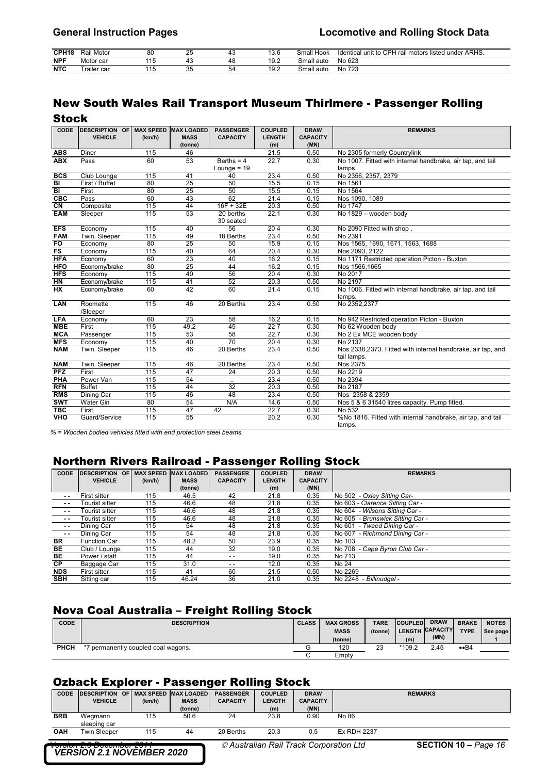| CPH <sub>18</sub> | Rail Motor  | 80        | $\sim$<br>ںے | ᠇◡      | 3.6  | Hook<br>Small | CPH<br>il motors listed under ARHS.<br>.<br>rai<br>Identical unit to |
|-------------------|-------------|-----------|--------------|---------|------|---------------|----------------------------------------------------------------------|
| <b>NPF</b>        | Motor car   | 11<br>، ا |              | 48      | 19.2 | Small auto    | No 623                                                               |
| <b>NTC</b>        | frailer car | 15<br>ں ا | $\sim$<br>ິ  | 57<br>◡ | 19.2 | Small auto    | No 723                                                               |

# New South Wales Rail Transport Museum Thirlmere - Passenger Rolling

| ı<br>v.<br>M.<br>۰.<br>۰,<br>۰, | ъ |
|---------------------------------|---|
|---------------------------------|---|

| <b>CODE</b>               | <b>DESCRIPTION OF</b><br><b>VEHICLE</b> | (km/h)          | <b>MAX SPEED MAX LOADED</b><br><b>MASS</b> | <b>PASSENGER</b><br><b>CAPACITY</b> | <b>COUPLED</b><br><b>LENGTH</b> | <b>DRAW</b><br><b>CAPACITY</b> | <b>REMARKS</b>                                                        |
|---------------------------|-----------------------------------------|-----------------|--------------------------------------------|-------------------------------------|---------------------------------|--------------------------------|-----------------------------------------------------------------------|
|                           |                                         |                 | (tonne)                                    |                                     | (m)                             | (MN)                           |                                                                       |
| <b>ABS</b>                | <b>Diner</b>                            | 115             | 46                                         |                                     | 21.5                            | 0.50                           | No 2305 formerly Countrylink                                          |
| <b>ABX</b>                | Pass                                    | 60              | 53                                         | Berths = $4$                        | 22.7                            | 0.30                           | No 1007. Fitted with internal handbrake, air tap, and tail            |
|                           |                                         |                 |                                            | Lounge = $19$                       |                                 |                                | lamps.                                                                |
| <b>BCS</b>                | Club Lounge                             | 115             | 41                                         | 40                                  | 23.4                            | 0.50                           | No 2356, 2357, 2379                                                   |
| BI                        | First / Buffet                          | 80              | 25                                         | 50                                  | 15.5                            | 0.15                           | No 1561                                                               |
| BI                        | First                                   | 80              | 25                                         | 50                                  | 15.5                            | 0.15                           | No 1564                                                               |
| CEC                       | Pass                                    | 60              | 43                                         | 62                                  | 21.4                            | 0.15                           | Nos 1090, 1089                                                        |
| $\overline{\mathsf{C}}$ N | Composite                               | 115             | 44                                         | $16F + 32E$                         | 20.3                            | 0.50                           | No 1747                                                               |
| <b>EAM</b>                | Sleeper                                 | 115             | 53                                         | 20 berths<br>30 seated              | 22.1                            | 0.30                           | No 1829 - wooden body                                                 |
| <b>EFS</b>                | Economy                                 | 115             | 40                                         | 56                                  | 204                             | 0.30                           | No 2090 Fitted with shop.                                             |
| <b>FAM</b>                | Twin. Sleeper                           | 115             | 49                                         | 18 Berths                           | 23.4                            | 0.50                           | No 2391                                                               |
| <b>FO</b>                 | Economy                                 | 80              | 25                                         | 50                                  | 15.9                            | 0.15                           | Nos 1565, 1690, 1671, 1563, 1688                                      |
| <b>FS</b>                 | Economy                                 | 115             | 40                                         | 64                                  | 20.4                            | 0.30                           | Nos 2093, 2122                                                        |
| <b>HFA</b>                | Economy                                 | 60              | 23                                         | 40                                  | 16.2                            | 0.15                           | No 1171 Restricted operation Picton - Buxton                          |
| <b>HFO</b>                | Economy/brake                           | 80              | $\overline{25}$                            | 44                                  | 16.2                            | 0.15                           | Nos 1566,1665                                                         |
| <b>HFS</b>                | Economy                                 | $\frac{115}{2}$ | 40                                         | 56                                  | $\overline{204}$                | 0.30                           | No 2017                                                               |
| <b>HN</b>                 | Economy/brake                           | 115             | 41                                         | 52                                  | 20.3                            | 0.50                           | No 2197                                                               |
| <b>HX</b>                 | Economy/brake                           | 60              | 42                                         | 60                                  | 21.4                            | 0.15                           | No 1006. Fitted with internal handbrake, air tap, and tail<br>lamps.  |
| <b>LAN</b>                | Roomette<br>/Sleeper                    | 115             | 46                                         | 20 Berths                           | 23.4                            | 0.50                           | No 2352.2377                                                          |
| <b>LFA</b>                | Economy                                 | 60              | 23                                         | 58                                  | 16.2                            | 0.15                           | No 942 Restricted operation Picton - Buxton                           |
| <b>MBE</b>                | First                                   | 115             | 49.2                                       | 45                                  | 227                             | 0.30                           | No 62 Wooden body                                                     |
| <b>MCA</b>                | Passenger                               | 115             | 53                                         | 58                                  | 22.7                            | 0.30                           | No 2 Ex MCE wooden body                                               |
| <b>MFS</b>                | Economy                                 | 115             | 40                                         | $\overline{70}$                     | 204                             | 0.30                           | No 2137                                                               |
| <b>NAM</b>                | Twin. Sleeper                           | $\frac{115}{2}$ | 46                                         | 20 Berths                           | 23.4                            | 0.50                           | Nos 2338,2373. Fitted with internal handbrake, air tap, and           |
|                           |                                         |                 |                                            |                                     |                                 |                                | tail lamps.                                                           |
| <b>NAM</b>                | Twin. Sleeper                           | 115             | 46                                         | 20 Berths                           | 23.4                            | 0.50                           | Nos 2375                                                              |
| <b>PFZ</b>                | First                                   | 115             | 47                                         | 24                                  | 203                             | 0.50                           | No 2219                                                               |
| PHA                       | Power Van                               | 115             | 54                                         |                                     | 23.4                            | 0.50                           | No 2394                                                               |
| <b>RFN</b>                | <b>Buffet</b>                           | 115             | 44                                         | 32                                  | $\overline{20.3}$               | 0.50                           | No 2187                                                               |
| <b>RMS</b>                | Dining Car                              | 115             | 46                                         | 48                                  | 23.4                            | 0.50                           | Nos 2358 & 2359                                                       |
| <b>SWT</b>                | <b>Water Gin</b>                        | 80              | 54                                         | N/A                                 | 14.6                            | 0.50                           | Nos 5 & 6 31540 litres capacity. Pump fitted.                         |
| <b>TBC</b>                | First                                   | 115             | 47                                         | 42                                  | 227                             | 0.30                           | No 532                                                                |
| <b>VHO</b>                | Guard/Service                           | 115             | 55                                         |                                     | 20.2                            | 0.30                           | %No 1816. Fitted with internal handbrake, air tap, and tail<br>lamps. |

*% = Wooden bodied vehicles fitted with end protection steel beams.* 

# Northern Rivers Railroad - Passenger Rolling Stock

| <b>CODE</b>   | <b>DESCRIPTION</b><br>OF | <b>MAX SPEED</b> | <b>MAX LOADED</b> | <b>PASSENGER</b> | <b>COUPLED</b> | <b>DRAW</b>     | <b>REMARKS</b>                    |
|---------------|--------------------------|------------------|-------------------|------------------|----------------|-----------------|-----------------------------------|
|               | <b>VEHICLE</b>           | (km/h)           | <b>MASS</b>       | <b>CAPACITY</b>  | <b>LENGTH</b>  | <b>CAPACITY</b> |                                   |
|               |                          |                  | (tonne)           |                  | (m)            | (MN)            |                                   |
| $\sim$ $\sim$ | First sitter             | 115              | 46.5              | 42               | 21.8           | 0.35            | No 502 - Oxley Sitting Car-       |
| $\sim$ $\sim$ | Tourist sitter           | 115              | 46.6              | 48               | 21.8           | 0.35            | No 603 - Clarence Sitting Car -   |
| $\sim$ $\sim$ | Tourist sitter           | 115              | 46.6              | 48               | 21.8           | 0.35            | No 604 - Wilsons Sitting Car -    |
| $\sim$ $\sim$ | Tourist sitter           | 115              | 46.6              | 48               | 21.8           | 0.35            | No 605 - Brunswick Sitting Car -  |
| $\sim$ $\sim$ | Dining Car               | 115              | 54                | 48               | 21.8           | 0.35            | - Tweed Dining Car -<br>No 601    |
| $\sim$ $\sim$ | Dining Car               | 115              | 54                | 48               | 21.8           | 0.35            | No 607 - Richmond Dining Car -    |
| <b>BR</b>     | <b>Function Car</b>      | 115              | 48.2              | 50               | 23.9           | 0.35            | No 103                            |
| BE            | Club / Lounge            | 115              | 44                | 32               | 19.0           | 0.35            | - Cape Byron Club Car -<br>No 708 |
| BE            | Power / staff            | 115              | 44                | $ -$             | 19.0           | 0.35            | No 713                            |
| <b>CP</b>     | Baggage Car              | 115              | 31.0              | $ -$             | 12.0           | 0.35            | No 24                             |
| <b>NDS</b>    | First sitter             | 115              | 41                | 60               | 21.5           | 0.50            | No 2269                           |
| <b>SBH</b>    | Sitting car              | 115              | 46.24             | 36               | 21.0           | 0.35            | No 2248 - Billinudgel -           |

## Nova Coal Australia – Freight Rolling Stock

| <b>CODE</b> | <b>DESCRIPTION</b>               | <b>CLASS</b> | <b>MAX GROSS</b><br><b>MASS</b><br>(tonne) | <b>TARE</b><br>(tonne) | <b>COUPLED</b><br>(m) | <b>DRAW</b><br>LENGTH CAPACITY<br>(MN) | <b>BRAKE</b><br><b>TYPE</b> | <b>NOTES</b><br>See page |
|-------------|----------------------------------|--------------|--------------------------------------------|------------------------|-----------------------|----------------------------------------|-----------------------------|--------------------------|
| PHCH        | permanently coupled coal wagons. |              | 120                                        | 23                     | *109.2                | 2.45                                   | $\bullet$ B4                |                          |
|             |                                  |              | Empty                                      |                        |                       |                                        |                             |                          |

## Ozback Explorer - Passenger Rolling Stock

|                                                                    |                                            |        | ------      | -9----------     | -------        |                 |                         |                |
|--------------------------------------------------------------------|--------------------------------------------|--------|-------------|------------------|----------------|-----------------|-------------------------|----------------|
| <b>CODE</b>                                                        | <b>DESCRIPTION OF MAX SPEED MAX LOADED</b> |        |             | <b>PASSENGER</b> | <b>COUPLED</b> | <b>DRAW</b>     |                         | <b>REMARKS</b> |
|                                                                    | <b>VEHICLE</b>                             | (km/h) | <b>MASS</b> | <b>CAPACITY</b>  | <b>LENGTH</b>  | <b>CAPACITY</b> |                         |                |
|                                                                    |                                            |        | (tonne)     |                  | (m)            | (MN)            |                         |                |
| <b>BRB</b>                                                         | Wegmann<br>sleeping car                    | 115    | 50.6        | 24               | 23.8           | 0.90            | No 86                   |                |
| OAH                                                                | <b>Twin Sleeper</b>                        | 115    | 44          | 20 Berths        | 20.3           | 0.5             | <b>Ex RDH 2237</b>      |                |
| ----<br>$\cdot$ $\cdot$<br>A Australian Pail Track Corporation Ltd |                                            |        |             |                  |                |                 | CECTION 40 $D_{200}$ 46 |                |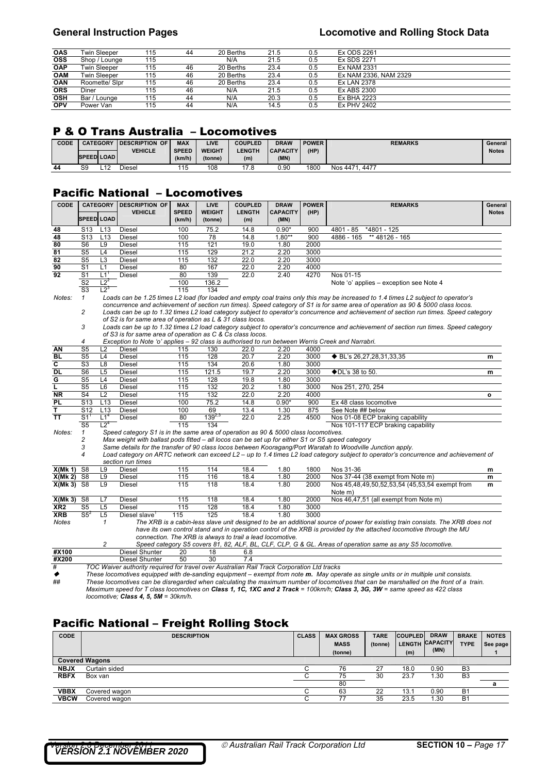| <b>OAS</b> | Twin Sleeper   | 115 | 44 | 20 Berths | 21.5 | 0.5 | Ex ODS 2261           |
|------------|----------------|-----|----|-----------|------|-----|-----------------------|
| <b>OSS</b> | Shop / Lounge  | 115 |    | N/A       | 21.5 | 0.5 | Ex SDS 2271           |
| <b>OAP</b> | Twin Sleeper   | 115 | 46 | 20 Berths | 23.4 | 0.5 | Ex NAM 2331           |
| <b>OAM</b> | Twin Sleeper   | 115 | 46 | 20 Berths | 23.4 | 0.5 | Ex NAM 2336, NAM 2329 |
| OAN        | Roomette/ Slpr | 115 | 46 | 20 Berths | 23.4 | 0.5 | Ex LAN 2378           |
| ORS        | Diner          | 115 | 46 | N/A       | 21.5 | 0.5 | Ex ABS 2300           |
| OSH        | Bar / Lounge   | 115 | 44 | N/A       | 20.3 | 0.5 | Ex BHA 2223           |
| <b>OPV</b> | Power Van      | 115 | 44 | N/A       | 14.5 | 0.5 | <b>Ex PHV 2402</b>    |
|            |                |     |    |           |      |     |                       |

## P & O Trans Australia – Locomotives

| CODE |                   | <b>CATEGORY</b> | <b>IDESCRIPTION OF</b> | <b>MAX</b>   | LIVE          | <b>COUPLED</b> | <b>DRAW</b>     | <b>POWER</b> | <b>REMARKS</b>      | General      |
|------|-------------------|-----------------|------------------------|--------------|---------------|----------------|-----------------|--------------|---------------------|--------------|
|      |                   |                 | <b>VEHICLE</b>         | <b>SPEED</b> | <b>WEIGHT</b> | <b>LENGTH</b>  | <b>CAPACITY</b> | (HP)         |                     | <b>Notes</b> |
|      | <b>SPEED LOAD</b> |                 |                        | (km/h)       | (tonne)       | (m)            | (MN)            |              |                     |              |
| 44   | S9                | L12             | <b>Diesel</b>          | 115          | 108           | 17.8           | 0.90            | 1800         | Nos 4471,<br>. 4477 |              |

### Pacific National – Locomotives

| <b>CODE</b>     | <b>CATEGORY</b>   |                   | <b>DESCRIPTION OF</b>                                                                            | <b>MAX</b>   | <b>LIVE</b>   | <b>COUPLED</b>                                            | <b>DRAW</b>     | <b>POWER</b> | <b>REMARKS</b>                                                                                                                          | General      |
|-----------------|-------------------|-------------------|--------------------------------------------------------------------------------------------------|--------------|---------------|-----------------------------------------------------------|-----------------|--------------|-----------------------------------------------------------------------------------------------------------------------------------------|--------------|
|                 |                   |                   | <b>VEHICLE</b>                                                                                   | <b>SPEED</b> | <b>WEIGHT</b> | <b>LENGTH</b>                                             | <b>CAPACITY</b> | (HP)         |                                                                                                                                         | <b>Notes</b> |
|                 | <b>SPEED LOAD</b> |                   |                                                                                                  | (km/h)       | (tonne)       | (m)                                                       | (MN)            |              |                                                                                                                                         |              |
| 48              | S <sub>13</sub>   | L <sub>13</sub>   | Diesel                                                                                           | 100          | 75.2          | 14.8                                                      | $0.90*$         | 900          | 4801 - 85<br>*4801 - 125                                                                                                                |              |
| 48              | S <sub>13</sub>   | L <sub>13</sub>   | Diesel                                                                                           | 100          | 78            | 14.8                                                      | $1.80**$        | 900          | $4886 - 165$<br>** 48126 - 165                                                                                                          |              |
| 80              | S <sub>6</sub>    | L <sub>9</sub>    | Diesel                                                                                           | 115          | 121           | 19.0                                                      | 1.80            | 2000         |                                                                                                                                         |              |
| 81              | S <sub>5</sub>    | L4                | <b>Diesel</b>                                                                                    | 115          | 129           | 21.2                                                      | 2.20            | 3000         |                                                                                                                                         |              |
| 82              | S <sub>5</sub>    | L <sub>3</sub>    | <b>Diesel</b>                                                                                    | 115          | 132           | 22.0                                                      | 2.20            | 3000         |                                                                                                                                         |              |
| 90              | S <sub>1</sub>    | L1                | <b>Diesel</b>                                                                                    | 80           | 167           | 22.0                                                      | 2.20            | 4000         |                                                                                                                                         |              |
| 92              | $\overline{S1}$   | $L1$ <sup>1</sup> | <b>Diesel</b>                                                                                    | 80           | 139           | 22.0                                                      | 2.40            | 4270         | Nos 01-15                                                                                                                               |              |
|                 | S <sub>2</sub>    | $L2^2$            |                                                                                                  | 100          | 136.2         |                                                           |                 |              | Note 'o' applies – exception see Note 4                                                                                                 |              |
|                 | S <sub>3</sub>    | $L2^3$            |                                                                                                  | 115          | 134           |                                                           |                 |              |                                                                                                                                         |              |
| Notes:          | $\mathcal I$      |                   |                                                                                                  |              |               |                                                           |                 |              | Loads can be 1.25 times L2 load (for loaded and empty coal trains only this may be increased to 1.4 times L2 subject to operator's      |              |
|                 |                   |                   |                                                                                                  |              |               |                                                           |                 |              | concurrence and achievement of section run times). Speed category of S1 is for same area of operation as 90 & 5000 class locos.         |              |
|                 | 2                 |                   |                                                                                                  |              |               |                                                           |                 |              | Loads can be up to 1.32 times L2 load category subject to operator's concurrence and achievement of section run times. Speed category   |              |
|                 |                   |                   | of S2 is for same area of operation as L & 31 class locos.                                       |              |               |                                                           |                 |              |                                                                                                                                         |              |
|                 | 3                 |                   |                                                                                                  |              |               |                                                           |                 |              | Loads can be up to 1.32 times L2 load category subject to operator's concurrence and achievement of section run times. Speed category   |              |
|                 |                   |                   | of S3 is for same area of operation as C & Cs class locos.                                       |              |               |                                                           |                 |              |                                                                                                                                         |              |
|                 | 4                 |                   | Exception to Note 'o' applies - 92 class is authorised to run between Werris Creek and Narrabri. |              |               |                                                           |                 |              |                                                                                                                                         |              |
| ΑN              | S <sub>5</sub>    | L2                | <b>Diesel</b>                                                                                    | 115          | 130           | 22.0                                                      | 2.20            | 4000         |                                                                                                                                         |              |
| <b>BL</b>       | S <sub>5</sub>    | L4                | <b>Diesel</b>                                                                                    | 115          | 128           | 20.7                                                      | 2.20            | 3000         | ◆ BL's 26,27,28,31,33,35                                                                                                                | m            |
| C               | S <sub>3</sub>    | L8                | Diesel                                                                                           | 115          | 134           | 20.6                                                      | 1.80            | 3000         |                                                                                                                                         |              |
| <b>DL</b>       | S <sub>6</sub>    | L <sub>5</sub>    | <b>Diesel</b>                                                                                    | 115          | 121.5         | 19.7                                                      | 2.20            | 3000         | ◆DL's 38 to 50.                                                                                                                         | m            |
| G               | S <sub>5</sub>    | L4                | Diesel                                                                                           | 115          | 128           | 19.8                                                      | 1.80            | 3000         |                                                                                                                                         |              |
| L               | S <sub>5</sub>    | L6                | Diesel                                                                                           | 115          | 132           | 20.2                                                      | 1.80            | 3000         | Nos 251, 270, 254                                                                                                                       |              |
| NR              | S <sub>4</sub>    | L <sub>2</sub>    | Diesel                                                                                           | 115          | 132           | 22.0                                                      | 2.20            | 4000         |                                                                                                                                         | $\mathbf{o}$ |
| PL              | S <sub>13</sub>   | L <sub>13</sub>   | Diesel                                                                                           | 100          | 75.2          | 14.8                                                      | $0.90*$         | 900          | Ex 48 class locomotive                                                                                                                  |              |
| т               | S <sub>12</sub>   | L <sub>13</sub>   | Diesel                                                                                           | 100          | 69            | 13.4                                                      | 1.30            | 875          | See Note ## below                                                                                                                       |              |
| <b>TT</b>       | $\overline{S1}$   | L1 <sup>4</sup>   | <b>Diesel</b>                                                                                    | 80           | $139^{2,3}$   | 22.0                                                      | 2.25            | 4500         | Nos 01-08 ECP braking capability                                                                                                        |              |
|                 | S <sub>5</sub>    | 12 <sup>4</sup>   |                                                                                                  | 115          | 134           |                                                           |                 |              | Nos 101-117 ECP braking capability                                                                                                      |              |
| Notes:          | 1                 |                   | Speed category S1 is in the same area of operation as 90 & 5000 class locomotives.               |              |               |                                                           |                 |              |                                                                                                                                         |              |
|                 | 2                 |                   | Max weight with ballast pods fitted – all locos can be set up for either S1 or S5 speed category |              |               |                                                           |                 |              |                                                                                                                                         |              |
|                 | 3                 |                   |                                                                                                  |              |               |                                                           |                 |              | Same details for the transfer of 90 class locos between Kooragang/Port Waratah to Woodville Junction apply.                             |              |
|                 | 4                 |                   |                                                                                                  |              |               |                                                           |                 |              | Load category on ARTC network can exceed L2 - up to 1.4 times L2 load category subject to operator's concurrence and achievement of     |              |
|                 |                   |                   | section run times                                                                                |              |               |                                                           |                 |              |                                                                                                                                         |              |
| X(Mk 1)         | S <sub>8</sub>    | L9                | <b>Diesel</b>                                                                                    | 115          | 114           | 18.4                                                      | 1.80            | 1800         | Nos 31-36                                                                                                                               | m            |
| X(Mk 2)         | S8                | L9                | <b>Diesel</b>                                                                                    | 115          | 116           | 18.4                                                      | 1.80            | 2000         | Nos 37-44 (38 exempt from Note m)                                                                                                       | m            |
| $X(Mk 3)$ S8    |                   | L9                | Diesel                                                                                           | 115          | 118           | 18.4                                                      | 1.80            | 2000         | Nos 45,48,49,50,52,53,54 (45,53,54 exempt from<br>Note m)                                                                               | m            |
| X(Mk 3)         | S <sub>8</sub>    | L7                | Diesel                                                                                           | 115          | 118           | 18.4                                                      | 1.80            | 2000         | Nos 46,47,51 (all exempt from Note m)                                                                                                   |              |
| XR <sub>2</sub> | S <sub>5</sub>    | L5                | <b>Diesel</b>                                                                                    | 115          | 128           | 18.4                                                      | 1.80            | 3000         |                                                                                                                                         |              |
| <b>XRB</b>      | $S5^2$            | L <sub>5</sub>    | Diesel slave $1$                                                                                 | 115          | 125           | 18.4                                                      | 1.80            | 3000         |                                                                                                                                         |              |
| Notes           |                   | 1                 |                                                                                                  |              |               |                                                           |                 |              | The XRB is a cabin-less slave unit designed to be an additional source of power for existing train consists. The XRB does not           |              |
|                 |                   |                   |                                                                                                  |              |               |                                                           |                 |              | have its own control stand and in operation control of the XRB is provided by the attached locomotive through the MU                    |              |
|                 |                   |                   |                                                                                                  |              |               | connection. The XRB is always to trail a lead locomotive. |                 |              |                                                                                                                                         |              |
|                 |                   | 2                 |                                                                                                  |              |               |                                                           |                 |              | Speed category S5 covers 81, 82, ALF, BL, CLF, CLP, G & GL. Areas of operation same as any S5 locomotive.                               |              |
| #X100           |                   |                   | Diesel Shunter                                                                                   | 20           | 18            | 6.8                                                       |                 |              |                                                                                                                                         |              |
| #X200           |                   |                   | Diesel Shunter                                                                                   | 50           | 30            | 7.4                                                       |                 |              |                                                                                                                                         |              |
| #               |                   |                   | TOC Waiver authority required for travel over Australian Rail Track Corporation Ltd tracks       |              |               |                                                           |                 |              |                                                                                                                                         |              |
| ◆               |                   |                   |                                                                                                  |              |               |                                                           |                 |              | These locomotives equipped with de-sanding equipment - exempt from note m. May operate as single units or in multiple unit consists.    |              |
| ##              |                   |                   |                                                                                                  |              |               |                                                           |                 |              | These locomotives can be disregarded when calculating the maximum number of locomotives that can be marshalled on the front of a train. |              |
|                 |                   |                   |                                                                                                  |              |               |                                                           |                 |              | Maximum speed for T class locomotives on Class 1, 1C, 1XC and 2 Track = 100km/h; Class 3, 3G, 3W = same speed as 422 class              |              |

*locomotive; Class 4, 5, 5M = 30km/h.* 

# Pacific National – Freight Rolling Stock

| <b>CODE</b> | <b>DESCRIPTION</b>    | <b>CLASS</b> | <b>MAX GROSS</b><br><b>MASS</b><br>(tonne) | <b>TARE</b><br>(tonne) | <b>COUPLED</b><br>(m) | <b>DRAW</b><br>LENGTH CAPACITY<br>(MN) | <b>BRAKE</b><br><b>TYPE</b> | <b>NOTES</b><br>See page |
|-------------|-----------------------|--------------|--------------------------------------------|------------------------|-----------------------|----------------------------------------|-----------------------------|--------------------------|
|             | <b>Covered Wagons</b> |              |                                            |                        |                       |                                        |                             |                          |
| <b>NBJX</b> | Curtain sided         |              | 76                                         | 27                     | 18.0                  | 0.90                                   | B <sub>3</sub>              |                          |
| <b>RBFX</b> | Box van               |              | 75                                         | 30                     | 23.7                  | .30                                    | B <sub>3</sub>              |                          |
|             |                       |              | 80                                         |                        |                       |                                        |                             | а                        |
| <b>VBBX</b> | Covered wagon         |              | 63                                         | 22                     | 13.1                  | 0.90                                   | <b>B1</b>                   |                          |
| <b>VBCW</b> | Covered wagon         |              | 77                                         | 35                     | 23.5                  | 30. ا                                  | <b>B1</b>                   |                          |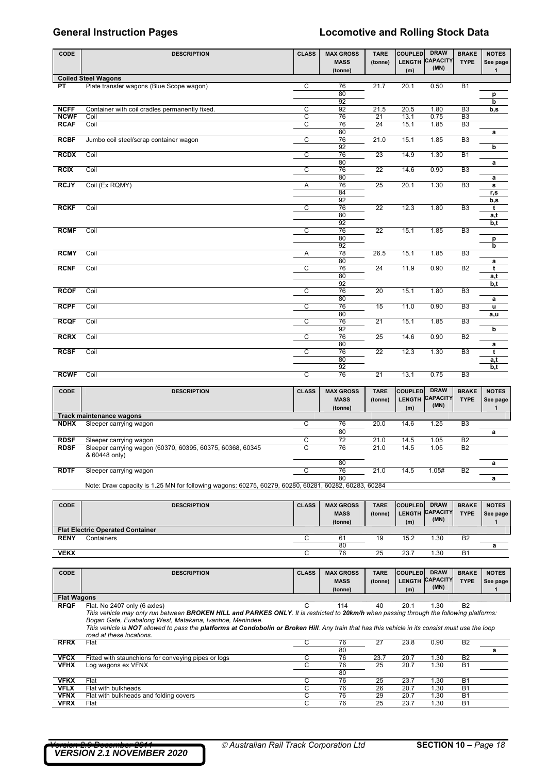|                            |                                                                                                      |                |                                 |                        |                                 | <b>DRAW</b>                    |                                  |                          |
|----------------------------|------------------------------------------------------------------------------------------------------|----------------|---------------------------------|------------------------|---------------------------------|--------------------------------|----------------------------------|--------------------------|
| <b>CODE</b>                | <b>DESCRIPTION</b>                                                                                   | <b>CLASS</b>   | <b>MAX GROSS</b><br><b>MASS</b> | <b>TARE</b><br>(tonne) | <b>COUPLED</b><br><b>LENGTH</b> | <b>CAPACITY</b>                | <b>BRAKE</b><br><b>TYPE</b>      | <b>NOTES</b>             |
|                            |                                                                                                      |                | (tonne)                         |                        | (m)                             | (MN)                           |                                  | See page<br>$\mathbf 1$  |
|                            | <b>Coiled Steel Wagons</b>                                                                           |                |                                 |                        |                                 |                                |                                  |                          |
| PT                         | Plate transfer wagons (Blue Scope wagon)                                                             | C              | 76                              | 21.7                   | 20.1                            | 0.50                           | <b>B1</b>                        |                          |
|                            |                                                                                                      |                | 80                              |                        |                                 |                                |                                  | p                        |
|                            |                                                                                                      |                | 92                              |                        |                                 |                                |                                  | b                        |
| <b>NCFF</b>                | Container with coil cradles permanently fixed.                                                       | C              | 92                              | 21.5                   | 20.5                            | 1.80                           | B <sub>3</sub>                   | b,s                      |
| <b>NCWF</b><br><b>RCAF</b> | Coil<br>Coil                                                                                         | С<br>С         | 76<br>76                        | 21<br>24               | 13.1<br>15.1                    | 0.75<br>1.85                   | B <sub>3</sub><br>B <sub>3</sub> |                          |
|                            |                                                                                                      |                | 80                              |                        |                                 |                                |                                  | a                        |
| <b>RCBF</b>                | Jumbo coil steel/scrap container wagon                                                               | C              | 76                              | 21.0                   | 15.1                            | 1.85                           | B <sub>3</sub>                   |                          |
|                            |                                                                                                      |                | 92                              |                        |                                 |                                |                                  | b                        |
| <b>RCDX</b>                | Coil                                                                                                 | С              | 76                              | 23                     | 14.9                            | 1.30                           | <b>B1</b>                        |                          |
| <b>RCIX</b>                | Coil                                                                                                 | C              | 80<br>76                        | 22                     | 14.6                            | 0.90                           | B <sub>3</sub>                   | a                        |
|                            |                                                                                                      |                | 80                              |                        |                                 |                                |                                  | a                        |
| <b>RCJY</b>                | Coil (Ex RQMY)                                                                                       | Α              | 76                              | 25                     | 20.1                            | 1.30                           | B <sub>3</sub>                   | s                        |
|                            |                                                                                                      |                | 84                              |                        |                                 |                                |                                  | r,s                      |
|                            |                                                                                                      |                | 92                              |                        |                                 |                                |                                  | b,s                      |
| <b>RCKF</b>                | Coil                                                                                                 | С              | 76                              | 22                     | 12.3                            | 1.80                           | B <sub>3</sub>                   | t                        |
|                            |                                                                                                      |                | 80<br>92                        |                        |                                 |                                |                                  | a,t                      |
| <b>RCMF</b>                | Coil                                                                                                 | C              | 76                              | 22                     | 15.1                            | 1.85                           | B <sub>3</sub>                   | b,t                      |
|                            |                                                                                                      |                | 80                              |                        |                                 |                                |                                  | p                        |
|                            |                                                                                                      |                | 92                              |                        |                                 |                                |                                  | b                        |
| <b>RCMY</b>                | Coil                                                                                                 | Α              | 78                              | 26.5                   | 15.1                            | 1.85                           | B <sub>3</sub>                   |                          |
| <b>RCNF</b>                | Coil                                                                                                 | C              | 80<br>76                        | 24                     | 11.9                            | 0.90                           | B <sub>2</sub>                   | a<br>t                   |
|                            |                                                                                                      |                | 80                              |                        |                                 |                                |                                  | a,t                      |
|                            |                                                                                                      |                | 92                              |                        |                                 |                                |                                  | b,t                      |
| <b>RCOF</b>                | Coil                                                                                                 | C              | 76                              | 20                     | 15.1                            | 1.80                           | B <sub>3</sub>                   |                          |
|                            |                                                                                                      |                | 80                              |                        |                                 |                                |                                  | a                        |
| <b>RCPF</b>                | Coil                                                                                                 | C              | 76<br>80                        | 15                     | 11.0                            | 0.90                           | B <sub>3</sub>                   | u                        |
| <b>RCQF</b>                | Coil                                                                                                 | C              | 76                              | 21                     | 15.1                            | 1.85                           | B <sub>3</sub>                   | a,u                      |
|                            |                                                                                                      |                | 92                              |                        |                                 |                                |                                  | b                        |
| <b>RCRX</b>                | Coil                                                                                                 | C              | 76                              | 25                     | 14.6                            | 0.90                           | B <sub>2</sub>                   |                          |
|                            |                                                                                                      |                | 80                              |                        |                                 |                                |                                  | a                        |
| <b>RCSF</b>                | Coil                                                                                                 | C              | 76<br>80                        | 22                     | 12.3                            | 1.30                           | B <sub>3</sub>                   | t<br>a,t                 |
|                            |                                                                                                      |                | 92                              |                        |                                 |                                |                                  | b,t                      |
| <b>RCWF</b>                | Coil                                                                                                 | C              | 76                              | $\overline{21}$        | 13.1                            | 0.75                           | B <sub>3</sub>                   |                          |
|                            |                                                                                                      |                |                                 |                        |                                 |                                |                                  |                          |
| <b>CODE</b>                | <b>DESCRIPTION</b>                                                                                   | <b>CLASS</b>   | <b>MAX GROSS</b>                | <b>TARE</b>            | <b>COUPLED</b>                  | <b>DRAW</b>                    | <b>BRAKE</b>                     | <b>NOTES</b>             |
|                            |                                                                                                      |                | <b>MASS</b>                     | (tonne)                | LENGTH                          | <b>CAPACITY</b><br>(MN)        | <b>TYPE</b>                      | See page                 |
|                            |                                                                                                      |                | (tonne)                         |                        | (m)                             |                                |                                  | $\mathbf{1}$             |
| NDHX                       | <b>Track maintenance wagons</b><br>Sleeper carrying wagon                                            | С              | 76                              | 20.0                   | 14.6                            | 1.25                           | B <sub>3</sub>                   |                          |
|                            |                                                                                                      |                | 80                              |                        |                                 |                                |                                  | a                        |
| <b>RDSF</b>                | Sleeper carrying wagon                                                                               | C              | 72                              | 21.0                   | 14.5                            | 1.05                           | <b>B2</b>                        |                          |
| <b>RDSF</b>                | Sleeper carrying wagon (60370, 60395, 60375, 60368, 60345                                            | $\overline{C}$ | 76                              | 21.0                   | 14.5                            | 1.05                           | <b>B2</b>                        |                          |
|                            | & 60448 only)                                                                                        |                |                                 |                        |                                 |                                |                                  |                          |
| <b>RDTF</b>                |                                                                                                      | С              | 80                              |                        |                                 |                                |                                  | a                        |
|                            | Sleeper carrying wagon                                                                               |                | 76<br>80                        | 21.0                   | 14.5                            | 1.05#                          | <b>B2</b>                        | a                        |
|                            | Note: Draw capacity is 1.25 MN for following wagons: 60275, 60279, 60280, 60281, 60282, 60283, 60284 |                |                                 |                        |                                 |                                |                                  |                          |
|                            |                                                                                                      |                |                                 |                        |                                 |                                |                                  |                          |
| <b>CODE</b>                | <b>DESCRIPTION</b>                                                                                   | <b>CLASS</b>   | <b>MAX GROSS</b>                | <b>TARE</b>            | <b>COUPLED</b>                  | <b>DRAW</b>                    | <b>BRAKE</b>                     | <b>NOTES</b>             |
|                            |                                                                                                      |                | <b>MASS</b>                     | (tonne)                | <b>LENGTH</b>                   | <b>CAPACITY</b>                | <b>TYPE</b>                      | See page                 |
|                            |                                                                                                      |                | (tonne)                         |                        | (m)                             | (MN)                           |                                  | $\mathbf{1}$             |
|                            | <b>Flat Electric Operated Container</b>                                                              |                |                                 |                        |                                 |                                |                                  |                          |
| <b>RENY</b>                | Containers                                                                                           | C              | 61                              | 19                     | 15.2                            | 1.30                           | B <sub>2</sub>                   |                          |
| <b>VEKX</b>                |                                                                                                      | C              | 80<br>76                        | 25                     | 23.7                            | 1.30                           | <b>B1</b>                        | a                        |
|                            |                                                                                                      |                |                                 |                        |                                 |                                |                                  |                          |
|                            |                                                                                                      |                |                                 |                        |                                 |                                |                                  |                          |
| <b>CODE</b>                | <b>DESCRIPTION</b>                                                                                   | <b>CLASS</b>   | <b>MAX GROSS</b><br><b>MASS</b> | <b>TARE</b><br>(tonne) | <b>COUPLED</b>                  | <b>DRAW</b><br>LENGTH CAPACITY | <b>BRAKE</b><br><b>TYPE</b>      | <b>NOTES</b><br>See page |
|                            |                                                                                                      |                |                                 |                        |                                 |                                |                                  |                          |

|                    |                                                                                                                                                  |    | (tonne) |      | (m)  | (MN)       |                |   |
|--------------------|--------------------------------------------------------------------------------------------------------------------------------------------------|----|---------|------|------|------------|----------------|---|
| <b>Flat Wagons</b> |                                                                                                                                                  |    |         |      |      |            |                |   |
| <b>RFQF</b>        | Flat. No 2407 only (6 axles)                                                                                                                     | C  | 114     | 40   | 20.1 | $\cdot$ 30 | <b>B2</b>      |   |
|                    | This vehicle may only run between BROKEN HILL and PARKES ONLY. It is restricted to 20km/h when passing through the following platforms:          |    |         |      |      |            |                |   |
|                    | Bogan Gate, Euabalong West, Matakana, Ivanhoe, Menindee.                                                                                         |    |         |      |      |            |                |   |
|                    | This vehicle is NOT allowed to pass the platforms at Condobolin or Broken Hill. Any train that has this vehicle in its consist must use the loop |    |         |      |      |            |                |   |
|                    | road at these locations.                                                                                                                         |    |         |      |      |            |                |   |
| <b>RFRX</b>        | Flat                                                                                                                                             | ⌒  | 76      | 27   | 23.8 | 0.90       | B <sub>2</sub> |   |
|                    |                                                                                                                                                  |    |         |      |      |            |                |   |
|                    |                                                                                                                                                  |    | 80      |      |      |            |                | a |
| <b>VFCX</b>        | Fitted with staunchions for conveying pipes or logs                                                                                              | C. | 76      | 23.7 | 20.7 | $\cdot$ 30 | <b>B2</b>      |   |
| <b>VFHX</b>        | Log wagons ex VFNX                                                                                                                               | ⌒  | 76      | 25   | 20.7 | 1.30       | <b>B1</b>      |   |
|                    |                                                                                                                                                  |    | 80      |      |      |            |                |   |
| <b>VFKX</b>        | Flat                                                                                                                                             | C  | 76      | 25   | 23.7 | 1.30       | <b>B1</b>      |   |
| <b>VFLX</b>        | Flat with bulkheads                                                                                                                              | ⌒  | 76      | 26   | 20.7 | 1.30       | <b>B1</b>      |   |
| <b>VFNX</b>        | Flat with bulkheads and folding covers                                                                                                           | C  | 76      | 29   | 20.7 | 1.30       | <b>B1</b>      |   |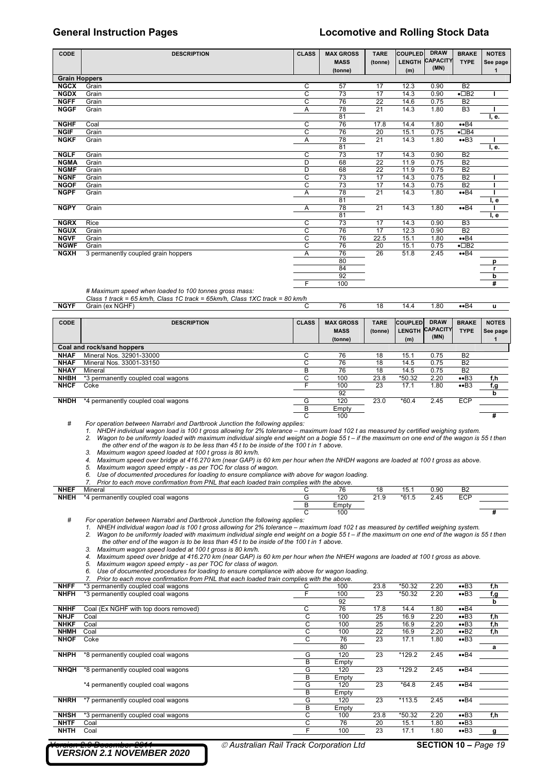### **General Instruction Pages Locomotive and Rolling Stock Data**

| CODE                 | <b>DESCRIPTION</b>                  | <b>CLASS</b> | <b>MAX GROSS</b> | <b>TARE</b>     | <b>COUPLED</b> | <b>DRAW</b>     | <b>BRAKE</b>        | <b>NOTES</b> |
|----------------------|-------------------------------------|--------------|------------------|-----------------|----------------|-----------------|---------------------|--------------|
|                      |                                     |              | <b>MASS</b>      | (tonne)         | <b>LENGTH</b>  | <b>CAPACITY</b> | <b>TYPE</b>         | See page     |
|                      |                                     |              | (tonne)          |                 | (m)            | (MN)            |                     | 1            |
| <b>Grain Hoppers</b> |                                     |              |                  |                 |                |                 |                     |              |
| <b>NGCX</b>          | Grain                               | С            | 57               | 17              | 12.3           | 0.90            | B <sub>2</sub>      |              |
| <b>NGDX</b>          | Grain                               | C            | 73               | 17              | 14.3           | 0.90            | $\cdot$ $\Box$ B2   |              |
| <b>NGFF</b>          | Grain                               | C            | 76               | 22              | 14.6           | 0.75            | B <sub>2</sub>      |              |
| <b>NGGF</b>          | Grain                               | Α            | 78               | 21              | 14.3           | 1.80            | B <sub>3</sub>      |              |
|                      |                                     |              | 81               |                 |                |                 |                     | I, e.        |
| <b>NGHF</b>          | Coal                                | С            | 76               | 17.8            | 14.4           | 1.80            | $\bullet$ B4        |              |
| <b>NGIF</b>          | Grain                               | C            | 76               | 20              | 15.1           | 0.75            | $\bullet$ $\Box$ B4 |              |
| <b>NGKF</b>          | Grain                               | Α            | 78               | 21              | 14.3           | 1.80            | $\bullet$ B3        |              |
|                      |                                     |              | 81               |                 |                |                 |                     | I, e.        |
| <b>NGLF</b>          | Grain                               | C            | 73               | 17              | 14.3           | 0.90            | B <sub>2</sub>      |              |
| <b>NGMA</b>          | Grain                               | D            | 68               | 22              | 11.9           | 0.75            | B <sub>2</sub>      |              |
| <b>NGMF</b>          | Grain                               | D            | 68               | $\overline{22}$ | 11.9           | 0.75            | B <sub>2</sub>      |              |
| <b>NGNF</b>          | Grain                               | C            | 73               | 17              | 14.3           | 0.75            | B <sub>2</sub>      |              |
| <b>NGOF</b>          | Grain                               | C            | 73               | 17              | 14.3           | 0.75            | <b>B2</b>           |              |
| <b>NGPF</b>          | Grain                               | Α            | 78               | 21              | 14.3           | 1.80            | $\bullet$ B4        |              |
|                      |                                     |              | 81               |                 |                |                 |                     | l, e         |
| <b>NGPY</b>          | Grain                               | Α            | 78               | 21              | 14.3           | 1.80            | $\bullet$ B4        |              |
|                      |                                     |              | 81               |                 |                |                 |                     | I, e         |
| <b>NGRX</b>          | Rice                                | C            | 73               | 17              | 14.3           | 0.90            | B <sub>3</sub>      |              |
| <b>NGUX</b>          | Grain                               | C            | 76               | $\overline{17}$ | 12.3           | 0.90            | <b>B2</b>           |              |
| <b>NGVF</b>          | Grain                               | C            | 76               | 22.5            | 15.1           | 1.80            | $\bullet$ B4        |              |
| <b>NGWF</b>          | Grain                               | C            | 76               | 20              | 15.1           | 0.75            | $\cdot$ $\Box$ B2   |              |
| <b>NGXH</b>          | 3 permanently coupled grain hoppers | Α            | 76               | 26              | 51.8           | 2.45            | $\bullet$ B4        |              |
|                      |                                     |              | 80               |                 |                |                 |                     | р            |
|                      |                                     |              | 84               |                 |                |                 |                     | r            |
|                      |                                     |              | 92               |                 |                |                 |                     | b            |
|                      |                                     | F            | 100              |                 |                |                 |                     | #            |

### *# Maximum speed when loaded to 100 tonnes gross mass:*

*Class 1 track = 65 km/h, Class 1C track = 65km/h, Class 1XC track = 80 km/h*  **NGYF** Grain (ex NGHF) C 76 18 14.4 1.80 ••B4 **u** 

| <b>CODE</b> | <b>DESCRIPTION</b>                 | <b>CLASS</b> | <b>MAX GROSS</b> | <b>TARE</b> | <b>COUPLED</b> | <b>DRAW</b>     | <b>BRAKE</b>   | <b>NOTES</b> |
|-------------|------------------------------------|--------------|------------------|-------------|----------------|-----------------|----------------|--------------|
|             |                                    |              | <b>MASS</b>      | (tonne)     | <b>LENGTH</b>  | <b>CAPACITY</b> | <b>TYPE</b>    | See page     |
|             |                                    |              | (tonne)          |             | (m)            | (MN)            |                |              |
|             | Coal and rock/sand hoppers         |              |                  |             |                |                 |                |              |
| <b>NHAF</b> | Mineral Nos. 32901-33000           | C            | 76               | 18          | 15.1           | 0.75            | B <sub>2</sub> |              |
| <b>NHAF</b> | Mineral Nos. 33001-33150           | ⌒            | 76               | 18          | 14.5           | 0.75            | <b>B2</b>      |              |
| <b>NHAY</b> | Mineral                            | в            | 76               | 18          | 14.5           | 0.75            | B <sub>2</sub> |              |
| <b>NHBH</b> | *3 permanently coupled coal wagons | ⌒<br>. .     | 100              | 23.8        | *50.32         | 2.20            | $\bullet$ B3   | f,h          |
| <b>NHCF</b> | Coke                               |              | 100              | 23          | 17.1           | 1.80            | $\bullet$ B3   | f,g          |
|             |                                    |              | 92               |             |                |                 |                | b            |
| <b>NHDH</b> | *4 permanently coupled coal wagons | G            | 120              | 23.0        | $*60.4$        | 2.45            | <b>ECP</b>     |              |
|             |                                    | в            | Empty            |             |                |                 |                |              |
|             |                                    | C            | 100              |             |                |                 |                | #            |

*# For operation between Narrabri and Dartbrook Junction the following applies:* 

*1. NHDH individual wagon load is 100 t gross allowing for 2% tolerance – maximum load 102 t as measured by certified weighing system.* 

Wagon to be uniformly loaded with maximum individual single end weight on a bogie 55 t - if the maximum on one end of the wagon is 55 t then *the other end of the wagon is to be less than 45 t to be inside of the 100 t in 1 above. 3. Maximum wagon speed loaded at 100 t gross is 80 km/h.* 

*4. Maximum speed over bridge at 416.270 km (near GAP) is 60 km per hour when the NHDH wagons are loaded at 100 t gross as above.* 

*5. Maximum wagon speed empty - as per TOC for class of wagon. 6. Use of documented procedures for loading to ensure compliance with above for wagon loading.* 

*7. Prior to each move confirmation from PNL that each loaded train complies with the above.* 

|             | TIOL to cach move committation from Five that cach loaded train complice with the above. |       |         |         |      |                |  |
|-------------|------------------------------------------------------------------------------------------|-------|---------|---------|------|----------------|--|
| <b>NHEF</b> | Mineral                                                                                  |       | $\circ$ | ιυ.     | 0.90 | B <sub>2</sub> |  |
| <b>NHEH</b> | *4 permanently coupled coal wagons                                                       | 120   | 21.9    | $*61.5$ | 2.45 | ECP            |  |
|             |                                                                                          | Empty |         |         |      |                |  |
|             |                                                                                          | 100   |         |         |      |                |  |

For operation between Narrabri and Dartbrook Junction the following applies:<br>1. NHEH individual wagon load is 100 t gross allowing for 2% tolerance – maximum load 102 t as measured by certified weighing system.

2. Wagon to be uniformly loaded with maximum individual single end weight on a bogie 55 t – if the maximum on one end of the wagon is 55 t then *the other end of the wagon is to be less than 45 t to be inside of the 100 t in 1 above.* 

*3. Maximum wagon speed loaded at 100 t gross is 80 km/h.* 

*4. Maximum speed over bridge at 416.270 km (near GAP) is 60 km per hour when the NHEH wagons are loaded at 100 t gross as above.* 

*5. Maximum wagon speed empty - as per TOC for class of wagon. 6. Use of documented procedures for loading to ensure compliance with above for wagon loading.* 

|             | Prior to each move confirmation from PNL that each loaded train complies with the above. |   |       |      |          |      |                          |     |  |  |  |  |  |
|-------------|------------------------------------------------------------------------------------------|---|-------|------|----------|------|--------------------------|-----|--|--|--|--|--|
| <b>NHFF</b> | *3 permanently coupled coal wagons                                                       | G | 100   | 23.8 | $*50.32$ | 2.20 | $\bullet$ B3             | f,h |  |  |  |  |  |
| <b>NHFH</b> | *3 permanently coupled coal wagons                                                       |   | 100   | 23   | *50.32   | 2.20 | $\bullet$ B3             | f,g |  |  |  |  |  |
|             |                                                                                          |   | 92    |      |          |      |                          | b   |  |  |  |  |  |
| <b>NHHF</b> | Coal (Ex NGHF with top doors removed)                                                    | С | 76    | 17.8 | 14.4     | 1.80 | $\bullet$ B4             |     |  |  |  |  |  |
| <b>NHJF</b> | Coal                                                                                     | С | 100   | 25   | 16.9     | 2.20 | $\bullet$ B3             | f,h |  |  |  |  |  |
| <b>NHKF</b> | Coal                                                                                     | С | 100   | 25   | 16.9     | 2.20 | $\bullet$ B3             | f,h |  |  |  |  |  |
| <b>NHMH</b> | Coal                                                                                     | С | 100   | 22   | 16.9     | 2.20 | $\bullet$ B <sub>2</sub> | f,h |  |  |  |  |  |
| <b>NHOF</b> | Coke                                                                                     | С | 76    | 23   | 17.1     | 1.80 | $\bullet$ B3             |     |  |  |  |  |  |
|             |                                                                                          |   | 80    |      |          |      |                          | а   |  |  |  |  |  |
| <b>NHPH</b> | *8 permanently coupled coal wagons                                                       | G | 120   | 23   | $*129.2$ | 2.45 | $\bullet$ B4             |     |  |  |  |  |  |
|             |                                                                                          | В | Empty |      |          |      |                          |     |  |  |  |  |  |
| <b>NHQH</b> | *8 permanently coupled coal wagons                                                       | G | 120   | 23   | *129.2   | 2.45 | $\bullet$ B4             |     |  |  |  |  |  |
|             |                                                                                          | В | Empty |      |          |      |                          |     |  |  |  |  |  |
|             | *4 permanently coupled coal wagons                                                       | G | 120   | 23   | $*64.8$  | 2.45 | $\bullet$ B4             |     |  |  |  |  |  |
|             |                                                                                          | B | Empty |      |          |      |                          |     |  |  |  |  |  |
| <b>NHRH</b> | *7 permanently coupled coal wagons                                                       | G | 120   | 23   | $*113.5$ | 2.45 | $\bullet$ B4             |     |  |  |  |  |  |
|             |                                                                                          | В | Empty |      |          |      |                          |     |  |  |  |  |  |
| <b>NHSH</b> | *3 permanently coupled coal wagons                                                       | С | 100   | 23.8 | *50.32   | 2.20 | $\bullet$ B3             | f,h |  |  |  |  |  |
| <b>NHTF</b> | Coal                                                                                     | С | 76    | 20   | 15.1     | 1.80 | $\bullet$ B3             |     |  |  |  |  |  |
| <b>NHTH</b> | Coal                                                                                     | F | 100   | 23   | 17.1     | 1.80 | $\bullet$ B3             | g   |  |  |  |  |  |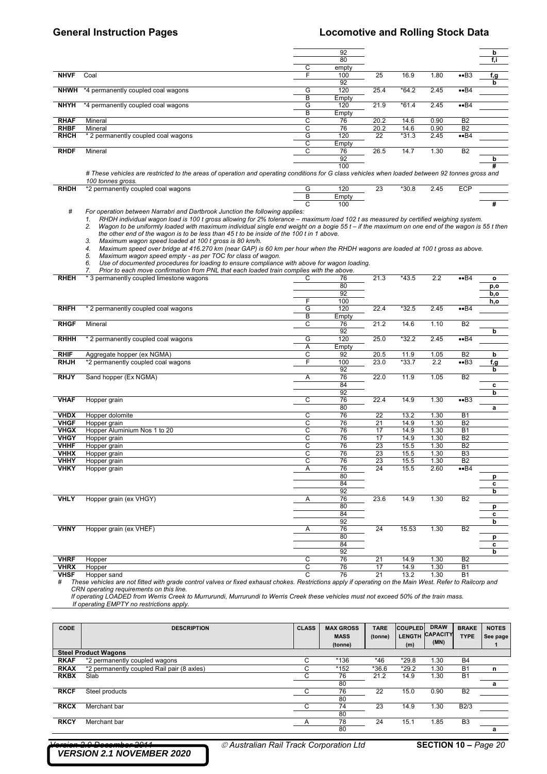### **General Instruction Pages Locomotive and Rolling Stock Data**

|             |                                                                                                                                                                      |   | 92    |      |         |      |                | b   |
|-------------|----------------------------------------------------------------------------------------------------------------------------------------------------------------------|---|-------|------|---------|------|----------------|-----|
|             |                                                                                                                                                                      |   | 80    |      |         |      |                | f,i |
|             |                                                                                                                                                                      | С | empty |      |         |      |                |     |
| <b>NHVF</b> | Coal                                                                                                                                                                 |   | 100   | 25   | 16.9    | 1.80 | $\bullet$ B3   | f,g |
|             |                                                                                                                                                                      |   | 92    |      |         |      |                | b   |
|             | <b>NHWH</b> *4 permanently coupled coal wagons                                                                                                                       | G | 120   | 25.4 | $*64.2$ | 2.45 | $\bullet$ B4   |     |
|             |                                                                                                                                                                      | В | Empty |      |         |      |                |     |
| <b>NHYH</b> | *4 permanently coupled coal wagons                                                                                                                                   | G | 120   | 21.9 | $*61.4$ | 2.45 | $\bullet$ B4   |     |
|             |                                                                                                                                                                      | В | Empty |      |         |      |                |     |
| <b>RHAF</b> | Mineral                                                                                                                                                              | С | 76    | 20.2 | 14.6    | 0.90 | <b>B2</b>      |     |
| <b>RHBF</b> | Mineral                                                                                                                                                              | С | 76    | 20.2 | 14.6    | 0.90 | <b>B2</b>      |     |
| <b>RHCH</b> | * 2 permanently coupled coal wagons                                                                                                                                  | G | 120   | 22   | $*31.3$ | 2.45 | $\bullet$ B4   |     |
|             |                                                                                                                                                                      | С | Empty |      |         |      |                |     |
| <b>RHDF</b> | Mineral                                                                                                                                                              | С | 76    | 26.5 | 14.7    | 1.30 | B <sub>2</sub> |     |
|             |                                                                                                                                                                      |   | 92    |      |         |      |                | b   |
|             |                                                                                                                                                                      |   | 100   |      |         |      |                | #   |
|             | # These vehicles are restricted to the areas of operation and operating conditions for G class vehicles when loaded between 92 tonnes gross and<br>100 tonnes gross. |   |       |      |         |      |                |     |
| <b>RHDH</b> | *2 permanently coupled coal wagons                                                                                                                                   | G | 120   | 23   | $*30.8$ | 2.45 | <b>ECP</b>     |     |
|             |                                                                                                                                                                      | B | Empty |      |         |      |                |     |
|             |                                                                                                                                                                      | С | 100   |      |         |      |                | #   |

C 100 **#**  *# For operation between Narrabri and Dartbrook Junction the following applies:* 

1. RHDH individual wagon load is 100 t gross allowing for 2% tolerance – maximum load 102 t as measured by certified weighing system.

*2. Wagon to be uniformly loaded with maximum individual single end weight on a bogie 55 t – if the maximum on one end of the wagon is 55 t then the other end of the wagon is to be less than 45 t to be inside of the 100 t in 1 above.* 

*3. Maximum wagon speed loaded at 100 t gross is 80 km/h. 4. Maximum speed over bridge at 416.270 km (near GAP) is 60 km per hour when the RHDH wagons are loaded at 100 t gross as above.* 

*5. Maximum wagon speed empty - as per TOC for class of wagon.* 

*6. Use of documented procedures for loading to ensure compliance with above for wagon loading. 7. Prior to each move confirmation from PNL that each loaded train complies with the above.* 

|             | 7.<br>Prior to each move confirmation from PNL that each loaded train complies with the above. |                    |       |                 |         |      |                         |      |
|-------------|------------------------------------------------------------------------------------------------|--------------------|-------|-----------------|---------|------|-------------------------|------|
| <b>RHEH</b> | * 3 permanently coupled limestone wagons                                                       | C                  | 76    | 21.3            | $*43.5$ | 2.2  | ••B4                    | o    |
|             |                                                                                                |                    | 80    |                 |         |      |                         | p,o  |
|             |                                                                                                |                    | 92    |                 |         |      |                         | b,o  |
|             |                                                                                                | F                  | 100   |                 |         |      |                         | h,o  |
| <b>RHFH</b> | * 2 permanently coupled coal wagons                                                            | G                  | 120   | 22.4            | $*32.5$ | 2.45 | $\bullet$ B4            |      |
|             |                                                                                                | B                  | Empty |                 |         |      |                         |      |
| <b>RHGF</b> | Mineral                                                                                        | C                  | 76    | 21.2            | 14.6    | 1.10 | <b>B2</b>               |      |
|             |                                                                                                |                    | 92    |                 |         |      |                         | b    |
| <b>RHHH</b> | * 2 permanently coupled coal wagons                                                            | G                  | 120   | 25.0            | $*32.2$ | 2.45 | $\overline{\text{•}B4}$ |      |
|             |                                                                                                | Α                  | Empty |                 |         |      |                         |      |
| <b>RHIF</b> | Aggregate hopper (ex NGMA)                                                                     | C                  | 92    | 20.5            | 11.9    | 1.05 | B <sub>2</sub>          | b    |
| <b>RHJH</b> | *2 permanently coupled coal wagons                                                             | F                  | 100   | 23.0            | $*33.7$ | 2.2  | $\bullet$ B3            | f, g |
|             |                                                                                                |                    | 92    |                 |         |      |                         | b    |
| <b>RHJY</b> | Sand hopper (Ex NGMA)                                                                          | Α                  | 76    | 22.0            | 11.9    | 1.05 | B <sub>2</sub>          |      |
|             |                                                                                                |                    | 84    |                 |         |      |                         | C    |
|             |                                                                                                |                    | 92    |                 |         |      |                         | b    |
| <b>VHAF</b> | Hopper grain                                                                                   | C                  | 76    | 22.4            | 14.9    | 1.30 | $\bullet$ B3            |      |
|             |                                                                                                |                    | 80    |                 |         |      |                         | a    |
| <b>VHDX</b> | Hopper dolomite                                                                                | C                  | 76    | 22              | 13.2    | 1.30 | <b>B1</b>               |      |
| <b>VHGF</b> | Hopper grain                                                                                   | C                  | 76    | 21              | 14.9    | 1.30 | B <sub>2</sub>          |      |
| <b>VHGX</b> | Hopper Aluminium Nos 1 to 20                                                                   | C                  | 76    | 17              | 14.9    | 1.30 | <b>B1</b>               |      |
| <b>VHGY</b> | Hopper grain                                                                                   | C                  | 76    | 17              | 14.9    | 1.30 | B <sub>2</sub>          |      |
| <b>VHHF</b> | Hopper grain                                                                                   | C                  | 76    | 23              | 15.5    | 1.30 | B <sub>2</sub>          |      |
| <b>VHHX</b> | Hopper grain                                                                                   | $\overline{\rm c}$ | 76    | $\overline{23}$ | 15.5    | 1.30 | B <sub>3</sub>          |      |
| <b>VHHY</b> | Hopper grain                                                                                   | C                  | 76    | $\overline{23}$ | 15.5    | 1.30 | B2                      |      |
| <b>VHKY</b> | Hopper grain                                                                                   | Α                  | 76    | 24              | 15.5    | 2.60 | $\bullet$ B4            |      |
|             |                                                                                                |                    | 80    |                 |         |      |                         | р    |
|             |                                                                                                |                    | 84    |                 |         |      |                         | c    |
|             |                                                                                                |                    | 92    |                 |         |      |                         | b    |
| <b>VHLY</b> | Hopper grain (ex VHGY)                                                                         | Α                  | 76    | 23.6            | 14.9    | 1.30 | <b>B2</b>               |      |
|             |                                                                                                |                    | 80    |                 |         |      |                         | p    |
|             |                                                                                                |                    | 84    |                 |         |      |                         | c    |
|             |                                                                                                |                    | 92    |                 |         |      |                         | b    |
| <b>VHNY</b> | Hopper grain (ex VHEF)                                                                         | Α                  | 76    | 24              | 15.53   | 1.30 | <b>B2</b>               |      |
|             |                                                                                                |                    | 80    |                 |         |      |                         | p    |
|             |                                                                                                |                    | 84    |                 |         |      |                         | C    |
|             |                                                                                                |                    | 92    |                 |         |      |                         | b    |
| <b>VHRF</b> | Hopper                                                                                         | C                  | 76    | 21              | 14.9    | 1.30 | B <sub>2</sub>          |      |
| <b>VHRX</b> | Hopper                                                                                         | C                  | 76    | 17              | 14.9    | 1.30 | $\overline{B1}$         |      |
| <b>VIDE</b> | Honnor cand                                                                                    | $\overline{ }$     | 76    | 21              | 122     | 1,30 | D <sub>1</sub>          |      |

**VHSF** Hopper sand the fitted with grade control valves or fixed exhaust chokes. Restrictions apply if operating on the Main West. Refer to Railcorp and the These vehicles are not fitted with grade control valves or fixed *CRN operating requirements on this line.* 

 *If operating LOADED from Werris Creek to Murrurundi, Murrurundi to Werris Creek these vehicles must not exceed 50% of the train mass. If operating EMPTY no restrictions apply.* 

| CODE        | <b>DESCRIPTION</b>                         | <b>CLASS</b> | <b>MAX GROSS</b><br><b>MASS</b><br>(tonne) | <b>TARE</b><br>(tonne) | <b>COUPLED</b><br><b>LENGTH</b><br>(m) | <b>DRAW</b><br><b>CAPACITY</b><br>(MN) | <b>BRAKE</b><br><b>TYPE</b> | <b>NOTES</b><br>See page |
|-------------|--------------------------------------------|--------------|--------------------------------------------|------------------------|----------------------------------------|----------------------------------------|-----------------------------|--------------------------|
|             | <b>Steel Product Wagons</b>                |              |                                            |                        |                                        |                                        |                             |                          |
| <b>RKAF</b> | *2 permanently coupled wagons              | C            | *136                                       | *46                    | $*29.8$                                | 1.30                                   | <b>B4</b>                   |                          |
| <b>RKAX</b> | *2 permanently coupled Rail pair (8 axles) | ⌒<br>Ō       | *152                                       | $*36.6$                | $*29.2$                                | 1.30                                   | <b>B1</b>                   | n                        |
| <b>RKBX</b> | Slab                                       | С            | 76                                         | 21.2                   | 14.9                                   | 1.30                                   | <b>B1</b>                   |                          |
|             |                                            |              | 80                                         |                        |                                        |                                        |                             | a                        |
| <b>RKCF</b> | Steel products                             |              | 76                                         | 22                     | 15.0                                   | 0.90                                   | B <sub>2</sub>              |                          |
|             |                                            |              | 80                                         |                        |                                        |                                        |                             |                          |
| <b>RKCX</b> | Merchant bar                               | C            | 74                                         | 23                     | 14.9                                   | 1.30                                   | B2/3                        |                          |
|             |                                            |              | 80                                         |                        |                                        |                                        |                             |                          |
| <b>RKCY</b> | Merchant bar                               | A            | 78                                         | 24                     | 15.1                                   | 1.85                                   | B <sub>3</sub>              |                          |
|             |                                            |              | 80                                         |                        |                                        |                                        |                             | a                        |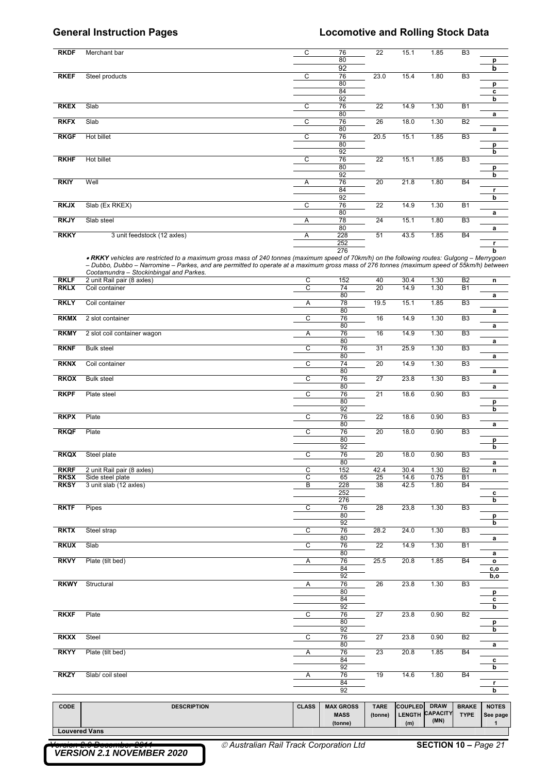| <b>RKDF</b>                | Merchant bar                                                                                                                                                                         | C              | 76                              | 22                     | 15.1           | 1.85                           | B <sub>3</sub>              |                          |
|----------------------------|--------------------------------------------------------------------------------------------------------------------------------------------------------------------------------------|----------------|---------------------------------|------------------------|----------------|--------------------------------|-----------------------------|--------------------------|
|                            |                                                                                                                                                                                      |                | 80<br>92                        |                        |                |                                |                             | p<br>b                   |
| <b>RKEF</b>                | Steel products                                                                                                                                                                       | С              | 76<br>80                        | 23.0                   | 15.4           | 1.80                           | B <sub>3</sub>              | p                        |
|                            |                                                                                                                                                                                      |                | 84                              |                        |                |                                |                             | c                        |
| <b>RKEX</b>                | Slab                                                                                                                                                                                 | С              | 92<br>76                        | 22                     | 14.9           | 1.30                           | <b>B1</b>                   | b                        |
| <b>RKFX</b>                | Slab                                                                                                                                                                                 | С              | 80<br>76                        | 26                     | 18.0           | 1.30                           | B <sub>2</sub>              | a                        |
| <b>RKGF</b>                | <b>Hot billet</b>                                                                                                                                                                    | С              | 80<br>76                        | 20.5                   | 15.1           | 1.85                           | B <sub>3</sub>              | $\mathbf a$              |
|                            |                                                                                                                                                                                      |                | 80<br>92                        |                        |                |                                |                             | p<br>b                   |
| <b>RKHF</b>                | Hot billet                                                                                                                                                                           | С              | 76<br>80                        | 22                     | 15.1           | 1.85                           | B <sub>3</sub>              |                          |
|                            |                                                                                                                                                                                      |                | 92                              |                        |                |                                |                             | p<br>b                   |
| <b>RKIY</b>                | Well                                                                                                                                                                                 | Α              | 76<br>84                        | 20                     | 21.8           | 1.80                           | <b>B4</b>                   | r                        |
| <b>RKJX</b>                | Slab (Ex RKEX)                                                                                                                                                                       | С              | 92<br>76                        | 22                     | 14.9           | 1.30                           | <b>B1</b>                   | b                        |
| <b>RKJY</b>                | Slab steel                                                                                                                                                                           | Α              | 80<br>78                        | 24                     | 15.1           | 1.80                           | B <sub>3</sub>              | a                        |
| <b>RKKY</b>                | 3 unit feedstock (12 axles)                                                                                                                                                          | Α              | 80<br>228                       | 51                     | 43.5           | 1.85                           | <b>B4</b>                   | a                        |
|                            |                                                                                                                                                                                      |                | 252                             |                        |                |                                |                             | r                        |
|                            | . RKKY vehicles are restricted to a maximum gross mass of 240 tonnes (maximum speed of 70km/h) on the following routes: Gulgong - Merrygoen                                          |                | 276                             |                        |                |                                |                             | b                        |
|                            | - Dubbo, Dubbo - Narromine - Parkes, and are permitted to operate at a maximum gross mass of 276 tonnes (maximum speed of 55km/h) between<br>Cootamundra - Stockinbingal and Parkes. |                |                                 |                        |                |                                |                             |                          |
| <b>RKLF</b><br><b>RKLX</b> | 2 unit Rail pair (8 axles)<br>Coil container                                                                                                                                         | C<br>С         | 152<br>74                       | 40<br>20               | 30.4<br>14.9   | 1.30<br>1.30                   | B2<br><b>B1</b>             | n                        |
| <b>RKLY</b>                | Coil container                                                                                                                                                                       | Α              | 80<br>78                        | 19.5                   | 15.1           | 1.85                           | B <sub>3</sub>              | a                        |
| <b>RKMX</b>                | 2 slot container                                                                                                                                                                     | С              | 80<br>76                        | 16                     | 14.9           | 1.30                           | B <sub>3</sub>              | a                        |
|                            |                                                                                                                                                                                      |                | 80                              |                        |                |                                |                             | a                        |
| <b>RKMY</b>                | 2 slot coil container wagon                                                                                                                                                          | Α              | 76<br>80                        | 16                     | 14.9           | 1.30                           | B <sub>3</sub>              | a                        |
| <b>RKNF</b>                | <b>Bulk steel</b>                                                                                                                                                                    | С              | 76<br>80                        | 31                     | 25.9           | 1.30                           | B <sub>3</sub>              | a                        |
| <b>RKNX</b>                | Coil container                                                                                                                                                                       | С              | 74<br>80                        | 20                     | 14.9           | 1.30                           | B <sub>3</sub>              | a                        |
| <b>RKOX</b>                | <b>Bulk steel</b>                                                                                                                                                                    | С              | 76<br>80                        | 27                     | 23.8           | 1.30                           | B <sub>3</sub>              | a                        |
| <b>RKPF</b>                | Plate steel                                                                                                                                                                          | С              | 76<br>80                        | 21                     | 18.6           | 0.90                           | B <sub>3</sub>              | p                        |
| <b>RKPX</b>                | Plate                                                                                                                                                                                | С              | 92<br>76                        | 22                     | 18.6           | 0.90                           | B <sub>3</sub>              | b                        |
|                            |                                                                                                                                                                                      |                | 80                              |                        |                |                                |                             | a                        |
| <b>RKQF</b>                | Plate                                                                                                                                                                                | С              | 76<br>80                        | 20                     | 18.0           | 0.90                           | B <sub>3</sub>              | p                        |
| <b>RKQX</b>                | Steel plate                                                                                                                                                                          | C              | 92<br>76                        | 20                     | 18.0           | 0.90                           | вз                          | b                        |
| <b>RKRF</b>                | 2 unit Rail pair (8 axles)                                                                                                                                                           | $\overline{C}$ | 80<br>152                       | 42.4                   | 30.4           | 1.30                           | B <sub>2</sub>              | a<br>n                   |
| <b>RKSX</b>                | Side steel plate                                                                                                                                                                     | С              | 65                              | 25                     | 14.6           | 0.75                           | <b>B1</b>                   |                          |
| <b>RKSY</b>                | 3 unit slab (12 axles)                                                                                                                                                               | В              | 228<br>252                      | 38                     | 42.5           | 1.80                           | <b>B4</b>                   | c                        |
| <b>RKTF</b>                | Pipes                                                                                                                                                                                | C              | 276<br>76                       | 28                     | 23,8           | 1.30                           | B3                          | b                        |
|                            |                                                                                                                                                                                      |                | 80<br>92                        |                        |                |                                |                             | p<br>b                   |
| <b>RKTX</b>                | Steel strap                                                                                                                                                                          | С              | 76<br>80                        | 28.2                   | 24.0           | 1.30                           | B <sub>3</sub>              | a                        |
| <b>RKUX</b>                | Slab                                                                                                                                                                                 | C              | 76<br>80                        | $\overline{22}$        | 14.9           | 1.30                           | <b>B1</b>                   | a                        |
| <b>RKVY</b>                | Plate (tilt bed)                                                                                                                                                                     | Α              | 76                              | 25.5                   | 20.8           | 1.85                           | <b>B4</b>                   | $\mathbf{o}$             |
|                            |                                                                                                                                                                                      |                | 84<br>92                        |                        |                |                                |                             | c,o<br>b,o               |
| <b>RKWY</b>                | Structural                                                                                                                                                                           | A              | 76<br>80                        | 26                     | 23.8           | 1.30                           | B <sub>3</sub>              | p                        |
|                            |                                                                                                                                                                                      |                | 84<br>92                        |                        |                |                                |                             | c<br>b                   |
| <b>RKXF</b>                | Plate                                                                                                                                                                                | $\overline{C}$ | 76<br>80                        | $\overline{27}$        | 23.8           | 0.90                           | B2                          | p                        |
|                            |                                                                                                                                                                                      |                | 92                              |                        |                |                                |                             | b                        |
| <b>RKXX</b>                | Steel                                                                                                                                                                                | С              | 76<br>80                        | 27                     | 23.8           | 0.90                           | <b>B2</b>                   | a                        |
| <b>RKYY</b>                | Plate (tilt bed)                                                                                                                                                                     | Α              | 76<br>84                        | $\overline{23}$        | 20.8           | 1.85                           | <b>B4</b>                   | c                        |
| <b>RKZY</b>                | Slab/coil steel                                                                                                                                                                      | Α              | 92<br>76                        | 19                     | 14.6           | 1.80                           | <b>B4</b>                   | b                        |
|                            |                                                                                                                                                                                      |                | 84<br>92                        |                        |                |                                |                             | r<br>b                   |
|                            |                                                                                                                                                                                      |                |                                 |                        |                |                                |                             |                          |
| <b>CODE</b>                | <b>DESCRIPTION</b>                                                                                                                                                                   | <b>CLASS</b>   | <b>MAX GROSS</b><br><b>MASS</b> | <b>TARE</b><br>(tonne) | <b>COUPLED</b> | <b>DRAW</b><br>LENGTH CAPACITY | <b>BRAKE</b><br><b>TYPE</b> | <b>NOTES</b><br>See page |
| <b>Louvered Vans</b>       |                                                                                                                                                                                      |                | (tonne)                         |                        | (m)            | (MN)                           |                             | $\mathbf{1}$             |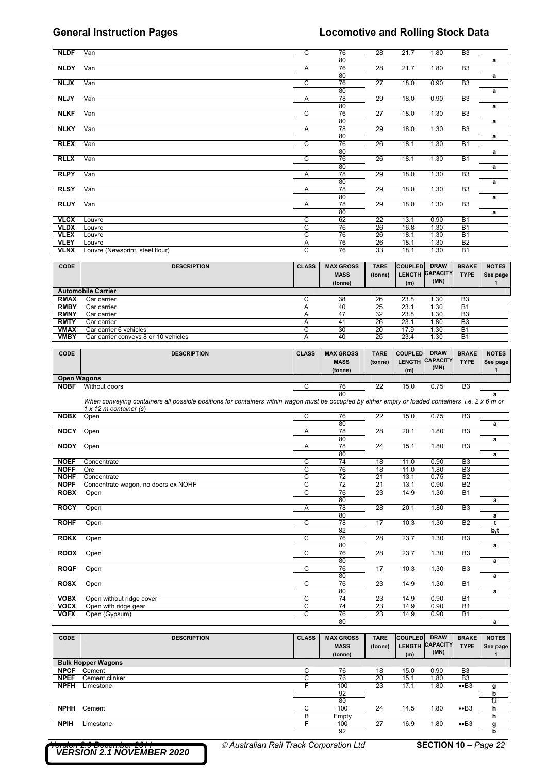| <b>NLDF</b>        | Van                                                                                                                                                | C              | 76               | 28              | 21.7           | 1.80            | B <sub>3</sub>  |               |
|--------------------|----------------------------------------------------------------------------------------------------------------------------------------------------|----------------|------------------|-----------------|----------------|-----------------|-----------------|---------------|
|                    |                                                                                                                                                    |                | 80               |                 |                |                 |                 | a             |
| <b>NLDY</b>        | Van                                                                                                                                                | Α              | 76               | $\overline{28}$ | 21.7           | 1.80            | B <sub>3</sub>  |               |
|                    |                                                                                                                                                    |                | 80               |                 |                |                 |                 | a             |
| <b>NLJX</b>        | Van                                                                                                                                                | C              | 76               | 27              | 18.0           | 0.90            | B <sub>3</sub>  |               |
|                    |                                                                                                                                                    |                | 80               |                 |                |                 |                 | a             |
| <b>NLJY</b>        | Van                                                                                                                                                | Α              | 78               | 29              | 18.0           | 0.90            | B <sub>3</sub>  |               |
|                    |                                                                                                                                                    |                | 80               |                 |                |                 |                 | a             |
| <b>NLKF</b>        | Van                                                                                                                                                | $\overline{c}$ | 76               | 27              | 18.0           | 1.30            | B <sub>3</sub>  |               |
|                    |                                                                                                                                                    |                | 80               |                 |                |                 |                 | a             |
| <b>NLKY</b>        | Van                                                                                                                                                | A              | 78               | 29              | 18.0           | 1.30            | B <sub>3</sub>  |               |
|                    |                                                                                                                                                    |                | 80               |                 |                |                 |                 | a             |
| <b>RLEX</b>        | Van                                                                                                                                                | C              | 76               | 26              | 18.1           | 1.30            | <b>B1</b>       |               |
|                    |                                                                                                                                                    |                | 80               |                 |                |                 |                 | a             |
| <b>RLLX</b>        | Van                                                                                                                                                | C              | 76               | 26              | 18.1           | 1.30            | <b>B1</b>       |               |
|                    |                                                                                                                                                    |                | 80               |                 |                |                 |                 | a             |
| <b>RLPY</b>        | Van                                                                                                                                                | Α              | 78               | 29              | 18.0           | 1.30            | B <sub>3</sub>  |               |
|                    |                                                                                                                                                    |                | 80               | 29              |                |                 |                 | a             |
| <b>RLSY</b>        | Van                                                                                                                                                | Α              | 78<br>80         |                 | 18.0           | 1.30            | B <sub>3</sub>  |               |
| <b>RLUY</b>        | Van                                                                                                                                                | Α              | 78               | 29              | 18.0           | 1.30            | B <sub>3</sub>  | a             |
|                    |                                                                                                                                                    |                | 80               |                 |                |                 |                 | a             |
| <b>VLCX</b>        | Louvre                                                                                                                                             | C              | 62               | 22              | 13.1           | 0.90            | <b>B1</b>       |               |
| <b>VLDX</b>        | Louvre                                                                                                                                             | C              | 76               | $\overline{26}$ | 16.8           | 1.30            | <b>B1</b>       |               |
| <b>VLEX</b>        | Louvre                                                                                                                                             | С              | 76               | 26              | 18.1           | 1.30            | <b>B1</b>       |               |
| <b>VLEY</b>        | Louvre                                                                                                                                             | Α              | 76               | 26              | 18.1           | 1.30            | B2              |               |
| <b>VLNX</b>        | Louvre (Newsprint, steel flour)                                                                                                                    | C              | 76               | 33              | 18.1           | 1.30            | <b>B1</b>       |               |
|                    |                                                                                                                                                    |                |                  |                 |                |                 |                 |               |
| CODE               | <b>DESCRIPTION</b>                                                                                                                                 | <b>CLASS</b>   | <b>MAX GROSS</b> | <b>TARE</b>     | <b>COUPLED</b> | <b>DRAW</b>     | <b>BRAKE</b>    | <b>NOTES</b>  |
|                    |                                                                                                                                                    |                |                  |                 |                | <b>CAPACITY</b> |                 |               |
|                    |                                                                                                                                                    |                | <b>MASS</b>      | (tonne)         | <b>LENGTH</b>  | (MN)            | <b>TYPE</b>     | See page      |
|                    |                                                                                                                                                    |                | (tonne)          |                 | (m)            |                 |                 | $\mathbf{1}$  |
|                    | <b>Automobile Carrier</b>                                                                                                                          |                |                  |                 |                |                 |                 |               |
| <b>RMAX</b>        | Car carrier                                                                                                                                        | C              | 38               | 26              | 23.8           | 1.30            | B <sub>3</sub>  |               |
| <b>RMBY</b>        | Car carrier                                                                                                                                        | Α              | 40               | 25              | 23.1           | 1.30            | <b>B1</b>       |               |
| <b>RMNY</b>        | Car carrier                                                                                                                                        | Α              | 47               | 32              | 23.8           | 1.30            | B <sub>3</sub>  |               |
| <b>RMTY</b>        | Car carrier                                                                                                                                        | Α              | 41               | 26              | 23.1           | 1.80            | B <sub>3</sub>  |               |
| <b>VMAX</b>        | Car carrier 6 vehicles                                                                                                                             | C              | 30               | 20              | 17.9           | 1.30            | <b>B1</b>       |               |
| <b>VMBY</b>        | Car carrier conveys 8 or 10 vehicles                                                                                                               | A              | 40               | 25              | 23.4           | 1.30            | <b>B1</b>       |               |
|                    |                                                                                                                                                    |                |                  |                 |                |                 |                 |               |
| <b>CODE</b>        | <b>DESCRIPTION</b>                                                                                                                                 | <b>CLASS</b>   | <b>MAX GROSS</b> | <b>TARE</b>     | <b>COUPLED</b> | <b>DRAW</b>     | <b>BRAKE</b>    | <b>NOTES</b>  |
|                    |                                                                                                                                                    |                | <b>MASS</b>      | (tonne)         | LENGTH         | <b>CAPACITY</b> | <b>TYPE</b>     | See page      |
|                    |                                                                                                                                                    |                | (tonne)          |                 | (m)            | (MN)            |                 | $\mathbf{1}$  |
| <b>Open Wagons</b> |                                                                                                                                                    |                |                  |                 |                |                 |                 |               |
|                    | <b>NOBF</b> Without doors                                                                                                                          | С              | 76               | 22              | 15.0           | 0.75            | B <sub>3</sub>  |               |
|                    |                                                                                                                                                    |                | 80               |                 |                |                 |                 | a             |
|                    |                                                                                                                                                    |                |                  |                 |                |                 |                 |               |
|                    | When conveying containers all possible positions for containers within wagon must be occupied by either empty or loaded containers i.e. 2 x 6 m or |                |                  |                 |                |                 |                 |               |
|                    | $1 \times 12$ m container (s)                                                                                                                      |                |                  |                 |                |                 |                 |               |
| <b>NOBX</b> Open   |                                                                                                                                                    | C              | 76               | 22              | 15.0           | 0.75            | B <sub>3</sub>  |               |
|                    |                                                                                                                                                    |                | 80               |                 |                |                 |                 | a             |
| <b>NOCY</b>        | Open                                                                                                                                               | Α              | 78               | 28              | 20.1           | 1.80            | B <sub>3</sub>  |               |
|                    |                                                                                                                                                    |                | 80               |                 |                |                 |                 | a             |
| <b>NODY</b> Open   |                                                                                                                                                    | Α              | 78               | 24              | 15.1           | 1.80            | B3              |               |
|                    |                                                                                                                                                    |                | 80               |                 |                |                 |                 | a             |
| <b>NOEF</b>        | Concentrate                                                                                                                                        | C              | 74               | 18              | 11.0           | 0.90            | B <sub>3</sub>  |               |
| <b>NOFF</b>        | Ore                                                                                                                                                | С              | 76               | 18              | 11.0           | 1.80            | B <sub>3</sub>  |               |
| <b>NOHF</b>        | Concentrate                                                                                                                                        | C              | 72               | 21              | 13.1           | 0.75            | B <sub>2</sub>  |               |
| <b>NOPF</b>        | Concentrate wagon, no doors ex NOHF                                                                                                                | $\overline{c}$ | $\overline{72}$  | 21              | 13.1           | 0.90            | B <sub>2</sub>  |               |
| <b>ROBX</b>        | Open                                                                                                                                               | $\overline{c}$ | 76               | 23              | 14.9           | 1.30            | <b>B1</b>       |               |
|                    |                                                                                                                                                    |                | 80               |                 |                |                 |                 | a             |
| <b>ROCY</b>        | Open                                                                                                                                               | Α              | 78               | 28              | 20.1           | 1.80            | B <sub>3</sub>  |               |
|                    |                                                                                                                                                    |                | 80               |                 |                |                 |                 | a             |
| <b>ROHF</b>        | Open                                                                                                                                               | $\overline{c}$ | 78               | 17              | 10.3           | 1.30            | B <sub>2</sub>  | t             |
| <b>ROKX</b>        |                                                                                                                                                    |                | 92               |                 |                |                 |                 | b,t           |
|                    | Open                                                                                                                                               | $\overline{C}$ | 76<br>80         | 28              | 23,7           | 1.30            | B <sub>3</sub>  | a             |
| <b>ROOX</b>        | Open                                                                                                                                               | C              | 76               | 28              | 23.7           | 1.30            | B <sub>3</sub>  |               |
|                    |                                                                                                                                                    |                | 80               |                 |                |                 |                 | a             |
| <b>ROQF</b>        | Open                                                                                                                                               | $\overline{c}$ | 76               | 17              | 10.3           | 1.30            | B <sub>3</sub>  |               |
|                    |                                                                                                                                                    |                | 80               |                 |                |                 |                 | a             |
| <b>ROSX</b>        | Open                                                                                                                                               | C              | 76               | 23              | 14.9           | 1.30            | <b>B1</b>       |               |
|                    |                                                                                                                                                    |                | 80               |                 |                |                 |                 | a             |
| <b>VOBX</b>        | Open without ridge cover                                                                                                                           | C              | 74               | 23              | 14.9           | 0.90            | <b>B1</b>       |               |
| <b>VOCX</b>        | Open with ridge gear                                                                                                                               | $\overline{c}$ | 74               | 23              | 14.9           | 0.90            | <b>B1</b>       |               |
| <b>VOFX</b>        | Open (Gypsum)                                                                                                                                      | C              | 76               | 23              | 14.9           | 0.90            | <b>B1</b>       |               |
|                    |                                                                                                                                                    |                | 80               |                 |                |                 |                 | a             |
|                    |                                                                                                                                                    |                |                  |                 |                |                 |                 |               |
| <b>CODE</b>        | <b>DESCRIPTION</b>                                                                                                                                 | <b>CLASS</b>   | <b>MAX GROSS</b> | <b>TARE</b>     | COUPLED        | <b>DRAW</b>     | <b>BRAKE</b>    | <b>NOTES</b>  |
|                    |                                                                                                                                                    |                | <b>MASS</b>      | (tonne)         | <b>LENGTH</b>  | <b>CAPACITY</b> | <b>TYPE</b>     |               |
|                    |                                                                                                                                                    |                | (tonne)          |                 | (m)            | (MN)            |                 | $\mathbf{1}$  |
|                    | <b>Bulk Hopper Wagons</b>                                                                                                                          |                |                  |                 |                |                 |                 |               |
| <b>NPCF</b>        | Cement                                                                                                                                             | C              | 76               | 18              | 15.0           | 0.90            | B <sub>3</sub>  |               |
| <b>NPEF</b>        | Cement clinker                                                                                                                                     | $\overline{C}$ | 76               | 20              | 15.1           | 1.80            | B3              |               |
| <b>NPFH</b>        | Limestone                                                                                                                                          | F              | 100              | 23              | 17.1           | 1.80            | ••B3            | g             |
|                    |                                                                                                                                                    |                | 92               |                 |                |                 |                 | b             |
|                    |                                                                                                                                                    |                | 80               |                 |                |                 |                 | f,i           |
| <b>NPHH</b>        | Cement                                                                                                                                             | C              | 100              | 24              | 14.5           | 1.80            | ••B3            | h             |
|                    |                                                                                                                                                    | В              | Empty            |                 |                |                 |                 | See page<br>h |
| <b>NPIH</b>        | Limestone                                                                                                                                          | F              | 100<br>92        | $\overline{27}$ | 16.9           | 1.80            | • <sub>B3</sub> | g<br>b        |

*VERSION 2.1 NOVEMBER 2020*

*Version 2.0 December 2011 Australian Rail Track Corporation Ltd* **SECTION 10 –** *Page 22*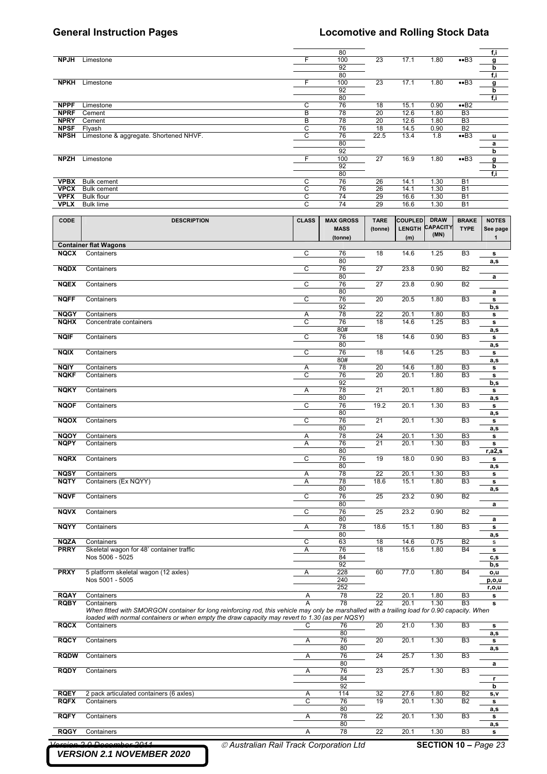|                            |                                                                                                                                                                                                                                                 |              | 80               |                 |                |                 |                                  | f,i          |
|----------------------------|-------------------------------------------------------------------------------------------------------------------------------------------------------------------------------------------------------------------------------------------------|--------------|------------------|-----------------|----------------|-----------------|----------------------------------|--------------|
| <b>NPJH</b>                | Limestone                                                                                                                                                                                                                                       | F            | 100              | 23              | 17.1           | 1.80            | ••B3                             | g            |
|                            |                                                                                                                                                                                                                                                 |              | 92               |                 |                |                 |                                  | b            |
|                            |                                                                                                                                                                                                                                                 |              | 80               |                 |                |                 |                                  | f,i          |
| <b>NPKH</b>                | Limestone                                                                                                                                                                                                                                       | F            | 100              | 23              | 17.1           | 1.80            | ••B3                             | g            |
|                            |                                                                                                                                                                                                                                                 |              | 92               |                 |                |                 |                                  | b            |
|                            |                                                                                                                                                                                                                                                 |              | 80               |                 |                |                 |                                  | f,i          |
| <b>NPPF</b>                | Limestone                                                                                                                                                                                                                                       | С            | 76               | 18              | 15.1           | 0.90            | ••B2                             |              |
| <b>NPRF</b>                | Cement                                                                                                                                                                                                                                          | B            | 78               | 20              | 12.6           | 1.80            | B <sub>3</sub>                   |              |
| <b>NPRY</b>                | Cement                                                                                                                                                                                                                                          | B            | 78               | 20              | 12.6           | 1.80            | B <sub>3</sub>                   |              |
| <b>NPSF</b>                | Flyash                                                                                                                                                                                                                                          | С            | 76               | 18              | 14.5           | 0.90            | B <sub>2</sub>                   |              |
| <b>NPSH</b>                | Limestone & aggregate. Shortened NHVF.                                                                                                                                                                                                          | C            | 76               | 22.5            | 13.4           | 1.8             | ••B3                             | u            |
|                            |                                                                                                                                                                                                                                                 |              | 80               |                 |                |                 |                                  | a            |
|                            |                                                                                                                                                                                                                                                 |              | 92               |                 |                |                 |                                  | b            |
| <b>NPZH</b>                | Limestone                                                                                                                                                                                                                                       | F            | 100              | 27              | 16.9           | 1.80            | ••B3                             | g            |
|                            |                                                                                                                                                                                                                                                 |              | 92               |                 |                |                 |                                  | b            |
|                            |                                                                                                                                                                                                                                                 |              | 80               |                 |                |                 |                                  | f,i          |
| <b>VPBX</b>                | <b>Bulk cement</b>                                                                                                                                                                                                                              | C            | 76               | 26              | 14.1           | 1.30            | <b>B1</b>                        |              |
| <b>VPCX</b>                | <b>Bulk cement</b>                                                                                                                                                                                                                              | С            | 76               | 26              | 14.1           | 1.30            | <b>B1</b>                        |              |
| <b>VPFX</b>                | Bulk flour                                                                                                                                                                                                                                      | C            | 74               | 29              | 16.6           | 1.30            | <b>B1</b>                        |              |
| <b>VPLX</b>                | <b>Bulk lime</b>                                                                                                                                                                                                                                | C            | 74               | 29              | 16.6           | 1.30            | <b>B1</b>                        |              |
|                            |                                                                                                                                                                                                                                                 |              |                  |                 |                |                 |                                  |              |
| CODE                       | <b>DESCRIPTION</b>                                                                                                                                                                                                                              | <b>CLASS</b> | <b>MAX GROSS</b> | <b>TARE</b>     | <b>COUPLED</b> | <b>DRAW</b>     | <b>BRAKE</b>                     | <b>NOTES</b> |
|                            |                                                                                                                                                                                                                                                 |              | <b>MASS</b>      | (tonne)         | <b>LENGTH</b>  | <b>CAPACITY</b> | <b>TYPE</b>                      | See page     |
|                            |                                                                                                                                                                                                                                                 |              | (tonne)          |                 | (m)            | (MN)            |                                  | 1            |
|                            | <b>Container flat Wagons</b>                                                                                                                                                                                                                    |              |                  |                 |                |                 |                                  |              |
| <b>NQCX</b>                | Containers                                                                                                                                                                                                                                      | C            | 76               | 18              | 14.6           | 1.25            | B <sub>3</sub>                   | s            |
|                            |                                                                                                                                                                                                                                                 |              | 80               |                 |                |                 |                                  | a,s          |
| <b>NQDX</b>                | Containers                                                                                                                                                                                                                                      | C            | 76               | 27              | 23.8           | 0.90            | B <sub>2</sub>                   |              |
|                            |                                                                                                                                                                                                                                                 |              | 80               |                 |                |                 |                                  | a            |
| <b>NQEX</b>                | Containers                                                                                                                                                                                                                                      | C            | 76               | 27              | 23.8           | 0.90            | B <sub>2</sub>                   |              |
|                            |                                                                                                                                                                                                                                                 |              | 80               |                 |                |                 |                                  | a            |
| <b>NQFF</b>                | Containers                                                                                                                                                                                                                                      | С            | 76               | 20              | 20.5           | 1.80            | B <sub>3</sub>                   | $\mathbf s$  |
|                            |                                                                                                                                                                                                                                                 |              | 92               |                 |                |                 |                                  | b,s          |
| <b>NQGY</b>                | Containers                                                                                                                                                                                                                                      | Α            | 78               | $\overline{22}$ | 20.1           | 1.80            | B <sub>3</sub>                   | s            |
| <b>NQHX</b>                | Concentrate containers                                                                                                                                                                                                                          | C            | 76               | 18              | 14.6           | 1.25            | B <sub>3</sub>                   | s            |
|                            |                                                                                                                                                                                                                                                 |              | 80#              |                 |                |                 |                                  | a,s          |
| <b>NQIF</b>                | Containers                                                                                                                                                                                                                                      | C            | 76               | 18              | 14.6           | 0.90            | B3                               | s            |
|                            |                                                                                                                                                                                                                                                 |              | 80               |                 |                |                 |                                  | a,s          |
| <b>NQIX</b>                | Containers                                                                                                                                                                                                                                      | C            | 76               | 18              | 14.6           | 1.25            | B <sub>3</sub>                   | s            |
|                            |                                                                                                                                                                                                                                                 |              | 80#              |                 |                |                 |                                  | a,s          |
| <b>NQIY</b>                | Containers                                                                                                                                                                                                                                      | Α            | 78               | 20              | 14.6           | 1.80            | B <sub>3</sub>                   | s            |
| <b>NQKF</b>                | Containers                                                                                                                                                                                                                                      | C            | 76               | 20              | 20.1           | 1.80            | B <sub>3</sub>                   | s            |
|                            |                                                                                                                                                                                                                                                 |              | 92               |                 |                |                 |                                  | b,s          |
| <b>NQKY</b>                | Containers                                                                                                                                                                                                                                      | Α            | 78               | 21              | 20.1           | 1.80            | B <sub>3</sub>                   | s            |
|                            |                                                                                                                                                                                                                                                 |              | 80               |                 |                |                 |                                  | a,s          |
| <b>NQOF</b>                | Containers                                                                                                                                                                                                                                      | C            | 76               | 19.2            | 20.1           | 1.30            | B <sub>3</sub>                   | s            |
|                            |                                                                                                                                                                                                                                                 |              | 80               |                 |                |                 |                                  | a,s          |
| <b>NQOX</b>                | Containers                                                                                                                                                                                                                                      | С            | 76               | 21              | 20.1           | 1.30            | B <sub>3</sub>                   | s            |
|                            |                                                                                                                                                                                                                                                 |              | 80               |                 |                |                 |                                  | a,s          |
| <b>NQOY</b>                | Containers                                                                                                                                                                                                                                      | Α            | 78               | 24              | 20.1           | 1.30            | B <sub>3</sub>                   | s            |
| <b>NQPY</b>                | Containers                                                                                                                                                                                                                                      | Α            | 76               | 21              | 20.1           | 1.30            | B <sub>3</sub>                   | s            |
|                            |                                                                                                                                                                                                                                                 |              | 80               |                 |                |                 |                                  | r,a2,s       |
| <b>NQRX</b>                | Containers                                                                                                                                                                                                                                      | C            | 76               | 19              | 18.0           | 0.90            | B <sub>3</sub>                   | s            |
|                            |                                                                                                                                                                                                                                                 |              | 80               |                 |                |                 |                                  | a,s          |
| <b>NQSY</b>                | Containers                                                                                                                                                                                                                                      | Α            | 78               | 22              | 20.1           | 1.30            | B <sub>3</sub>                   | s            |
| <b>NQTY</b>                | Containers (Ex NQYY)                                                                                                                                                                                                                            | Α            | 78               | 18.6            | 15.1           | 1.80            | B <sub>3</sub>                   | s            |
|                            |                                                                                                                                                                                                                                                 |              | 80               |                 |                |                 |                                  | a,s          |
| <b>NQVF</b>                | Containers                                                                                                                                                                                                                                      | C            | 76               | 25              | 23.2           | 0.90            | B <sub>2</sub>                   |              |
|                            |                                                                                                                                                                                                                                                 |              | 80               |                 |                |                 |                                  | a            |
| <b>NQVX</b>                | Containers                                                                                                                                                                                                                                      | С            | 76               | 25              | 23.2           | 0.90            | B <sub>2</sub>                   |              |
|                            |                                                                                                                                                                                                                                                 |              | 80               |                 |                |                 |                                  | а            |
| <b>NQYY</b>                | Containers                                                                                                                                                                                                                                      | Α            | 78               | 18.6            | 15.1           | 1.80            | B <sub>3</sub>                   | s            |
|                            |                                                                                                                                                                                                                                                 |              | 80               |                 |                |                 |                                  | a,s          |
| <b>NQZA</b>                | Containers                                                                                                                                                                                                                                      | C            | 63               | 18              | 14.6           | 0.75            | B <sub>2</sub>                   | $\mathbf s$  |
| <b>PRRY</b>                | Skeletal wagon for 48' container traffic                                                                                                                                                                                                        | Α            | 76               | 18              | 15.6           | 1.80            | <b>B4</b>                        | s            |
|                            | Nos 5006 - 5025                                                                                                                                                                                                                                 |              | 84               |                 |                |                 |                                  | c,s          |
|                            |                                                                                                                                                                                                                                                 |              | 92               |                 |                |                 |                                  | b,s          |
| <b>PRXY</b>                | 5 platform skeletal wagon (12 axles)                                                                                                                                                                                                            | Α            | 228              | 60              | 77.0           | 1.80            | B <sub>4</sub>                   | o,u          |
|                            | Nos 5001 - 5005                                                                                                                                                                                                                                 |              | 240              |                 |                |                 |                                  | p,o,u        |
|                            |                                                                                                                                                                                                                                                 |              | 252              |                 |                |                 |                                  | r,o,u        |
| <b>RQAY</b>                | Containers                                                                                                                                                                                                                                      | Α            | 78               | 22              | 20.1           | 1.80            | B <sub>3</sub>                   | s            |
| <b>RQBY</b>                | Containers                                                                                                                                                                                                                                      | A            | 78               | 22              | 20.1           | 1.30            | B <sub>3</sub>                   | s            |
|                            | When fitted with SMORGON container for long reinforcing rod, this vehicle may only be marshalled with a trailing load for 0.90 capacity. When<br>loaded with normal containers or when empty the draw capacity may revert to 1.30 (as per NQSY) |              |                  |                 |                |                 |                                  |              |
|                            |                                                                                                                                                                                                                                                 |              |                  |                 |                |                 |                                  |              |
| <b>RQCX</b>                | Containers                                                                                                                                                                                                                                      | С            | 76               | 20              | 21.0           | 1.30            | B <sub>3</sub>                   | s            |
|                            |                                                                                                                                                                                                                                                 |              | 80               | 20              |                |                 |                                  | a,s          |
| <b>RQCY</b>                | Containers                                                                                                                                                                                                                                      | Α            | 76               |                 | 20.1           | 1.30            | B <sub>3</sub>                   | s            |
|                            |                                                                                                                                                                                                                                                 |              | 80               |                 |                |                 |                                  | a,s          |
| <b>RQDW</b>                | Containers                                                                                                                                                                                                                                      | А            | 76               | 24              | 25.7           | 1.30            | B <sub>3</sub>                   |              |
|                            |                                                                                                                                                                                                                                                 |              | 80               |                 |                |                 |                                  | a            |
| <b>RQDY</b>                | Containers                                                                                                                                                                                                                                      | Α            | 76               | 23              | 25.7           | 1.30            | B <sub>3</sub>                   |              |
|                            |                                                                                                                                                                                                                                                 |              | 84               |                 |                |                 |                                  | r            |
|                            |                                                                                                                                                                                                                                                 |              | 92               |                 |                |                 |                                  | b            |
| <b>RQEY</b><br><b>RQFX</b> | 2 pack articulated containers (6 axles)<br>Containers                                                                                                                                                                                           | Α<br>C       | 114<br>76        | 32<br>19        | 27.6<br>20.1   | 1.80<br>1.30    | B <sub>2</sub><br>B <sub>2</sub> | s,v          |
|                            |                                                                                                                                                                                                                                                 |              |                  |                 |                |                 |                                  | s            |
|                            |                                                                                                                                                                                                                                                 |              |                  |                 |                |                 |                                  |              |
|                            |                                                                                                                                                                                                                                                 |              | 80               |                 |                |                 |                                  | a,s          |
| <b>RQFY</b>                | Containers                                                                                                                                                                                                                                      | А            | 78               | 22              | 20.1           | 1.30            | B <sub>3</sub>                   | s            |
| <b>RQGY</b>                | Containers                                                                                                                                                                                                                                      | Α            | 80<br>78         | 22              | 20.1           | 1.30            | B <sub>3</sub>                   | a,s<br>s     |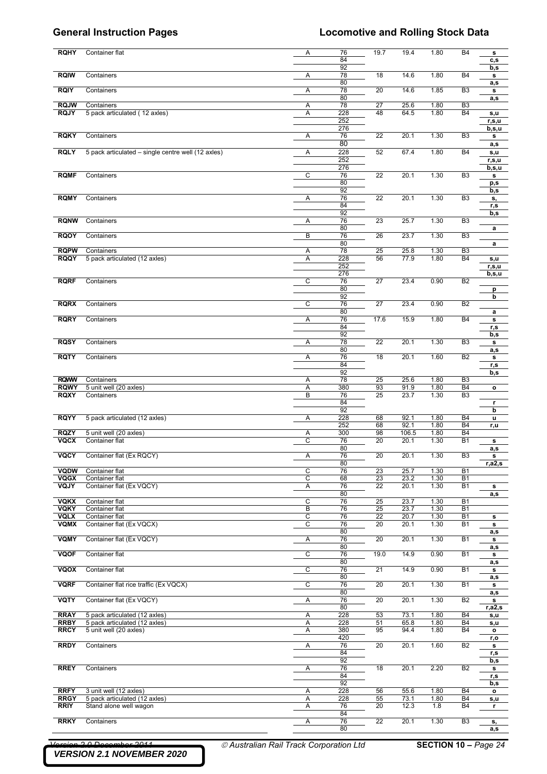| <b>RQHY</b>                | Container flat                                          | Α      | 76<br>84   | 19.7            | 19.4         | 1.80         | <b>B4</b>                   | s<br>c,s       |
|----------------------------|---------------------------------------------------------|--------|------------|-----------------|--------------|--------------|-----------------------------|----------------|
| <b>RQIW</b>                | Containers                                              | Α      | 92<br>78   | 18              | 14.6         | 1.80         | <b>B4</b>                   | b,s<br>s       |
| <b>RQIY</b>                | Containers                                              | Α      | 80<br>78   | 20              | 14.6         | 1.85         | B <sub>3</sub>              | a,s<br>s       |
|                            |                                                         |        | 80         |                 |              |              |                             | a,s            |
| <b>RQJW</b><br><b>RQJY</b> | Containers<br>5 pack articulated (12 axles)             | Α<br>Α | 78<br>228  | 27<br>48        | 25.6<br>64.5 | 1.80<br>1.80 | B <sub>3</sub><br><b>B4</b> |                |
|                            |                                                         |        | 252        |                 |              |              |                             | s,u<br>r,s,u   |
|                            |                                                         |        | 276        |                 |              |              |                             | b,s,u          |
| <b>RQKY</b>                | Containers                                              | Α      | 76         | 22              | 20.1         | 1.30         | B <sub>3</sub>              | s              |
|                            |                                                         |        | 80         |                 |              |              |                             | a,s            |
| <b>RQLY</b>                | 5 pack articulated – single centre well (12 axles)      | Α      | 228<br>252 | 52              | 67.4         | 1.80         | <b>B4</b>                   | s,u            |
|                            |                                                         |        | 276        |                 |              |              |                             | r,s,u<br>b,s,u |
| <b>RQMF</b>                | Containers                                              | C      | 76         | 22              | 20.1         | 1.30         | B3                          | s              |
|                            |                                                         |        | 80         |                 |              |              |                             | p,s            |
|                            |                                                         |        | 92         |                 |              |              |                             | b,s            |
| <b>RQMY</b>                | Containers                                              | Α      | 76<br>84   | 22              | 20.1         | 1.30         | B <sub>3</sub>              | s,             |
|                            |                                                         |        | 92         |                 |              |              |                             | r,s<br>b,s     |
| <b>RQNW</b>                | Containers                                              | Α      | 76         | 23              | 25.7         | 1.30         | B3                          |                |
|                            |                                                         |        | 80         |                 |              |              |                             | a              |
| <b>RQOY</b>                | Containers                                              | В      | 76         | 26              | 23.7         | 1.30         | B <sub>3</sub>              |                |
| <b>RQPW</b>                |                                                         |        | 80<br>78   |                 |              |              | B3                          | a              |
| <b>RQQY</b>                | Containers<br>5 pack articulated (12 axles)             | Α<br>Α | 228        | 25<br>56        | 25.8<br>77.9 | 1.30<br>1.80 | <b>B4</b>                   | s,u            |
|                            |                                                         |        | 252        |                 |              |              |                             | r,s,u          |
|                            |                                                         |        | 276        |                 |              |              |                             | b,s,u          |
| <b>RQRF</b>                | Containers                                              | C      | 76         | 27              | 23.4         | 0.90         | B <sub>2</sub>              |                |
|                            |                                                         |        | 80         |                 |              |              |                             | p              |
| <b>RQRX</b>                | Containers                                              | C      | 92<br>76   | $\overline{27}$ | 23.4         | 0.90         | B <sub>2</sub>              | b              |
|                            |                                                         |        | 80         |                 |              |              |                             | a              |
| <b>RQRY</b>                | Containers                                              | Α      | 76         | 17.6            | 15.9         | 1.80         | <b>B4</b>                   | s              |
|                            |                                                         |        | 84         |                 |              |              |                             | r,s            |
|                            |                                                         |        | 92         |                 |              |              |                             | b,s            |
| <b>RQSY</b>                | Containers                                              | Α      | 78         | $\overline{22}$ | 20.1         | 1.30         | B3                          | s              |
| <b>RQTY</b>                | Containers                                              | Α      | 80<br>76   | 18              | 20.1         | 1.60         | B2                          | a,s<br>s       |
|                            |                                                         |        | 84         |                 |              |              |                             | r,s            |
|                            |                                                         |        | 92         |                 |              |              |                             | b,s            |
| <b>RQWW</b>                | Containers                                              | Α      | 78         | 25              | 25.6         | 1.80         | B <sub>3</sub>              |                |
| <b>RQWY</b>                | 5 unit well (20 axles)                                  | Α      | 380        | 93              | 91.9         | 1.80         | <b>B4</b>                   | $\mathbf{o}$   |
| <b>RQXY</b>                | Containers                                              | В      | 76<br>84   | 25              | 23.7         | 1.30         | B <sub>3</sub>              |                |
|                            |                                                         |        | 92         |                 |              |              |                             | r<br>b         |
| <b>RQYY</b>                | 5 pack articulated (12 axles)                           | Α      | 228        | 68              | 92.1         | 1.80         | <b>B4</b>                   | $\mathbf{u}$   |
|                            |                                                         |        | 252        | 68              | 92.1         | 1.80         | <b>B4</b>                   | r,u            |
| <b>RQZY</b>                | 5 unit well (20 axles)                                  | Α      | 300        | 98              | 106.5        | 1.80         | <b>B4</b>                   |                |
| <b>VQCX</b>                | Container flat                                          | C      | 76<br>80   | 20              | 20.1         | 1.30         | <b>B1</b>                   | s              |
| VQCY                       | Container flat (Ex RQCY)                                | A      | 76         | 20              | 20.1         | 1.30         | B <sub>3</sub>              | a,s<br>s       |
|                            |                                                         |        | 80         |                 |              |              |                             | r,a2,s         |
| <b>VQDW</b>                | Container flat                                          | C      | 76         | 23              | 25.7         | 1.30         | <b>B1</b>                   |                |
| <b>VQGX</b>                | Container flat                                          | C      | 68         | 23              | 23.2         | 1.30         | <b>B1</b>                   |                |
| <b>VQJY</b>                | Container flat (Ex VQCY)                                | Α      | 76<br>80   | 22              | 20.1         | 1.30         | <b>B1</b>                   | s              |
| <b>VQKX</b>                | Container flat                                          | C      | 76         | 25              | 23.7         | 1.30         | <b>B1</b>                   | a,s            |
| <b>VQKY</b>                | Container flat                                          | B      | 76         | 25              | 23.7         | 1.30         | <b>B1</b>                   |                |
| <b>VQLX</b>                | Container flat                                          | C      | 76         | 22              | 20.7         | 1.30         | <b>B1</b>                   | s              |
| <b>VQMX</b>                | Container flat (Ex VQCX)                                | C      | 76         | 20              | 20.1         | 1.30         | <b>B1</b>                   | s              |
|                            |                                                         |        | 80         |                 |              |              |                             | a,s            |
| <b>VQMY</b>                | Container flat (Ex VQCY)                                | Α      | 76<br>80   | 20              | 20.1         | 1.30         | <b>B1</b>                   | s<br>a,s       |
| <b>VQOF</b>                | Container flat                                          | C      | 76         | 19.0            | 14.9         | 0.90         | <b>B1</b>                   | s              |
|                            |                                                         |        | 80         |                 |              |              |                             | a,s            |
| <b>VQOX</b>                | Container flat                                          | C      | 76         | 21              | 14.9         | 0.90         | <b>B1</b>                   | s              |
|                            |                                                         |        | 80         |                 |              |              |                             | a,s            |
| <b>VQRF</b>                | Container flat rice traffic (Ex VQCX)                   | C      | 76<br>80   | 20              | 20.1         | 1.30         | <b>B1</b>                   | s              |
| <b>VQTY</b>                | Container flat (Ex VQCY)                                | Α      | 76         | 20              | 20.1         | 1.30         | B <sub>2</sub>              | a,s<br>s       |
|                            |                                                         |        | 80         |                 |              |              |                             | r,a2,s         |
| <b>RRAY</b>                | 5 pack articulated (12 axles)                           | Α      | 228        | 53              | 73.1         | 1.80         | B <sub>4</sub>              | s,u            |
| <b>RRBY</b>                | 5 pack articulated (12 axles)                           | Α      | 228        | 51              | 65.8         | 1.80         | <b>B4</b>                   | s,u            |
| <b>RRCY</b>                | 5 unit well (20 axles)                                  | Α      | 380        | 95              | 94.4         | 1.80         | B <sub>4</sub>              | $\mathbf{o}$   |
| <b>RRDY</b>                | Containers                                              | Α      | 420<br>76  | $\overline{20}$ | 20.1         | 1.60         | B <sub>2</sub>              | r,o<br>s       |
|                            |                                                         |        | 84         |                 |              |              |                             | r,s            |
|                            |                                                         |        | 92         |                 |              |              |                             | b,s            |
| <b>RREY</b>                | Containers                                              | Α      | 76         | 18              | 20.1         | 2.20         | B <sub>2</sub>              | s              |
|                            |                                                         |        | 84         |                 |              |              |                             | r,s            |
|                            |                                                         |        | 92         |                 |              |              |                             | b,s            |
| <b>RRFY</b><br><b>RRGY</b> | 3 unit well (12 axles)<br>5 pack articulated (12 axles) | Α<br>Α | 228<br>228 | 56<br>55        | 55.6<br>73.1 | 1.80<br>1.80 | B <sub>4</sub><br><b>B4</b> | $\mathbf{o}$   |
| <b>RRIY</b>                | Stand alone well wagon                                  | Α      | 76         | 20              | 12.3         | 1.8          | B <sub>4</sub>              | s,u<br>r       |
|                            |                                                         |        | 84         |                 |              |              |                             |                |
| <b>RRKY</b>                | Containers                                              | Α      | 76         | $\overline{22}$ | 20.1         | 1.30         | B <sub>3</sub>              | s,             |
|                            |                                                         |        | 80         |                 |              |              |                             | a,s            |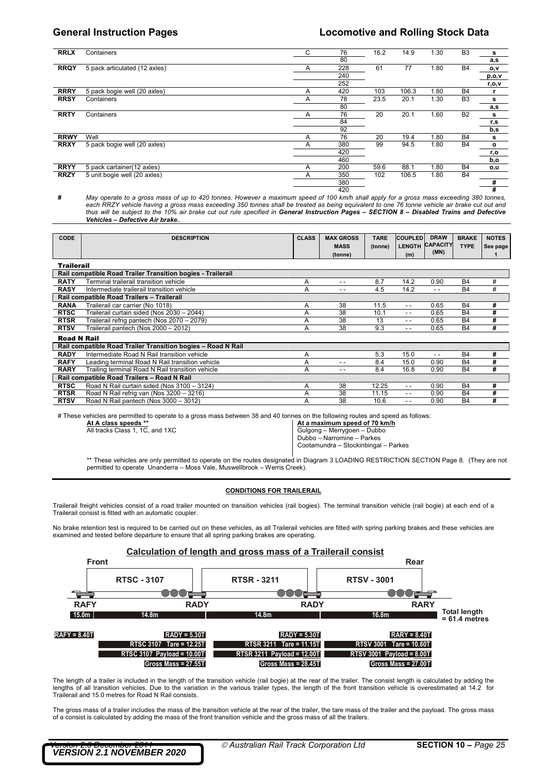### **General Instruction Pages Locomotive and Rolling Stock Data**

| <b>RRLX</b> | Containers                    | C | 76  | 16.2 | 14.9  | 1.30 | B <sub>3</sub> | s            |
|-------------|-------------------------------|---|-----|------|-------|------|----------------|--------------|
|             |                               |   | 80  |      |       |      |                | a,s          |
| <b>RRQY</b> | 5 pack articulated (12 axles) | A | 228 | 61   | 77    | 1.80 | <b>B4</b>      | o,v          |
|             |                               |   | 240 |      |       |      |                | p, o, v      |
|             |                               |   | 252 |      |       |      |                | r,o,v        |
| <b>RRRY</b> | 5 pack bogie well (20 axles)  | A | 420 | 103  | 106.3 | 1.80 | B4             |              |
| <b>RRSY</b> | Containers                    | A | 78  | 23.5 | 20.1  | 1.30 | B <sub>3</sub> | s            |
|             |                               |   | 80  |      |       |      |                | a,s          |
| <b>RRTY</b> | Containers                    | A | 76  | 20   | 20.1  | 1.60 | <b>B2</b>      | s            |
|             |                               |   | 84  |      |       |      |                | r,s          |
|             |                               |   | 92  |      |       |      |                | b,s          |
| <b>RRWY</b> | Well                          | A | 76  | 20   | 19.4  | 1.80 | <b>B4</b>      | s            |
| <b>RRXY</b> | 5 pack bogie well (20 axles)  | A | 380 | 99   | 94.5  | 1.80 | B <sub>4</sub> | $\mathbf{o}$ |
|             |                               |   | 420 |      |       |      |                | r,o          |
|             |                               |   | 460 |      |       |      |                | b,o          |
| <b>RRYY</b> | 5 pack cartainer (12 axles)   | A | 200 | 59.6 | 88.1  | 1.80 | B4             | o,u          |
| <b>RRZY</b> | 5 unit bogie well (20 axles)  | A | 350 | 102  | 106.5 | 1.80 | <b>B4</b>      |              |
|             |                               |   | 380 |      |       |      |                | #            |
|             |                               |   | 420 |      |       |      |                | #            |

**#** *May operate to a gross mass of up to 420 tonnes. However a maximum speed of 100 km/h shall apply for a gross mass exceeding 380 tonnes,*  each RRZY vehicle having a gross mass exceeding 350 tonnes shall be treated as being equivalent to one 76 tonne vehicle air brake cut out and<br>thus will be subject to the 10% air brake cut out rule specified in **General Ins** *Vehicles – Defective Air brake..*

| <b>CODE</b>        | <b>DESCRIPTION</b>                                           | <b>CLASS</b> | <b>MAX GROSS</b><br><b>MASS</b><br>(tonne) | <b>TARE</b><br>(tonne) | <b>COUPLED</b><br>(m) | <b>DRAW</b><br>LENGTH CAPACITY<br>(MN) | <b>BRAKE</b><br><b>TYPE</b> | <b>NOTES</b><br>See page |
|--------------------|--------------------------------------------------------------|--------------|--------------------------------------------|------------------------|-----------------------|----------------------------------------|-----------------------------|--------------------------|
| <b>Trailerail</b>  |                                                              |              |                                            |                        |                       |                                        |                             |                          |
|                    | Rail compatible Road Trailer Transition bogies - Trailerail  |              |                                            |                        |                       |                                        |                             |                          |
| <b>RATY</b>        | Terminal trailerail transition vehicle                       | A            | $ -$                                       | 8.7                    | 14.2                  | 0.90                                   | <b>B4</b>                   | #                        |
| <b>RASY</b>        | Intermediate trailerail transition vehicle                   | Α            | $ -$                                       | 4.5                    | 14.2                  | $ -$                                   | <b>B4</b>                   | #                        |
|                    | Rail compatible Road Trailers - Trailerail                   |              |                                            |                        |                       |                                        |                             |                          |
| <b>RANA</b>        | Trailerail car carrier (No 1018)                             | Α            | 38                                         | 11.5                   | $-$                   | 0.65                                   | <b>B4</b>                   | #                        |
| <b>RTSC</b>        | Trailerail curtain sided (Nos 2030 - 2044)                   | Α            | 38                                         | 10.1                   | $ -$                  | 0.65                                   | <b>B4</b>                   | #                        |
| <b>RTSR</b>        | Trailerail refrig pantech (Nos 2070 - 2079)                  | A            | 38                                         | 13                     | $ -$                  | 0.65                                   | <b>B4</b>                   | #                        |
| <b>RTSV</b>        | Trailerail pantech (Nos 2000 - 2012)                         | A            | 38                                         | 9.3                    | $- -$                 | 0.65                                   | <b>B4</b>                   | #                        |
| <b>Road N Rail</b> |                                                              |              |                                            |                        |                       |                                        |                             |                          |
|                    | Rail compatible Road Trailer Transition bogies - Road N Rail |              |                                            |                        |                       |                                        |                             |                          |
| <b>RADY</b>        | Intermediate Road N Rail transition vehicle                  | A            |                                            | 5.3                    | 15.0                  | $ -$                                   | <b>B4</b>                   | #                        |
| <b>RAFY</b>        | Leading terminal Road N Rail transition vehicle              | A            | - -                                        | 8.4                    | 15.0                  | 0.90                                   | <b>B4</b>                   | #                        |
| <b>RARY</b>        | Trailing terminal Road N Rail transition vehicle             | Α            | - -                                        | 8.4                    | 16.8                  | 0.90                                   | <b>B4</b>                   | #                        |
|                    | Rail compatible Road Trailers - Road N Rail                  |              |                                            |                        |                       |                                        |                             |                          |
| <b>RTSC</b>        | Road N Rail curtain sided (Nos 3100 - 3124)                  | A            | 38                                         | 12.25                  | $- -$                 | 0.90                                   | <b>B4</b>                   | #                        |
| <b>RTSR</b>        | Road N Rail refrig van (Nos 3200 - 3216)                     | A            | 38                                         | 11.15                  | $- -$                 | 0.90                                   | <b>B4</b>                   | #                        |
| <b>RTSV</b>        | Road N Rail pantech (Nos 3000 - 3012)                        | A            | 38                                         | 10.6                   | - -                   | 0.90                                   | <b>B4</b>                   | #                        |

# These vehicles are permitted to operate to a gross mass between 38 and 40 tonnes on the following routes and speed as follows:

**At A class speeds \*\* At a maximum speed of 70 km/h** All tracks Class 1, 1C, and 1XC Gulgong – Merrygoen – Dubbo

Dubbo – Narromine – Parkes

Cootamundra – Stockinbingal – Parkes

\*\* These vehicles are only permitted to operate on the routes designated in Diagram 3 LOADING RESTRICTION SECTION Page 8. (They are not permitted to operate Unanderra – Moss Vale, Muswellbrook – Werris Creek).

### **CONDITIONS FOR TRAILERAIL**

Trailerail freight vehicles consist of a road trailer mounted on transition vehicles (rail bogies). The terminal transition vehicle (rail bogie) at each end of a Trailerail consist is fitted with an automatic coupler.

No brake retention test is required to be carried out on these vehicles, as all Trailerail vehicles are fitted with spring parking brakes and these vehicles are examined and tested before departure to ensure that all spring parking brakes are operating.



The length of a trailer is included in the length of the transition vehicle (rail bogie) at the rear of the trailer. The consist length is calculated by adding the lengths of all transition vehicles. Due to the variation in the various trailer types, the length of the front transition vehicle is overestimated at 14.2 for Trailerail and 15.0 metres for Road N Rail consists.

The gross mass of a trailer includes the mass of the transition vehicle at the rear of the trailer, the tare mass of the trailer and the payload. The gross mass of a consist is calculated by adding the mass of the front transition vehicle and the gross mass of all the trailers.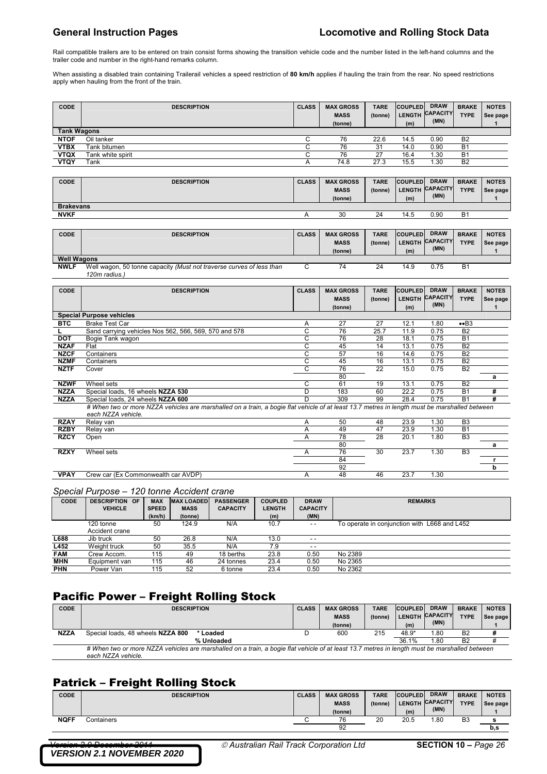Rail compatible trailers are to be entered on train consist forms showing the transition vehicle code and the number listed in the left-hand columns and the trailer code and number in the right-hand remarks column.

When assisting a disabled train containing Trailerail vehicles a speed restriction of **80 km/h** applies if hauling the train from the rear. No speed restrictions apply when hauling from the front of the train.

| <b>CODE</b>        | <b>DESCRIPTION</b> | <b>CLASS</b> | <b>MAX GROSS</b><br><b>MASS</b><br>(tonne) | <b>TARE</b><br>(tonne) | <b>COUPLED</b><br>(m) | <b>DRAW</b><br><b>LENGTH CAPACITY</b><br>(MN) | <b>BRAKE</b><br><b>TYPE</b> | <b>NOTES</b><br>See page |
|--------------------|--------------------|--------------|--------------------------------------------|------------------------|-----------------------|-----------------------------------------------|-----------------------------|--------------------------|
| <b>Tank Wagons</b> |                    |              |                                            |                        |                       |                                               |                             |                          |
| <b>NTOF</b>        | Oil tanker         |              | 76                                         | 22.6                   | 14.5                  | 0.90                                          | B <sub>2</sub>              |                          |
| <b>VTBX</b>        | Tank bitumen       |              | 76                                         | 31                     | 14.0                  | 0.90                                          | <b>B1</b>                   |                          |
| <b>VTQX</b>        | Tank white spirit  |              | 76                                         | 27                     | 16.4                  | 1.30                                          | <b>B1</b>                   |                          |
| <b>VTQY</b>        | Tank               |              | 74.8                                       | 27.3                   | 15.5                  | 1.30                                          | B <sub>2</sub>              |                          |
|                    |                    |              |                                            |                        |                       |                                               |                             |                          |

| CODE             | <b>DESCRIPTION</b> | <b>CLASS</b> | <b>MAX GROSS</b><br><b>MASS</b><br>(tonne) | <b>TARE</b><br>(tonne) | <b>COUPLED</b><br>(m) | <b>DRAW</b><br>LENGTH CAPACITY<br>(MN) | <b>BRAKE</b><br><b>TYPE</b> | <b>NOTES</b><br>See page |
|------------------|--------------------|--------------|--------------------------------------------|------------------------|-----------------------|----------------------------------------|-----------------------------|--------------------------|
| <b>Brakevans</b> |                    |              |                                            |                        |                       |                                        |                             |                          |
| <b>NVKF</b>      |                    |              | 30                                         | 24                     | 14.5                  | 0.90                                   | B١                          |                          |

| <b>CODE</b>        | <b>DESCRIPTION</b>                                                   | <b>CLASS</b> | <b>MAX GROSS</b> | <b>TARE</b> | <b>COUPLED</b>  | <b>DRAW</b> | <b>BRAKE</b> | <b>NOTES</b> |
|--------------------|----------------------------------------------------------------------|--------------|------------------|-------------|-----------------|-------------|--------------|--------------|
|                    |                                                                      |              | <b>MASS</b>      | (tonne)     | LENGTH CAPACITY |             | <b>TYPE</b>  | See page     |
|                    |                                                                      |              | (tonne)          |             | (m)             | (MN)        |              |              |
| <b>Well Wagons</b> |                                                                      |              |                  |             |                 |             |              |              |
| <b>NWLF</b>        | Well wagon, 50 tonne capacity (Must not traverse curves of less than |              | 74               | 24          | 14.9            | 0.75        | <b>B1</b>    |              |
|                    | 120m radius.)                                                        |              |                  |             |                 |             |              |              |

| <b>CODE</b> | <b>DESCRIPTION</b>                                                                                                                                                  | <b>CLASS</b> | <b>MAX GROSS</b><br><b>MASS</b><br>(tonne) | <b>TARE</b><br>(tonne) | <b>COUPLED</b><br>(m) | <b>DRAW</b><br><b>LENGTH CAPACITY</b><br>(MN) | <b>BRAKE</b><br><b>TYPE</b> | <b>NOTES</b><br>See page |
|-------------|---------------------------------------------------------------------------------------------------------------------------------------------------------------------|--------------|--------------------------------------------|------------------------|-----------------------|-----------------------------------------------|-----------------------------|--------------------------|
|             | <b>Special Purpose vehicles</b>                                                                                                                                     |              |                                            |                        |                       |                                               |                             |                          |
| <b>BTC</b>  | <b>Brake Test Car</b>                                                                                                                                               | Α            | 27                                         | 27                     | 12.1                  | 1.80                                          | $\bullet$ B3                |                          |
|             | Sand carrying vehicles Nos 562, 566, 569, 570 and 578                                                                                                               | С            | 76                                         | 25.7                   | 11.9                  | 0.75                                          | B <sub>2</sub>              |                          |
| <b>DOT</b>  | Bogie Tank wagon                                                                                                                                                    | C            | 76                                         | 28                     | 18.1                  | 0.75                                          | B <sub>1</sub>              |                          |
| <b>NZAF</b> | Flat                                                                                                                                                                | C            | 45                                         | 14                     | 13.1                  | 0.75                                          | B <sub>2</sub>              |                          |
| <b>NZCF</b> | Containers                                                                                                                                                          | C            | 57                                         | 16                     | 14.6                  | 0.75                                          | B <sub>2</sub>              |                          |
| <b>NZMF</b> | Containers                                                                                                                                                          | C            | 45                                         | 16                     | 13.1                  | 0.75                                          | <b>B2</b>                   |                          |
| <b>NZTF</b> | Cover                                                                                                                                                               | С            | 76                                         | 22                     | 15.0                  | 0.75                                          | B <sub>2</sub>              |                          |
|             |                                                                                                                                                                     |              | 80                                         |                        |                       |                                               |                             | a                        |
| <b>NZWF</b> | Wheel sets                                                                                                                                                          | С            | 61                                         | 19                     | 13.1                  | 0.75                                          | B <sub>2</sub>              |                          |
| <b>NZZA</b> | Special loads, 16 wheels NZZA 530                                                                                                                                   | D            | 183                                        | 60                     | 22.2                  | 0.75                                          | <b>B1</b>                   | #                        |
| <b>NZZA</b> | Special loads, 24 wheels NZZA 600                                                                                                                                   | D            | 309                                        | 99                     | 28.4                  | 0.75                                          | B <sub>1</sub>              | #                        |
|             | # When two or more NZZA vehicles are marshalled on a train, a bogie flat vehicle of at least 13.7 metres in length must be marshalled between<br>each NZZA vehicle. |              |                                            |                        |                       |                                               |                             |                          |
| <b>RZAY</b> | Relay van                                                                                                                                                           | A            | 50                                         | 48                     | 23.9                  | 1.30                                          | B <sub>3</sub>              |                          |
| <b>RZBY</b> | Relay van                                                                                                                                                           | A            | 49                                         | 47                     | 23.9                  | 1.30                                          | <b>B1</b>                   |                          |
| <b>RZCY</b> | Open                                                                                                                                                                | Α            | 78                                         | 28                     | 20.1                  | 1.80                                          | B <sub>3</sub>              |                          |
|             |                                                                                                                                                                     |              | 80                                         |                        |                       |                                               |                             | a                        |
| <b>RZXY</b> | Wheel sets                                                                                                                                                          | A            | 76                                         | 30                     | 23.7                  | 1.30                                          | B <sub>3</sub>              |                          |
|             |                                                                                                                                                                     |              | 84                                         |                        |                       |                                               |                             | r.                       |
|             |                                                                                                                                                                     |              | 92                                         |                        |                       |                                               |                             | h                        |
| <b>VPAY</b> | Crew car (Ex Commonwealth car AVDP)                                                                                                                                 | A            | 48                                         | 46                     | 23.7                  | 1.30                                          |                             |                          |

### *Special Purpose – 120 tonne Accident crane*

| $\cdots$<br><b>CODE</b> | <b>DESCRIPTION OF</b><br><b>VEHICLE</b> | <b>MAX</b><br><b>SPEED</b> | <b>MAX LOADED</b><br><b>MASS</b> | <b>PASSENGER</b><br><b>CAPACITY</b> | <b>COUPLED</b><br><b>LENGTH</b> | <b>DRAW</b><br><b>CAPACITY</b> | <b>REMARKS</b>                               |
|-------------------------|-----------------------------------------|----------------------------|----------------------------------|-------------------------------------|---------------------------------|--------------------------------|----------------------------------------------|
|                         |                                         | (km/h)                     | (tonne)                          |                                     | (m)                             | (MN)                           |                                              |
|                         | 120 tonne                               | 50                         | 124.9                            | N/A                                 | 10.7                            | $ -$                           | To operate in conjunction with L668 and L452 |
|                         | Accident crane                          |                            |                                  |                                     |                                 |                                |                                              |
| L688                    | Jib truck                               | 50                         | 26.8                             | N/A                                 | 13.0                            | $ -$                           |                                              |
| L452                    | Weight truck                            | 50                         | 35.5                             | N/A                                 | 7.9                             | $- -$                          |                                              |
| <b>FAM</b>              | Crew Accom.                             | 115                        | 49                               | 18 berths                           | 23.8                            | 0.50                           | No 2389                                      |
| <b>MHN</b>              | Equipment van                           | 115                        | 46                               | 24 tonnes                           | 23.4                            | 0.50                           | No 2365                                      |
| <b>PHN</b>              | Power Van                               | 115                        | 52                               | 6 tonne                             | 23.4                            | 0.50                           | No 2362                                      |

# Pacific Power – Freight Rolling Stock

| <b>CODE</b> | <b>DESCRIPTION</b>                                                                                                                                                  | <b>CLASS</b> | <b>MAX GROSS</b> | <b>TARE</b> | <b>COUPLED</b> | <b>DRAW</b>     | <b>BRAKE</b>   | <b>NOTES</b> |
|-------------|---------------------------------------------------------------------------------------------------------------------------------------------------------------------|--------------|------------------|-------------|----------------|-----------------|----------------|--------------|
|             |                                                                                                                                                                     |              | <b>MASS</b>      | (tonne)     | <b>LENGTH</b>  | <b>CAPACITY</b> | <b>TYPE</b>    | See page     |
|             |                                                                                                                                                                     |              | (tonne)          |             | (m)            | (MN)            |                |              |
| <b>NZZA</b> | Special loads, 48 wheels NZZA 800<br>* Loaded                                                                                                                       |              | 600              | 215         | 48.9*          | 1.80            | B <sub>2</sub> |              |
|             | % Unloaded                                                                                                                                                          |              |                  |             | 36.1%          | l.80            | B <sub>2</sub> |              |
|             | # When two or more NZZA vehicles are marshalled on a train, a bogie flat vehicle of at least 13.7 metres in length must be marshalled between<br>each NZZA vehicle. |              |                  |             |                |                 |                |              |

## Patrick – Freight Rolling Stock

| CODE        | <b>DESCRIPTION</b> | <b>CLASS</b> | <b>MAX GROSS</b><br><b>MASS</b><br>(tonne) | <b>TARE</b><br>(tonne) | <b>COUPLED</b><br>(m) | <b>DRAW</b><br>LENGTH CAPACITY<br>(MN) | <b>BRAKE</b><br><b>TYPE</b> | <b>NOTES</b><br>See page |
|-------------|--------------------|--------------|--------------------------------------------|------------------------|-----------------------|----------------------------------------|-----------------------------|--------------------------|
| <b>NOFF</b> | Containers         |              | 76                                         | 20                     | 20.5                  | 1.80                                   | B <sub>3</sub>              |                          |
|             |                    |              | 92                                         |                        |                       |                                        |                             | b,s                      |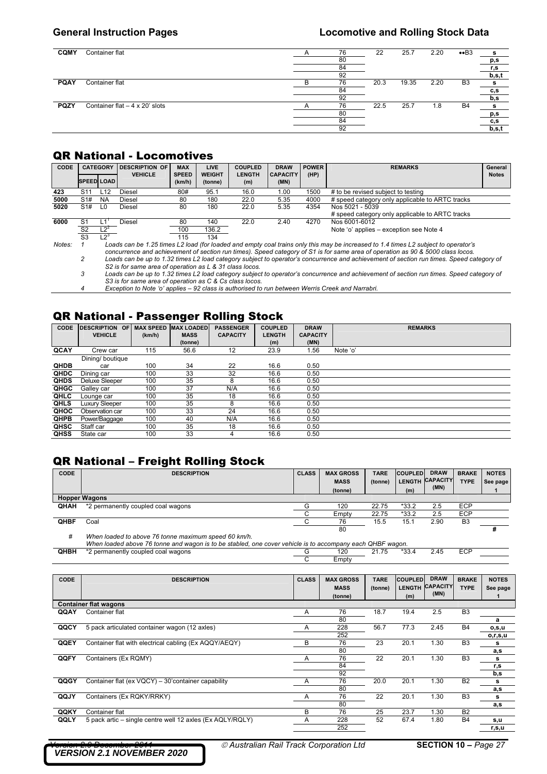| <b>CQMY</b> | Container flat                       | 76 | 22   | 25.7  | 2.20 | $\bullet$ B3   | s          |
|-------------|--------------------------------------|----|------|-------|------|----------------|------------|
|             |                                      | 80 |      |       |      |                | p,s        |
|             |                                      | 84 |      |       |      |                | <u>r,s</u> |
|             |                                      | 92 |      |       |      |                | b,s,t      |
| <b>PQAY</b> | Container flat                       | 76 | 20.3 | 19.35 | 2.20 | B <sub>3</sub> | s          |
|             |                                      | 84 |      |       |      |                | c,s        |
|             |                                      | 92 |      |       |      |                | b,s        |
| <b>PQZY</b> | Container flat $-4 \times 20'$ slots | 76 | 22.5 | 25.7  | 1.8  | B <sub>4</sub> | s          |
|             |                                      | 80 |      |       |      |                | p,s        |
|             |                                      | 84 |      |       |      |                | c, s       |
|             |                                      | 92 |      |       |      |                | b, s, t    |

## QR National - Locomotives

| CODE   | <b>CATEGORY</b>                                                                                                                    |                | DESCRIPTION OF<br><b>VEHICLE</b> | <b>MAX</b><br><b>SPEED</b> | <b>LIVE</b><br><b>WEIGHT</b> | <b>COUPLED</b><br><b>LENGTH</b> | <b>DRAW</b><br><b>CAPACITY</b> | <b>POWER</b><br>(HP) | <b>REMARKS</b>                                  | General<br><b>Notes</b> |  |
|--------|------------------------------------------------------------------------------------------------------------------------------------|----------------|----------------------------------|----------------------------|------------------------------|---------------------------------|--------------------------------|----------------------|-------------------------------------------------|-------------------------|--|
|        | <b>SPEED LOAD</b>                                                                                                                  |                |                                  | (km/h)                     | (tonne)                      | (m)                             | (MN)                           |                      |                                                 |                         |  |
| 423    | S11                                                                                                                                | L12            | Diesel                           | 80#                        | 95.1                         | 16.0                            | 1.00                           | 1500                 | # to be revised subject to testing              |                         |  |
| 5000   | S1#                                                                                                                                | <b>NA</b>      | Diesel                           | 80                         | 180                          | 22.0                            | 5.35                           | 4000                 | # speed category only applicable to ARTC tracks |                         |  |
| 5020   | S1#                                                                                                                                | L <sub>0</sub> | Diesel                           | 80                         | 180                          | 22.0                            | 5.35                           | 4354                 | Nos 5021 - 5039                                 |                         |  |
|        |                                                                                                                                    |                |                                  |                            |                              |                                 |                                |                      | # speed category only applicable to ARTC tracks |                         |  |
| 6000   | S1                                                                                                                                 |                | Diesel                           | 80                         | 140                          | 22.0                            | 2.40                           | 4270                 | Nos 6001-6012                                   |                         |  |
|        | S <sub>2</sub>                                                                                                                     | $L2^2$         |                                  | 100                        | 136.2                        |                                 |                                |                      | Note 'o' applies – exception see Note 4         |                         |  |
|        | S <sub>3</sub>                                                                                                                     | $L2^3$         |                                  | 115                        | 134                          |                                 |                                |                      |                                                 |                         |  |
| Notes: | Loads can be 1.25 times L2 load (for loaded and empty coal trains only this may be increased to 1.4 times L2 subject to operator's |                |                                  |                            |                              |                                 |                                |                      |                                                 |                         |  |

*concurrence and achievement of section run times). Speed category of S1 is for same area of operation as 90 & 5000 class locos. 2 Loads can be up to 1.32 times L2 load category subject to operator's concurrence and achievement of section run times. Speed category of S2 is for same area of operation as L & 31 class locos.* 

 *3 Loads can be up to 1.32 times L2 load category subject to operator's concurrence and achievement of section run times. Speed category of S3 is for same area of operation as C & Cs class locos.* 

 *4 Exception to Note 'o' applies – 92 class is authorised to run between Werris Creek and Narrabri.* 

### QR National - Passenger Rolling Stock

| <b>CODE</b> | <b>DESCRIPTION</b><br>OF<br><b>VEHICLE</b> | <b>MAX SPEED</b><br>(km/h) | <b>MAX LOADED</b><br><b>MASS</b> | <b>PASSENGER</b><br><b>CAPACITY</b> | <b>COUPLED</b><br><b>LENGTH</b> | <b>DRAW</b><br><b>CAPACITY</b> | <b>REMARKS</b> |
|-------------|--------------------------------------------|----------------------------|----------------------------------|-------------------------------------|---------------------------------|--------------------------------|----------------|
|             |                                            |                            | (tonne)                          |                                     | (m)                             | (MN)                           |                |
| QCAY        | Crew car                                   | 115                        | 56.6                             | 12                                  | 23.9                            | 1.56                           | Note 'o'       |
|             | Dining/boutique                            |                            |                                  |                                     |                                 |                                |                |
| <b>QHDB</b> | car                                        | 100                        | 34                               | 22                                  | 16.6                            | 0.50                           |                |
| QHDC        | Dining car                                 | 100                        | 33                               | 32                                  | 16.6                            | 0.50                           |                |
| <b>QHDS</b> | Deluxe Sleeper                             | 100                        | 35                               | 8                                   | 16.6                            | 0.50                           |                |
| QHGC        | Galley car                                 | 100                        | 37                               | N/A                                 | 16.6                            | 0.50                           |                |
| QHLC        | Lounge car                                 | 100                        | 35                               | 18                                  | 16.6                            | 0.50                           |                |
| <b>QHLS</b> | Luxury Sleeper                             | 100                        | 35                               | 8                                   | 16.6                            | 0.50                           |                |
| QHOC        | Observation car                            | 100                        | 33                               | 24                                  | 16.6                            | 0.50                           |                |
| <b>QHPB</b> | Power/Baggage                              | 100                        | 40                               | N/A                                 | 16.6                            | 0.50                           |                |
| QHSC        | Staff car                                  | 100                        | 35                               | 18                                  | 16.6                            | 0.50                           |                |
| <b>QHSS</b> | State car                                  | 100                        | 33                               | 4                                   | 16.6                            | 0.50                           |                |

# QR National – Freight Rolling Stock

| <b>CODE</b> | <b>DESCRIPTION</b>                                                                                                                                            | <b>CLASS</b> | <b>MAX GROSS</b><br><b>MASS</b> | <b>TARE</b><br>(tonne) | <b>COUPLED</b><br><b>LENGTH</b> | <b>DRAW</b><br><b>CAPACITY</b> | <b>BRAKE</b><br><b>TYPE</b> | <b>NOTES</b> |
|-------------|---------------------------------------------------------------------------------------------------------------------------------------------------------------|--------------|---------------------------------|------------------------|---------------------------------|--------------------------------|-----------------------------|--------------|
|             |                                                                                                                                                               |              | (tonne)                         |                        | (m)                             | (MN)                           |                             | See page     |
|             | <b>Hopper Wagons</b>                                                                                                                                          |              |                                 |                        |                                 |                                |                             |              |
| <b>QHAH</b> | *2 permanently coupled coal wagons                                                                                                                            |              | 120                             | 22.75                  | $*33.2$                         | 2.5                            | ECP                         |              |
|             |                                                                                                                                                               |              | Empty                           | 22.75                  | $*33.2$                         | 2.5                            | ECP                         |              |
| <b>QHBF</b> | Coal                                                                                                                                                          |              | 76                              | 15.5                   | 15.1                            | 2.90                           | B <sub>3</sub>              |              |
|             |                                                                                                                                                               |              | 80                              |                        |                                 |                                |                             |              |
| #           | When loaded to above 76 tonne maximum speed 60 km/h.<br>Illhan looded abous 76 tenne and wagen is to be stabled and countries in the coopmany soab OUDE wagen |              |                                 |                        |                                 |                                |                             |              |

|      | When loaded above 76 tonne and wagon is to be stabled, one cover vehicle is to accompany each QHBF wagon. |       |  |  |  |
|------|-----------------------------------------------------------------------------------------------------------|-------|--|--|--|
| QHBH | 2 permanently coupled coal wagons                                                                         |       |  |  |  |
|      |                                                                                                           | ≞mptv |  |  |  |

| CODE | <b>DESCRIPTION</b>                                        | <b>CLASS</b> | <b>MAX GROSS</b> | <b>TARE</b> | <b>COUPLED</b> | <b>DRAW</b>     | <b>BRAKE</b>   | <b>NOTES</b> |
|------|-----------------------------------------------------------|--------------|------------------|-------------|----------------|-----------------|----------------|--------------|
|      |                                                           |              | <b>MASS</b>      | (tonne)     | <b>LENGTH</b>  | <b>CAPACITY</b> | <b>TYPE</b>    | See page     |
|      |                                                           |              | (tonne)          |             | (m)            | (MN)            |                | 1            |
|      | <b>Container flat wagons</b>                              |              |                  |             |                |                 |                |              |
| QQAY | Container flat                                            | Α            | 76               | 18.7        | 19.4           | 2.5             | B <sub>3</sub> |              |
|      |                                                           |              | 80               |             |                |                 |                | a            |
| QQCY | 5 pack articulated container wagon (12 axles)             | A            | 228              | 56.7        | 77.3           | 2.45            | <b>B4</b>      | o,s,u        |
|      |                                                           |              | 252              |             |                |                 |                | o,r,s,u      |
| QQEY | Container flat with electrical cabling (Ex AQQY/AEQY)     | В            | 76               | 23          | 20.1           | 1.30            | B <sub>3</sub> | s            |
|      |                                                           |              | 80               |             |                |                 |                | a,s          |
| QQFY | Containers (Ex RQMY)                                      | A            | 76               | 22          | 20.1           | 1.30            | B <sub>3</sub> | s            |
|      |                                                           |              | 84               |             |                |                 |                | r,s          |
|      |                                                           |              | 92               |             |                |                 |                | b,s          |
| QQGY | Container flat (ex VQCY) - 30' container capability       | A            | 76               | 20.0        | 20.1           | 1.30            | B <sub>2</sub> | s            |
|      |                                                           |              | 80               |             |                |                 |                | a,s          |
| QQJY | Containers (Ex RQKY/RRKY)                                 | A            | 76               | 22          | 20.1           | 1.30            | B <sub>3</sub> | s            |
|      |                                                           |              | 80               |             |                |                 |                | a,s          |
| QQKY | Container flat                                            | В            | 76               | 25          | 23.7           | 1.30            | <b>B2</b>      |              |
| QQLY | 5 pack artic – single centre well 12 axles (Ex AQLY/RQLY) | A            | 228              | 52          | 67.4           | 1.80            | <b>B4</b>      | s,u          |
|      |                                                           |              | 252              |             |                |                 |                | r,s,u        |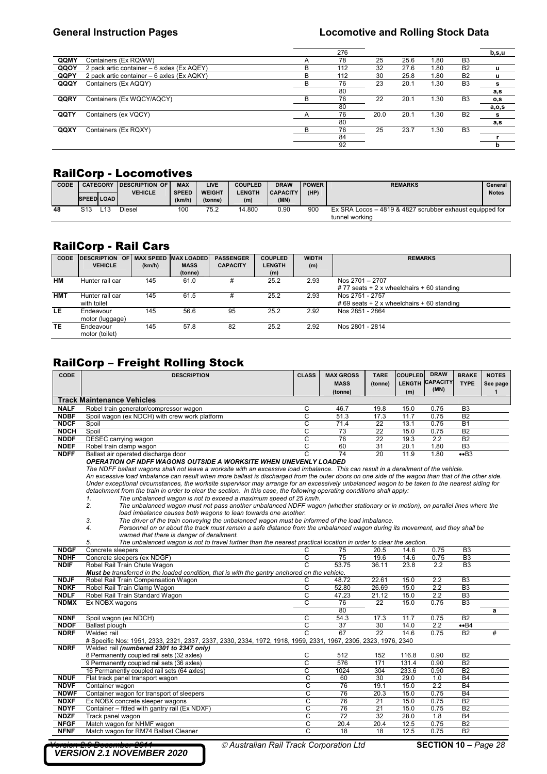|      |                                            |   | 276 |      |      |      |                | b, s, u |
|------|--------------------------------------------|---|-----|------|------|------|----------------|---------|
| QQMY | Containers (Ex RQWW)                       |   | 78  | 25   | 25.6 | 1.80 | B <sub>3</sub> |         |
| QQOY | 2 pack artic container - 6 axles (Ex AQEY) | в | 112 | 32   | 27.6 | 1.80 | B <sub>2</sub> | u       |
| QQPY | 2 pack artic container - 6 axles (Ex AQKY) | в | 112 | 30   | 25.8 | 1.80 | B <sub>2</sub> | u       |
| QQQY | Containers (Ex AQQY)                       |   | 76  | 23   | 20.1 | 1.30 | B <sub>3</sub> | s       |
|      |                                            |   | 80  |      |      |      |                | a,s     |
| QQRY | Containers (Ex WQCY/AQCY)                  |   | 76  | 22   | 20.1 | 1.30 | B <sub>3</sub> | o,s     |
|      |                                            |   | 80  |      |      |      |                | a, o, s |
| QQTY | Containers (ex VQCY)                       |   | 76  | 20.0 | 20.1 | 1.30 | B <sub>2</sub> | s       |
|      |                                            |   | 80  |      |      |      |                | a,s     |
| QQXY | Containers (Ex RQXY)                       |   | 76  | 25   | 23.7 | .30  | B <sub>3</sub> |         |
|      |                                            |   | 84  |      |      |      |                |         |
|      |                                            |   | 92  |      |      |      |                | b       |
|      |                                            |   |     |      |      |      |                |         |

### RailCorp - Locomotives

| <b>CODE</b> | <b>SPEED LOAD</b> | <b>CATEGORY</b> | <b>IDESCRIPTION OF</b><br><b>VEHICLE</b> | <b>MAX</b><br><b>SPEED</b><br>(km/h) | LIVE<br><b>WEIGHT</b><br>(tonne) | <b>COUPLED</b><br><b>LENGTH</b><br>(m) | <b>DRAW</b><br><b>CAPACITY</b><br>(MN) | <b>POWER</b><br>(HP) | <b>REMARKS</b>                                                             | General<br><b>Notes</b> |
|-------------|-------------------|-----------------|------------------------------------------|--------------------------------------|----------------------------------|----------------------------------------|----------------------------------------|----------------------|----------------------------------------------------------------------------|-------------------------|
| 48          | S13               | ∟13             | Diesel                                   | 100                                  | 75.2                             | 14.800                                 | 0.90                                   | 900                  | Ex SRA Locos – 4819 & 4827 scrubber exhaust equipped for<br>tunnel working |                         |

### RailCorp - Rail Cars

| <b>CODE</b> | <b>DESCRIPTION</b><br><b>OF</b> | <b>MAX SPEED</b> | <b>MAX LOADED</b> | <b>PASSENGER</b> | <b>COUPLED</b> | <b>WIDTH</b> | <b>REMARKS</b>                                |
|-------------|---------------------------------|------------------|-------------------|------------------|----------------|--------------|-----------------------------------------------|
|             | <b>VEHICLE</b>                  | (km/h)           | <b>MASS</b>       | <b>CAPACITY</b>  | <b>LENGTH</b>  | (m)          |                                               |
|             |                                 |                  | (tonne)           |                  | (m)            |              |                                               |
| НM          | Hunter rail car                 | 145              | 61.0              | #                | 25.2           | 2.93         | Nos 2701 - 2707                               |
|             |                                 |                  |                   |                  |                |              | $# 77$ seats + 2 x wheelchairs + 60 standing  |
| <b>HMT</b>  | Hunter rail car                 | 145              | 61.5              |                  | 25.2           | 2.93         | Nos 2751 - 2757                               |
|             | with toilet                     |                  |                   |                  |                |              | $\#$ 69 seats + 2 x wheelchairs + 60 standing |
| LE.         | Endeavour                       | 145              | 56.6              | 95               | 25.2           | 2.92         | Nos 2851 - 2864                               |
|             | motor (luggage)                 |                  |                   |                  |                |              |                                               |
| <b>TE</b>   | Endeavour                       | 145              | 57.8              | 82               | 25.2           | 2.92         | Nos 2801 - 2814                               |
|             | motor (toilet)                  |                  |                   |                  |                |              |                                               |

# RailCorp – Freight Rolling Stock

| <b>CODE</b> | <b>DESCRIPTION</b>                                                                                                                                                                                                                                                                                  | <b>CLASS</b> | <b>MAX GROSS</b> | <b>TARE</b> | <b>COUPLED</b> | <b>DRAW</b>     | <b>BRAKE</b>   | <b>NOTES</b> |
|-------------|-----------------------------------------------------------------------------------------------------------------------------------------------------------------------------------------------------------------------------------------------------------------------------------------------------|--------------|------------------|-------------|----------------|-----------------|----------------|--------------|
|             |                                                                                                                                                                                                                                                                                                     |              | <b>MASS</b>      | (tonne)     | <b>LENGTH</b>  | <b>CAPACITY</b> | <b>TYPE</b>    | See page     |
|             |                                                                                                                                                                                                                                                                                                     |              | (tonne)          |             | (m)            | (MN)            |                |              |
|             | <b>Track Maintenance Vehicles</b>                                                                                                                                                                                                                                                                   |              |                  |             |                |                 |                |              |
| <b>NALF</b> | Robel train generator/compressor wagon                                                                                                                                                                                                                                                              | C.           | 46.7             | 19.8        | 15.0           | 0.75            | B <sub>3</sub> |              |
| <b>NDBF</b> | Spoil wagon (ex NDCH) with crew work platform                                                                                                                                                                                                                                                       | С            | 51.3             | 17.3        | 11.7           | 0.75            | B <sub>2</sub> |              |
| <b>NDCF</b> | Spoil                                                                                                                                                                                                                                                                                               | C            | 71.4             | 22          | 13.1           | 0.75            | <b>B1</b>      |              |
| <b>NDCH</b> | Spoil                                                                                                                                                                                                                                                                                               | С            | 73               | 22          | 15.0           | 0.75            | <b>B2</b>      |              |
| <b>NDDF</b> | DESEC carrying wagon                                                                                                                                                                                                                                                                                | С            | 76               | 22          | 19.3           | 2.2             | B <sub>2</sub> |              |
| <b>NDEF</b> | Robel train clamp wagon                                                                                                                                                                                                                                                                             | С            | 60               | 31          | 20.1           | 1.80            | B <sub>3</sub> |              |
| <b>NDFF</b> | Ballast air operated discharge door                                                                                                                                                                                                                                                                 | C.           | 74               | 20          | 11.9           | 1.80            | $\bullet$ B3   |              |
|             | <b>OPERATION OF NDFF WAGONS OUTSIDE A WORKSITE WHEN UNEVENLY LOADED</b>                                                                                                                                                                                                                             |              |                  |             |                |                 |                |              |
|             | The NDFF ballast wagons shall not leave a worksite with an excessive load imbalance. This can result in a derailment of the vehicle.                                                                                                                                                                |              |                  |             |                |                 |                |              |
|             | An excessive load imbalance can result when more ballast is discharged from the outer doors on one side of the wagon than that of the other side.<br>Under exceptional circumstances, the worksite supervisor may arrange for an excessively unbalanced wagon to be taken to the nearest siding for |              |                  |             |                |                 |                |              |

Under exceptional circumstances, the worksite supervisor may arrange for an excessively unbalanced wagon to be taken to the nearest siding for<br>detachment from the train in order to clear the section. In this case, the foll *1. The unbalanced wagon is not to exceed a maximum speed of 25 km/h.* 

*2. The unbalanced wagon must not pass another unbalanced NDFF wagon (whether stationary or in motion), on parallel lines where the load imbalance causes both wagons to lean towards one another.* 

*3. The driver of the train conveying the unbalanced wagon must be informed of the load imbalance.* 

*4. Personnel on or about the track must remain a safe distance from the unbalanced wagon during its movement, and they shall be warned that there is danger of derailment.* 

|             | 5.<br>The unbalanced wagon is not to travel further than the nearest practical location in order to clear the section. |   |       |       |       |                  |                |   |
|-------------|------------------------------------------------------------------------------------------------------------------------|---|-------|-------|-------|------------------|----------------|---|
| <b>NDGF</b> | Concrete sleepers                                                                                                      |   | 75    | 20.5  | 14.6  | 0.75             | B <sub>3</sub> |   |
| <b>NDHF</b> | Concrete sleepers (ex NDGF)                                                                                            |   | 75    | 19.6  | 14.6  | 0.75             | B <sub>3</sub> |   |
| <b>NDIF</b> | Robel Rail Train Chute Wagon                                                                                           |   | 53.75 | 36.11 | 23.8  | $2.2\phantom{0}$ | B <sub>3</sub> |   |
|             | Must be transferred in the loaded condition, that is with the gantry anchored on the vehicle.                          |   |       |       |       |                  |                |   |
| <b>NDJF</b> | Robel Rail Train Compensation Wagon                                                                                    |   | 48.72 | 22.61 | 15.0  | 2.2              | B <sub>3</sub> |   |
| <b>NDKF</b> | Robel Rail Train Clamp Wagon                                                                                           | C | 52.80 | 26.69 | 15.0  | 2.2              | B <sub>3</sub> |   |
| <b>NDLF</b> | Robel Rail Train Standard Wagon                                                                                        | C | 47.23 | 21.12 | 15.0  | 2.2              | B <sub>3</sub> |   |
| <b>NDMX</b> | Ex NOBX wagons                                                                                                         | C | 76    | 22    | 15.0  | 0.75             | B <sub>3</sub> |   |
|             |                                                                                                                        |   | 80    |       |       |                  |                | a |
| <b>NDNF</b> | Spoil wagon (ex NDCH)                                                                                                  | C | 54.3  | 17.3  | 11.7  | 0.75             | <b>B2</b>      |   |
| <b>NDOF</b> | Ballast plough                                                                                                         | C | 37    | 30    | 14.0  | 2.2              | $\bullet$ B4   |   |
| <b>NDRF</b> | Welded rail                                                                                                            | C | 67    | 22    | 14.6  | 0.75             | <b>B2</b>      | # |
|             |                                                                                                                        |   |       |       |       |                  |                |   |
|             | # Specific Nos: 1951, 2333, 2321, 2337, 2337, 2330, 2334, 1972, 1918, 1959, 2331, 1967, 2305, 2323, 1976, 2340         |   |       |       |       |                  |                |   |
| <b>NDRF</b> | Welded rail (numbered 2301 to 2347 only)                                                                               |   |       |       |       |                  |                |   |
|             | 8 Permanently coupled rail sets (32 axles)                                                                             | C | 512   | 152   | 116.8 | 0.90             | <b>B2</b>      |   |
|             | 9 Permanently coupled rail sets (36 axles)                                                                             | C | 576   | 171   | 131.4 | 0.90             | B <sub>2</sub> |   |
|             | 16 Permanently coupled rail sets (64 axles)                                                                            | C | 1024  | 304   | 233.6 | 0.90             | <b>B2</b>      |   |
| <b>NDUF</b> | Flat track panel transport wagon                                                                                       | C | 60    | 30    | 29.0  | 1.0              | <b>B4</b>      |   |
| <b>NDVF</b> | Container wagon                                                                                                        | C | 76    | 19.1  | 15.0  | 2.2              | <b>B4</b>      |   |
| <b>NDWF</b> | Container wagon for transport of sleepers                                                                              | C | 76    | 20.3  | 15.0  | 0.75             | <b>B4</b>      |   |
| <b>NDXF</b> | Ex NOBX concrete sleeper wagons                                                                                        | C | 76    | 21    | 15.0  | 0.75             | <b>B2</b>      |   |
| <b>NDYF</b> | Container - fitted with gantry rail (Ex NDXF)                                                                          | C | 76    | 21    | 15.0  | 0.75             | <b>B2</b>      |   |
| <b>NDZF</b> | Track panel wagon                                                                                                      | C | 72    | 32    | 28.0  | 1.8              | <b>B4</b>      |   |
| <b>NFGF</b> | Match wagon for NHMF wagon                                                                                             | С | 20.4  | 20.4  | 12.5  | 0.75             | B <sub>2</sub> |   |

*VERSION 2.1 NOVEMBER 2020*

 $\oslash$  *Australian Rail Track Corporation Ltd* **SECTION 10 –** *Page 28*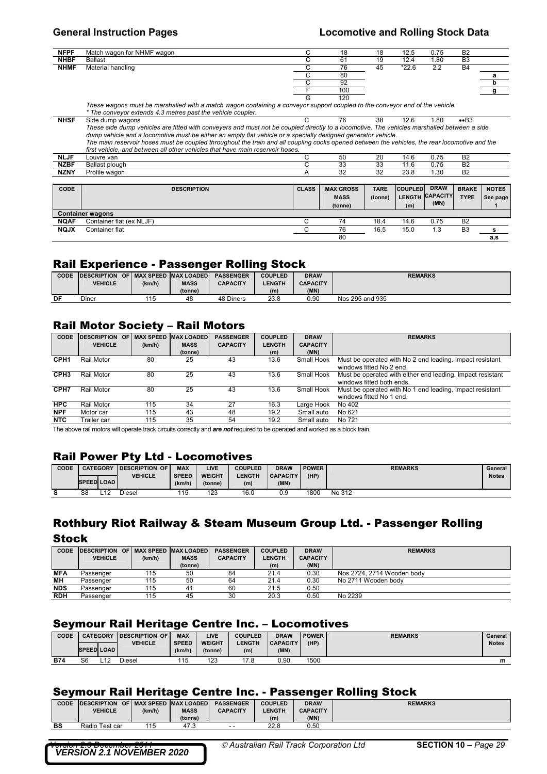80 **a,s** 

| <b>NFPF</b> | Match wagon for NHMF wagon | 18  | 18 | 12.5    | 0.75 | B <sub>2</sub> |  |
|-------------|----------------------------|-----|----|---------|------|----------------|--|
| <b>NHBF</b> | Ballast                    | 61  | 19 | 12.4    | 1.80 | B <sub>3</sub> |  |
| <b>NHMF</b> | Material handling          | 76  | 45 | $*22.6$ | 2.2  | <b>B4</b>      |  |
|             |                            | 80  |    |         |      |                |  |
|             |                            | 92  |    |         |      |                |  |
|             |                            | 100 |    |         |      |                |  |
|             | .                          | 120 |    |         |      |                |  |

|             | These waqons must be marshalled with a match wagon containing a conveyor support coupled to the conveyor end of the vehicle.                  |              |                  |             |                |                 |                |              |
|-------------|-----------------------------------------------------------------------------------------------------------------------------------------------|--------------|------------------|-------------|----------------|-----------------|----------------|--------------|
|             | * The convevor extends 4.3 metres past the vehicle coupler.                                                                                   |              |                  |             |                |                 |                |              |
| <b>NHSF</b> | Side dump wagons                                                                                                                              |              | 76               | 38          | 12.6           | 1.80            | $\bullet$ B3   |              |
|             | These side dump vehicles are fitted with conveyers and must not be coupled directly to a locomotive. The vehicles marshalled between a side   |              |                  |             |                |                 |                |              |
|             | dump vehicle and a locomotive must be either an empty flat vehicle or a specially designed generator vehicle.                                 |              |                  |             |                |                 |                |              |
|             | The main reservoir hoses must be coupled throughout the train and all coupling cocks opened between the vehicles, the rear locomotive and the |              |                  |             |                |                 |                |              |
|             | first vehicle, and between all other vehicles that have main reservoir hoses.                                                                 |              |                  |             |                |                 |                |              |
| <b>NLJF</b> | Louvre van                                                                                                                                    |              | 50               | 20          | 14.6           | 0.75            | <b>B2</b>      |              |
| <b>NZBF</b> | Ballast plough                                                                                                                                |              | 33               | 33          | 11.6           | 0.75            | <b>B2</b>      |              |
| <b>NZNY</b> | Profile wagon                                                                                                                                 | A            | 32               | 32          | 23.8           | 1.30            | <b>B2</b>      |              |
|             |                                                                                                                                               |              |                  |             |                |                 |                |              |
| CODE        | <b>DESCRIPTION</b>                                                                                                                            | <b>CLASS</b> | <b>MAX GROSS</b> | <b>TARE</b> | <b>COUPLED</b> | <b>DRAW</b>     | <b>BRAKE</b>   | <b>NOTES</b> |
|             |                                                                                                                                               |              | <b>MASS</b>      | (tonne)     | <b>LENGTH</b>  | <b>CAPACITY</b> | <b>TYPE</b>    | See page     |
|             |                                                                                                                                               |              | (tonne)          |             | (m)            | (MN)            |                |              |
|             | <b>Container wagons</b>                                                                                                                       |              |                  |             |                |                 |                |              |
| <b>NQAF</b> | Container flat (ex NLJF)                                                                                                                      | C            | 74               | 18.4        | 14.6           | 0.75            | <b>B2</b>      |              |
| <b>NQJX</b> | Container flat                                                                                                                                | С            | 76               | 16.5        | 15.0           | 1.3             | B <sub>3</sub> | s            |

### Rail Experience - Passenger Rolling Stock

| CODE | <b>IDESCRIPTION</b> |           | OF I MAX SPEED IMAX LOADED I | <b>PASSENGER</b> | <b>COUPLED</b> | <b>DRAW</b>     | <b>REMARKS</b>  |
|------|---------------------|-----------|------------------------------|------------------|----------------|-----------------|-----------------|
|      | <b>VEHICLE</b>      | (km/h)    | <b>MASS</b>                  | <b>CAPACITY</b>  | <b>LENGTH</b>  | <b>CAPACITY</b> |                 |
|      |                     |           | (tonne)                      |                  | (m)            | (MN)            |                 |
| DF   | Diner               | 115<br>יי | 48                           | 48 Diners        | 23.8           | 0.90            | Nos 295 and 935 |

### Rail Motor Society – Rail Motors

| CODE             | <b>DESCRIPTION</b> | <b>OF</b> | <b>MAX SPEED</b> | <b>MAX LOADED</b> | <b>PASSENGER</b> | <b>COUPLED</b> | <b>DRAW</b>     | <b>REMARKS</b>                                             |
|------------------|--------------------|-----------|------------------|-------------------|------------------|----------------|-----------------|------------------------------------------------------------|
|                  | <b>VEHICLE</b>     |           | (km/h)           | <b>MASS</b>       | <b>CAPACITY</b>  | <b>LENGTH</b>  | <b>CAPACITY</b> |                                                            |
|                  |                    |           |                  | (tonne)           |                  | (m)            | (MN)            |                                                            |
| CPH <sub>1</sub> | Rail Motor         |           | 80               | 25                | 43               | 13.6           | Small Hook      | Must be operated with No 2 end leading. Impact resistant   |
|                  |                    |           |                  |                   |                  |                |                 | windows fitted No 2 end.                                   |
| CPH <sub>3</sub> | Rail Motor         |           | 80               | 25                | 43               | 13.6           | Small Hook      | Must be operated with either end leading. Impact resistant |
|                  |                    |           |                  |                   |                  |                |                 | windows fitted both ends.                                  |
| CPH <sub>7</sub> | Rail Motor         |           | 80               | 25                | 43               | 13.6           | Small Hook      | Must be operated with No 1 end leading. Impact resistant   |
|                  |                    |           |                  |                   |                  |                |                 | windows fitted No 1 end.                                   |
| <b>HPC</b>       | Rail Motor         |           | 115              | 34                | 27               | 16.3           | Large Hook      | No 402                                                     |
| <b>NPF</b>       | Motor car          |           | 115              | 43                | 48               | 19.2           | Small auto      | No 621                                                     |
| <b>NTC</b>       | Trailer car        |           | 115              | 35                | 54               | 19.2           | Small auto      | No 721                                                     |

The above rail motors will operate track circuits correctly and *are not* required to be operated and worked as a block train.

### Rail Power Pty Ltd - Locomotives

| CODE |                   | <b>CATEGORY</b> | <b>IDESCRIPTION OF</b> | <b>MAX</b>   | LIVE          | <b>COUPLED</b> | <b>DRAW</b>     | <b>POWER</b> | <b>REMARKS</b> | General      |
|------|-------------------|-----------------|------------------------|--------------|---------------|----------------|-----------------|--------------|----------------|--------------|
|      |                   |                 | <b>VEHICLE</b>         | <b>SPEED</b> | <b>WEIGHT</b> | LENGTH         | <b>CAPACITY</b> | (HP)         |                | <b>Notes</b> |
|      | <b>SPEED LOAD</b> |                 |                        | (km/h)       | (tonne)       | (m)            | (MN)            |              |                |              |
| ə    | S8                |                 | Diesel                 | ن ا          | 123           | 16.0           | 0.9             | 1800         | No 312         |              |

# Rothbury Riot Railway & Steam Museum Group Ltd. - Passenger Rolling

**Stock** 

| <b>CODE</b> | DESCRIPTION OF MAX SPEED MAX LOADED<br><b>VEHICLE</b> | (km/h) | <b>MASS</b><br>(tonne) | <b>PASSENGER</b><br><b>CAPACITY</b> | <b>COUPLED</b><br><b>LENGTH</b><br>(m) | <b>DRAW</b><br><b>CAPACITY</b><br>(MN) | <b>REMARKS</b>             |
|-------------|-------------------------------------------------------|--------|------------------------|-------------------------------------|----------------------------------------|----------------------------------------|----------------------------|
| <b>MFA</b>  | Passenger                                             | 115    | 50                     | 84                                  | 21.4                                   | 0.30                                   | Nos 2724, 2714 Wooden body |
| ΜН          | Passenger                                             | 115    | 50                     | 64                                  | 21.4                                   | 0.30                                   | No 2711 Wooden body        |
| <b>NDS</b>  | Passenger                                             | 115    | 41                     | 60                                  | 21.5                                   | 0.50                                   |                            |
| <b>RDH</b>  | Passenger                                             | 115    | 45                     | 30                                  | 20.3                                   | 0.50                                   | No 2239                    |

### Seymour Rail Heritage Centre Inc. – Locomotives

| <b>CODE</b> | <b>CATEGORY</b>   | <b>IDESCRIPTION OF</b> | <b>MAX</b>   | LIVE          | <b>COUPLED</b> | <b>DRAW</b>     | <b>POWER</b> | <b>REMARKS</b> | General      |
|-------------|-------------------|------------------------|--------------|---------------|----------------|-----------------|--------------|----------------|--------------|
|             |                   | <b>VEHICLE</b>         | <b>SPEED</b> | <b>WEIGHT</b> | <b>ENGTH</b>   | <b>CAPACITY</b> | (HP)         |                | <b>Notes</b> |
|             | <b>SPEED LOAD</b> |                        | (km/h)       | (tonne)       | (m)            | (MN)            |              |                |              |
| <b>B74</b>  | S6                | Diesel                 | 115          | 123           | 17 R           | 0.90            | 1500         |                | m            |

### Seymour Rail Heritage Centre Inc. - Passenger Rolling Stock

| <b>CODE</b> | <b>IDESCRIPTION</b> | OF I MAX SPEED MAX LOADED |             | <b>PASSENGER</b> | <b>COUPLED</b> | <b>DRAW</b>     | <b>REMARKS</b> |
|-------------|---------------------|---------------------------|-------------|------------------|----------------|-----------------|----------------|
|             | <b>VEHICLE</b>      | (km/h)                    | <b>MASS</b> | <b>CAPACITY</b>  | <b>LENGTH</b>  | <b>CAPACITY</b> |                |
|             |                     |                           | (tonne)     |                  | (m)            | (MN)            |                |
| BS          | Radio Test car      | 115                       | 47.3        | $ -$             | 22.8           | 0.50            |                |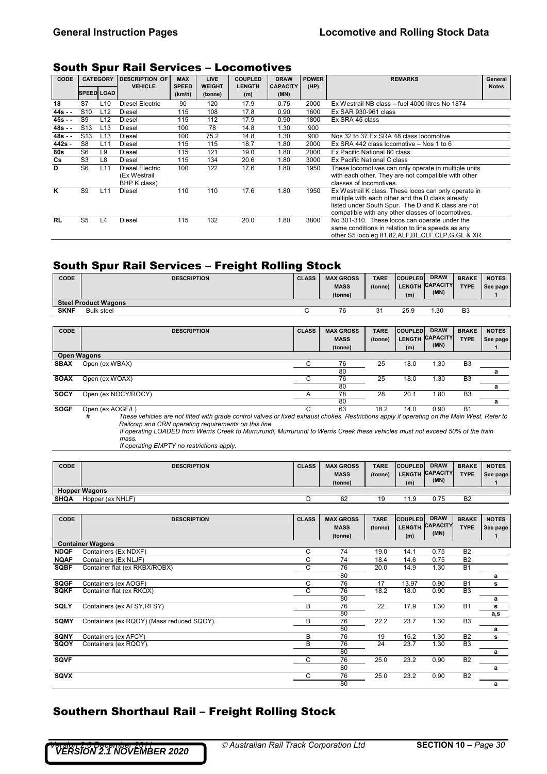## South Spur Rail Services – Locomotives

| <b>CODE</b> |                   | <b>CATEGORY</b> | <b>DESCRIPTION OF</b>                                  | <b>MAX</b>             | <b>LIVE</b>              | <b>COUPLED</b>       | <b>DRAW</b>             | <b>POWER</b> | <b>REMARKS</b>                                                                                                                                                                                                      | General      |
|-------------|-------------------|-----------------|--------------------------------------------------------|------------------------|--------------------------|----------------------|-------------------------|--------------|---------------------------------------------------------------------------------------------------------------------------------------------------------------------------------------------------------------------|--------------|
|             | <b>SPEED LOAD</b> |                 | <b>VEHICLE</b>                                         | <b>SPEED</b><br>(km/h) | <b>WEIGHT</b><br>(tonne) | <b>LENGTH</b><br>(m) | <b>CAPACITY</b><br>(MN) | (HP)         |                                                                                                                                                                                                                     | <b>Notes</b> |
| 18          | S7                | L <sub>10</sub> | Diesel Electric                                        | 90                     | 120                      | 17.9                 | 0.75                    | 2000         | Ex Westrail NB class - fuel 4000 litres No 1874                                                                                                                                                                     |              |
| $44s -$     | S <sub>10</sub>   | L12             | Diesel                                                 | 115                    | 108                      | 17.8                 | 0.90                    | 1600         | Ex SAR 930-961 class                                                                                                                                                                                                |              |
| $45s -$     | S9                | L12             | <b>Diesel</b>                                          | 115                    | 112                      | 17.9                 | 0.90                    | 1800         | Ex SRA 45 class                                                                                                                                                                                                     |              |
| $48s -$     | S <sub>13</sub>   | L <sub>13</sub> | <b>Diesel</b>                                          | 100                    | 78                       | 14.8                 | 1.30                    | 900          |                                                                                                                                                                                                                     |              |
| $48s -$     | S <sub>13</sub>   | L <sub>13</sub> | <b>Diesel</b>                                          | 100                    | 75.2                     | 14.8                 | 1.30                    | 900          | Nos 32 to 37 Ex SRA 48 class locomotive                                                                                                                                                                             |              |
| 442s -      | S8                | L11             | <b>Diesel</b>                                          | 115                    | 115                      | 18.7                 | 1.80                    | 2000         | Ex SRA 442 class locomotive - Nos 1 to 6                                                                                                                                                                            |              |
| <b>80s</b>  | S <sub>6</sub>    | L9              | Diesel                                                 | 115                    | 121                      | 19.0                 | 1.80                    | 2000         | Ex Pacific National 80 class                                                                                                                                                                                        |              |
| Cs          | S <sub>3</sub>    | L8              | Diesel                                                 | 115                    | 134                      | 20.6                 | 1.80                    | 3000         | Ex Pacific National C class                                                                                                                                                                                         |              |
| D           | S <sub>6</sub>    | L11             | <b>Diesel Electric</b><br>(Ex Westrail<br>BHP K class) | 100                    | 122                      | 17.6                 | 1.80                    | 1950         | These locomotives can only operate in multiple units<br>with each other. They are not compatible with other<br>classes of locomotives.                                                                              |              |
| ĸ           | S9                | L11             | <b>Diesel</b>                                          | 110                    | 110                      | 17.6                 | 1.80                    | 1950         | Ex Westrail K class. These locos can only operate in<br>multiple with each other and the D class already<br>listed under South Spur. The D and K class are not<br>compatible with any other classes of locomotives. |              |
| <b>RL</b>   | S <sub>5</sub>    | L <sub>4</sub>  | Diesel                                                 | 115                    | 132                      | 20.0                 | 1.80                    | 3800         | No 301-310. These locos can operate under the<br>same conditions in relation to line speeds as any<br>other S5 loco eg 81,82, ALF, BL, CLF, CLP, G, GL & XR.                                                        |              |

## South Spur Rail Services – Freight Rolling Stock

| <b>CODE</b> | <b>DESCRIPTION</b>          | <b>CLASS</b> | <b>MAX GROSS</b> | <b>TARE</b> | <b>COUPLED</b> | <b>DRAW</b>     | <b>BRAKE</b>   | <b>NOTES</b> |
|-------------|-----------------------------|--------------|------------------|-------------|----------------|-----------------|----------------|--------------|
|             |                             |              | <b>MASS</b>      | (tonne)     |                | LENGTH CAPACITY | <b>TYPE</b>    | See page     |
|             |                             |              | (tonne)          |             | (m)            | (MN)            |                |              |
|             | <b>Steel Product Wagons</b> |              |                  |             |                |                 |                |              |
| <b>SKNF</b> | <b>Bulk steel</b>           |              | 76               | 21<br>ັ     | 25.9           | 1.30            | B <sub>3</sub> |              |

| CODE               | <b>DESCRIPTION</b>                                                                                                                                                                                                                                                                                                                           | <b>CLASS</b> | <b>MAX GROSS</b><br><b>MASS</b><br>(tonne) | <b>TARE</b><br>(tonne) | <b>COUPLED</b><br>LENGTH<br>(m) | <b>DRAW</b><br><b>CAPACITY</b><br>(MN) | <b>BRAKE</b><br><b>TYPE</b> | <b>NOTES</b><br>See page |
|--------------------|----------------------------------------------------------------------------------------------------------------------------------------------------------------------------------------------------------------------------------------------------------------------------------------------------------------------------------------------|--------------|--------------------------------------------|------------------------|---------------------------------|----------------------------------------|-----------------------------|--------------------------|
| <b>Open Wagons</b> |                                                                                                                                                                                                                                                                                                                                              |              |                                            |                        |                                 |                                        |                             |                          |
| <b>SBAX</b>        | Open (ex WBAX)                                                                                                                                                                                                                                                                                                                               |              | 76                                         | 25                     | 18.0                            | 1.30                                   | B <sub>3</sub>              |                          |
|                    |                                                                                                                                                                                                                                                                                                                                              |              | 80                                         |                        |                                 |                                        |                             | a                        |
| <b>SOAX</b>        | Open (ex WOAX)                                                                                                                                                                                                                                                                                                                               | С            | 76                                         | 25                     | 18.0                            | 1.30                                   | B <sub>3</sub>              |                          |
|                    |                                                                                                                                                                                                                                                                                                                                              |              | 80                                         |                        |                                 |                                        |                             | a                        |
| <b>SOCY</b>        | Open (ex NOCY/ROCY)                                                                                                                                                                                                                                                                                                                          |              | 78                                         | 28                     | 20.1                            | 1.80                                   | B <sub>3</sub>              |                          |
|                    |                                                                                                                                                                                                                                                                                                                                              |              | 80                                         |                        |                                 |                                        |                             | a                        |
| <b>SOGF</b>        | Open (ex AOGF/L)                                                                                                                                                                                                                                                                                                                             |              | 63                                         | 18.2                   | 14.0                            | 0.90                                   | <b>B1</b>                   |                          |
|                    | These vehicles are not fitted with grade control valves or fixed exhaust chokes. Restrictions apply if operating on the Main West. Refer to<br>#<br>Railcorp and CRN operating requirements on this line.<br>If operating LOADED from Werris Creek to Murrurundi, Murrurundi to Werris Creek these vehicles must not exceed 50% of the train |              |                                            |                        |                                 |                                        |                             |                          |

*mass. If operating EMPTY no restrictions apply.* 

| <b>CODE</b> | <b>DESCRIPTION</b>   | <b>CLASS</b> | <b>MAX GROSS</b><br><b>MASS</b><br>(tonne) | <b>TARE</b><br>(tonne) | <b>COUPLED</b><br>(m) | <b>DRAW</b><br>LENGTH CAPACITY<br>(MN) | <b>BRAKE</b><br><b>TYPE</b> | <b>NOTES</b><br>See page |
|-------------|----------------------|--------------|--------------------------------------------|------------------------|-----------------------|----------------------------------------|-----------------------------|--------------------------|
|             | <b>Hopper Wagons</b> |              |                                            |                        |                       |                                        |                             |                          |
| <b>SHQA</b> | Hopper (ex NHLF)     |              | 62                                         | 19                     | 11.9                  | 0.75                                   | B <sub>2</sub>              |                          |

| CODE        | <b>DESCRIPTION</b>                        | <b>CLASS</b> | <b>MAX GROSS</b><br><b>MASS</b><br>(tonne) | <b>TARE</b><br>(tonne) | <b>COUPLED</b><br><b>LENGTH</b><br>(m) | <b>DRAW</b><br><b>CAPACITY</b><br>(MN) | <b>BRAKE</b><br><b>TYPE</b> | <b>NOTES</b><br>See page |
|-------------|-------------------------------------------|--------------|--------------------------------------------|------------------------|----------------------------------------|----------------------------------------|-----------------------------|--------------------------|
|             | <b>Container Wagons</b>                   |              |                                            |                        |                                        |                                        |                             |                          |
| <b>NDQF</b> | Containers (Ex NDXF)                      | C            | 74                                         | 19.0                   | 14.1                                   | 0.75                                   | B <sub>2</sub>              |                          |
| <b>NQAF</b> | Containers (Ex NLJF)                      | C            | 74                                         | 18.4                   | 14.6                                   | 0.75                                   | B <sub>2</sub>              |                          |
| <b>SQBF</b> | Container flat (ex RKBX/ROBX)             | C            | 76                                         | 20.0                   | 14.9                                   | 1.30                                   | <b>B1</b>                   |                          |
|             |                                           |              | 80                                         |                        |                                        |                                        |                             | a                        |
| <b>SQGF</b> | Containers (ex AOGF)                      | C            | 76                                         | 17                     | 13.97                                  | 0.90                                   | <b>B1</b>                   | s                        |
| <b>SQKF</b> | Container flat (ex RKQX)                  | C            | 76                                         | 18.2                   | 18.0                                   | 0.90                                   | B <sub>3</sub>              |                          |
|             |                                           |              | 80                                         |                        |                                        |                                        |                             | a                        |
| <b>SQLY</b> | Containers (ex AFSY, RFSY)                | B            | 76                                         | 22                     | 17.9                                   | 1.30                                   | <b>B1</b>                   | s                        |
|             |                                           |              | 80                                         |                        |                                        |                                        |                             | a,s                      |
| <b>SQMY</b> | Containers (ex RQOY) (Mass reduced SQOY). | B            | 76                                         | 22.2                   | 23.7                                   | 1.30                                   | B <sub>3</sub>              |                          |
|             |                                           |              | 80                                         |                        |                                        |                                        |                             | a                        |
| <b>SQNY</b> | Containers (ex AFCY)                      | B            | 76                                         | 19                     | 15.2                                   | 1.30                                   | B <sub>2</sub>              | s                        |
| SQOY        | Containers (ex RQOY).                     | B            | 76                                         | 24                     | 23.7                                   | 1.30                                   | B <sub>3</sub>              |                          |
|             |                                           |              | 80                                         |                        |                                        |                                        |                             | a                        |
| <b>SQVF</b> |                                           | C            | 76                                         | 25.0                   | 23.2                                   | 0.90                                   | B <sub>2</sub>              |                          |
|             |                                           |              | 80                                         |                        |                                        |                                        |                             | a                        |
| <b>SQVX</b> |                                           | C            | 76                                         | 25.0                   | 23.2                                   | 0.90                                   | B <sub>2</sub>              |                          |
|             |                                           |              | 80                                         |                        |                                        |                                        |                             | a                        |

# Southern Shorthaul Rail – Freight Rolling Stock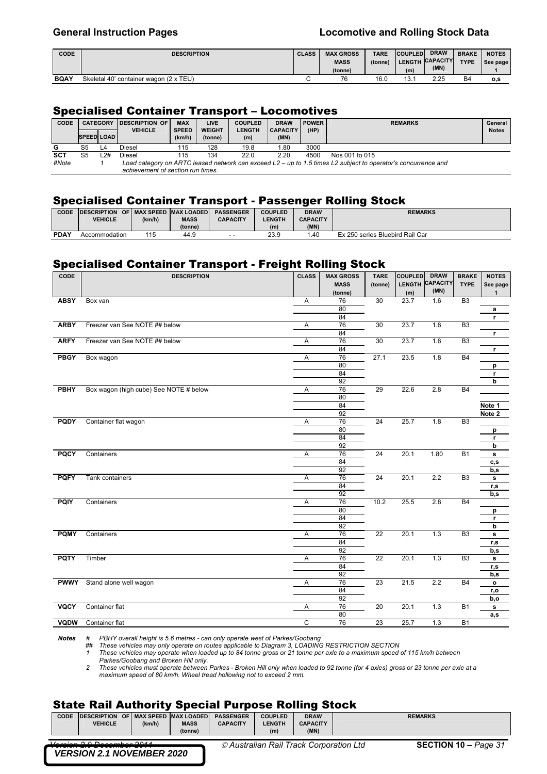| <b>CODE</b> | <b>DESCRIPTION</b>                     | <b>CLASS</b> | <b>MAX GROSS</b> | <b>TARE</b> | <b>COUPLED</b> | <b>DRAW</b>     | <b>BRAKE</b> | <b>NOTES</b> |
|-------------|----------------------------------------|--------------|------------------|-------------|----------------|-----------------|--------------|--------------|
|             |                                        |              | <b>MASS</b>      | (tonne)     |                | LENGTH CAPACITY | <b>TYPE</b>  | See page     |
|             |                                        |              | (tonne)          |             | (m)            | (MN)            |              |              |
|             | Skeletal 40' container wagon (2 x TEU) |              | 76               | 16.0        | 13.1           | 2.25            | <b>B4</b>    |              |

### Specialised Container Transport – Locomotives

| CODE       |                   | <b>CATEGORY</b> | <b>IDESCRIPTION OF</b>            | <b>MAX</b><br><b>LIVE</b> |               | <b>COUPLED</b> | <b>POWER</b><br><b>DRAW</b> |      | <b>REMARKS</b>                                                                                                |  | General      |
|------------|-------------------|-----------------|-----------------------------------|---------------------------|---------------|----------------|-----------------------------|------|---------------------------------------------------------------------------------------------------------------|--|--------------|
|            |                   |                 | <b>VEHICLE</b>                    | <b>SPEED</b>              | <b>WEIGHT</b> | <b>LENGTH</b>  | <b>CAPACITY</b>             | (HP) |                                                                                                               |  | <b>Notes</b> |
|            | <b>SPEED LOAD</b> |                 |                                   | (km/h)                    | (tonne)       | (m)            | (MN)                        |      |                                                                                                               |  |              |
| G          | S5                | L4              | <b>Diesel</b>                     | 115                       | 128           | 19.8           | 1.80                        | 3000 |                                                                                                               |  |              |
| <b>SCT</b> | S5                | $-2#$           | Diesel                            | 115                       | 134           | 22.0           | 2.20                        | 4500 | Nos 001 to 015                                                                                                |  |              |
| #Note      |                   |                 |                                   |                           |               |                |                             |      | Load category on ARTC leased network can exceed L2 – up to 1.5 times L2 subject to operator's concurrence and |  |              |
|            |                   |                 | achievement of section run times. |                           |               |                |                             |      |                                                                                                               |  |              |

### Specialised Container Transport - Passenger Rolling Stock

| CODE        | <b>IDESCRIPTION</b> |        | OF I MAX SPEED MAX LOADED | <b>PASSENGER</b> | <b>COUPLED</b> | <b>DRAW</b>     | <b>REMARKS</b>                  |
|-------------|---------------------|--------|---------------------------|------------------|----------------|-----------------|---------------------------------|
|             | <b>VEHICLE</b>      | (km/h) | <b>MASS</b>               | <b>CAPACITY</b>  | <b>LENGTH</b>  | <b>CAPACITY</b> |                                 |
|             |                     |        | (tonne)                   |                  | (m)            | (MN)            |                                 |
| <b>PDAY</b> | Accommodation       | 115    | 44.9                      | $ -$             | 23.9           | .40             | Ex 250 series Bluebird Rail Car |

## Specialised Container Transport - Freight Rolling Stock

| CODE        | <b>DESCRIPTION</b>                     | <b>CLASS</b> | <b>MAX GROSS</b> | <b>TARE</b>     | <b>COUPLED</b> | <b>DRAW</b>     | <b>BRAKE</b>   | <b>NOTES</b> |
|-------------|----------------------------------------|--------------|------------------|-----------------|----------------|-----------------|----------------|--------------|
|             |                                        |              | <b>MASS</b>      | (tonne)         | <b>LENGTH</b>  | <b>CAPACITY</b> | <b>TYPE</b>    | See page     |
|             |                                        |              | (tonne)          |                 | (m)            | (MN)            |                | $\mathbf{1}$ |
| <b>ABSY</b> | Box van                                | Α            | 76               | 30              | 23.7           | 1.6             | B3             |              |
|             |                                        |              | 80               |                 |                |                 |                | a            |
|             |                                        |              | 84               |                 |                |                 |                | r            |
| <b>ARBY</b> | Freezer van See NOTE ## below          | Α            | 76               | 30              | 23.7           | 1.6             | B <sub>3</sub> |              |
|             |                                        |              | 84               |                 |                |                 |                | r            |
| <b>ARFY</b> | Freezer van See NOTE ## below          | A            | 76               | 30              | 23.7           | 1.6             | B <sub>3</sub> |              |
|             |                                        |              | 84               |                 |                |                 |                | r            |
| <b>PBGY</b> | Box wagon                              | Α            | 76               | 27.1            | 23.5           | 1.8             | <b>B4</b>      |              |
|             |                                        |              | 80               |                 |                |                 |                | p            |
|             |                                        |              | 84               |                 |                |                 |                | r            |
|             |                                        |              | 92               |                 |                |                 |                | b            |
| <b>PBHY</b> | Box wagon (high cube) See NOTE # below | Α            | 76               | 29              | 22.6           | 2.8             | <b>B4</b>      |              |
|             |                                        |              | 80               |                 |                |                 |                |              |
|             |                                        |              | 84               |                 |                |                 |                | Note 1       |
|             |                                        |              | 92               |                 |                |                 |                | Note 2       |
| <b>PQDY</b> | Container flat wagon                   | Α            | 76               | 24              | 25.7           | 1.8             | B <sub>3</sub> |              |
|             |                                        |              | 80               |                 |                |                 |                | p            |
|             |                                        |              | 84               |                 |                |                 |                | r            |
|             |                                        |              | 92               |                 |                |                 |                | b            |
| <b>PQCY</b> | Containers                             | Α            | 76               | 24              | 20.1           | 1.80            | <b>B1</b>      | s            |
|             |                                        |              | 84               |                 |                |                 |                | c, s         |
|             |                                        |              | 92               |                 |                |                 |                | b,s          |
| <b>PQFY</b> | Tank containers                        | Α            | 76               | 24              | 20.1           | 2.2             | B <sub>3</sub> | s            |
|             |                                        |              | 84               |                 |                |                 |                | r,s          |
|             |                                        |              | 92               |                 |                |                 |                | b,s          |
| <b>PQIY</b> | Containers                             | Α            | 76               | 10.2            | 25.5           | 2.8             | <b>B4</b>      |              |
|             |                                        |              | 80               |                 |                |                 |                | р            |
|             |                                        |              | 84               |                 |                |                 |                | r            |
|             |                                        |              | 92               |                 |                |                 |                | b            |
| <b>PQMY</b> | Containers                             | Α            | 76               | $\overline{22}$ | 20.1           | 1.3             | B <sub>3</sub> | s            |
|             |                                        |              | 84               |                 |                |                 |                | r,s          |
|             |                                        |              | 92               |                 |                |                 |                | b,s          |
| <b>PQTY</b> | Timber                                 | Α            | 76               | $\overline{22}$ | 20.1           | 1.3             | B <sub>3</sub> | s            |
|             |                                        |              | 84               |                 |                |                 |                | r,s          |
|             |                                        |              | 92               |                 |                |                 |                | b,s          |
| <b>PWWY</b> | Stand alone well wagon                 | Α            | 76               | 23              | 21.5           | 2.2             | <b>B4</b>      | $\mathbf{o}$ |
|             |                                        |              | 84               |                 |                |                 |                | r,o          |
|             |                                        |              | 92               |                 |                |                 |                | b,o          |
| <b>VQCY</b> | Container flat                         | Α            | 76               | 20              | 20.1           | 1.3             | <b>B1</b>      | s            |
|             |                                        |              | 80               |                 |                |                 |                | a,s          |
| <b>VQDW</b> | Container flat                         | C            | 76               | 23              | 25.7           | 1.3             | <b>B1</b>      |              |

*Notes # PBHY overall height is 5.6 metres - can only operate west of Parkes/Goobang*

## These vehicles may only operate on routes applicable to Diagram 3, LOADING RESTRICTION SECTION<br>1 These vehicles may operate when loaded up to 84 tonne gross or 21 tonne per axle to a maximum speed of 115 km/h between

*Parkes/Goobang and Broken Hill only.* 

*2 These vehicles must operate between Parkes - Broken Hill only when loaded to 92 tonne (for 4 axles) gross or 23 tonne per axle at a maximum speed of 80 km/h. Wheel tread hollowing not to exceed 2 mm.* 

## State Rail Authority Special Purpose Rolling Stock

| <b>CODE</b> | <b>IDESCRIPTION OF MAX SPEED MAX LOADED</b> |  |        |             | <b>PASSENGER</b> | <b>COUPLED</b> | <b>DRAW</b>                             | <b>REMARKS</b>              |  |  |  |  |  |
|-------------|---------------------------------------------|--|--------|-------------|------------------|----------------|-----------------------------------------|-----------------------------|--|--|--|--|--|
|             | <b>VEHICLE</b>                              |  | (km/h) | <b>MASS</b> | <b>CAPACITY</b>  | <b>LENGTH</b>  | <b>CAPACITY</b>                         |                             |  |  |  |  |  |
|             |                                             |  |        | (tonne)     |                  | (m)            | (MN)                                    |                             |  |  |  |  |  |
|             | U<br><b>VERSION 2.1 NOVEMBER 2020</b>       |  |        |             |                  |                | © Australian Rail Track Corporation Ltd | <b>SECTION 10 – Page 31</b> |  |  |  |  |  |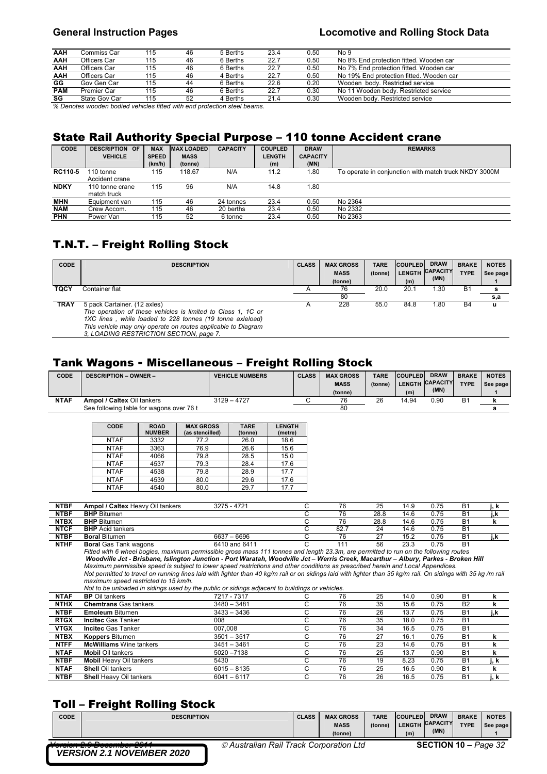| AAH<br>6 Berths<br>No 8% End protection fitted. Wooden car<br>Officers Car<br>115<br>22.7<br>46<br>0.50<br>No 7% End protection fitted. Wooden car<br>AAH<br>Officers Car<br>6 Berths<br>115<br>22.7<br>0.50<br>46 |  |
|--------------------------------------------------------------------------------------------------------------------------------------------------------------------------------------------------------------------|--|
|                                                                                                                                                                                                                    |  |
|                                                                                                                                                                                                                    |  |
| AAH<br>No 19% End protection fitted. Wooden car<br>Officers Car<br>0.50<br>115<br>22.7<br>46<br>4 Berths                                                                                                           |  |
| GG<br>Gov Gen Car<br>Wooden body. Restricted service<br>6 Berths<br>0.20<br>115<br>22.6<br>44                                                                                                                      |  |
| <b>PAM</b><br>No 11 Wooden body. Restricted service<br>Premier Car<br>6 Berths<br>22.7<br>0.30<br>115<br>46                                                                                                        |  |
| SG<br>State Gov Car<br>Wooden body. Restricted service<br>0.30<br>52<br>115<br>4 Berths<br>21.4                                                                                                                    |  |

*% Denotes wooden bodied vehicles fitted with end protection steel beams.* 

## State Rail Authority Special Purpose – 110 tonne Accident crane

| <b>CODE</b> | <b>DESCRIPTION OF</b>          | <b>MAX</b>   | <b>MAX LOADED</b> | <b>CAPACITY</b> | <b>COUPLED</b> | <b>DRAW</b>     | <b>REMARKS</b>                                        |
|-------------|--------------------------------|--------------|-------------------|-----------------|----------------|-----------------|-------------------------------------------------------|
|             | <b>VEHICLE</b>                 | <b>SPEED</b> | <b>MASS</b>       |                 | <b>LENGTH</b>  | <b>CAPACITY</b> |                                                       |
|             |                                | (km/h)       | (tonne)           |                 | (m)            | (MN)            |                                                       |
| RC110-5     | 110 tonne<br>Accident crane    | 115          | 118.67            | N/A             | 11.2           | 1.80            | To operate in conjunction with match truck NKDY 3000M |
| <b>NDKY</b> | 110 tonne crane<br>match truck | 115          | 96                | N/A             | 14.8           | 1.80            |                                                       |
| <b>MHN</b>  | Equipment van                  | 115          | 46                | 24 tonnes       | 23.4           | 0.50            | No 2364                                               |
| <b>NAM</b>  | Crew Accom.                    | 115          | 46                | 20 berths       | 23.4           | 0.50            | No 2332                                               |
| <b>PHN</b>  | Power Van                      | 115          | 52                | 6 tonne         | 23.4           | 0.50            | No 2363                                               |

# T.N.T. – Freight Rolling Stock

| <b>CODE</b> | <b>DESCRIPTION</b>                                            | <b>CLASS</b> | <b>MAX GROSS</b> | <b>TARE</b> | <b>COUPLED</b> | <b>DRAW</b>     | <b>BRAKE</b> | <b>NOTES</b> |
|-------------|---------------------------------------------------------------|--------------|------------------|-------------|----------------|-----------------|--------------|--------------|
|             |                                                               |              | <b>MASS</b>      | (tonne)     | <b>LENGTH</b>  | <b>CAPACITY</b> | <b>TYPE</b>  | See page     |
|             |                                                               |              | (tonne)          |             | (m)            | (MN)            |              |              |
| TQCY        | Container flat                                                |              | 76               | 20.0        | 20.1           | .30             | <b>B1</b>    |              |
|             |                                                               |              | 80               |             |                |                 |              | s,a          |
| <b>TRAY</b> | 5 pack Cartainer. (12 axles)                                  | $\mathsf{A}$ | 228              | 55.0        | 84.8           | .80             | B4           | u            |
|             | The operation of these vehicles is limited to Class 1, 1C or  |              |                  |             |                |                 |              |              |
|             | 1XC lines, while loaded to 228 tonnes (19 tonne axleload)     |              |                  |             |                |                 |              |              |
|             | This vehicle may only operate on routes applicable to Diagram |              |                  |             |                |                 |              |              |
|             | 3, LOADING RESTRICTION SECTION, page 7.                       |              |                  |             |                |                 |              |              |

# Tank Wagons - Miscellaneous – Freight Rolling Stock

| CODE        | <b>DESCRIPTION - OWNER -</b>             | <b>VEHICLE NUMBERS</b> | <b>CLASS</b> | <b>MAX GROSS</b><br><b>MASS</b><br>(tonne) | <b>TARE</b><br>(tonne) | <b>COUPLED</b><br>(m) | <b>DRAW</b><br>LENGTH CAPACITY<br>(MN) | <b>BRAKE</b><br><b>TYPE</b> | <b>NOTES</b><br>See page |
|-------------|------------------------------------------|------------------------|--------------|--------------------------------------------|------------------------|-----------------------|----------------------------------------|-----------------------------|--------------------------|
| <b>NTAF</b> | <b>Ampol / Caltex Oil tankers</b>        | $3129 - 4727$          |              | 76                                         | 26                     | 14.94                 | 0.90                                   | Β1                          |                          |
|             | See following table for wagons over 76 t |                        |              | 80                                         |                        |                       |                                        |                             |                          |

| <b>CODE</b> | <b>ROAD</b><br><b>NUMBER</b> | <b>MAX GROSS</b><br>(as stencilled) | <b>TARE</b><br>(tonne) | <b>LENGTH</b><br>(metre) |
|-------------|------------------------------|-------------------------------------|------------------------|--------------------------|
| <b>NTAF</b> | 3332                         | 77.2                                | 26.0                   | 18.6                     |
| <b>NTAF</b> | 3363                         | 76.9                                | 26.6                   | 15.6                     |
| <b>NTAF</b> | 4066                         | 79.8                                | 28.5                   | 15.0                     |
| <b>NTAF</b> | 4537                         | 79.3                                | 28.4                   | 17.6                     |
| <b>NTAF</b> | 4538                         | 79.8                                | 28.9                   | 17.7                     |
| <b>NTAF</b> | 4539                         | 80.0                                | 29.6                   | 17.6                     |
| <b>NTAF</b> | 4540                         | 80.0                                | 29.7                   | 17.7                     |

| <b>NTBF</b> | <b>Ampol / Caltex Heavy Oil tankers</b> | 3275 - 4721   | 76   | 25   | 14.9 | 0.75 | Β1        |     |
|-------------|-----------------------------------------|---------------|------|------|------|------|-----------|-----|
| <b>NTBF</b> | <b>BHP</b> Bitumen                      |               | 76   | 28.8 | 14.6 | 0.75 | Β1        | j,k |
| <b>NTBX</b> | <b>BHP</b> Bitumen                      |               | 76   | 28.8 | 14.6 | 0.75 | Β1        |     |
| <b>NTCF</b> | <b>BHP</b> Acid tankers                 |               | 82.7 | 24   | 14.6 | 0.75 | <b>B1</b> |     |
| <b>NTBF</b> | <b>Boral Bitumen</b>                    | 6637 - 6696   | 76   | 27   | 15.2 | 0.75 | Β1        | j,k |
| <b>NTHF</b> | <b>Boral</b> Gas Tank wagons            | 6410 and 6411 | 11'  | 56   | 23.3 | 0.75 | <b>B1</b> |     |

Fitted with 6 wheel bogies, maximum permissible gross mass 111 tonnes and length 23.3m, are permitted to run on the following routes<br>Woodville Jct - Brisbane, Islington Junction - Port Waratah, Woodville Jct – Werris Creek *Maximum permissible speed is subject to lower speed restrictions and other conditions as prescribed herein and Local Appendices. Not permitted to travel on running lines laid with lighter than 40 kg/m rail or on sidings laid with lighter than 35 kg/m rail. On sidings with 35 kg /m rail maximum speed restricted to 15 km/h.* 

*Not to be unloaded in sidings used by the public or sidings adjacent to buildings or vehicles.*

|             | Not to be unloaded in sidings used by the public or sidings adjacent to buildings or vehicles. |               |                      |    |    |      |      |           |      |  |  |  |
|-------------|------------------------------------------------------------------------------------------------|---------------|----------------------|----|----|------|------|-----------|------|--|--|--|
| <b>NTAF</b> | <b>BP</b> Oil tankers                                                                          | 7217 - 7317   |                      | 76 | 25 | 14.0 | 0.90 | <b>B1</b> |      |  |  |  |
| <b>NTHX</b> | <b>Chemtrans Gas tankers</b>                                                                   | $3480 - 3481$ | ີ                    | 76 | 35 | 15.6 | 0.75 | <b>B2</b> |      |  |  |  |
| <b>NTBF</b> | <b>Emoleum Bitumen</b>                                                                         | $3433 - 3436$ | U                    | 76 | 26 | 13.7 | 0.75 | B1        | j,k  |  |  |  |
| <b>RTGX</b> | <b>Incitec Gas Tanker</b>                                                                      | 008           | U                    | 76 | 35 | 18.0 | 0.75 | <b>B1</b> |      |  |  |  |
| <b>VTGX</b> | <b>Incitec Gas Tanker</b>                                                                      | 007.008       |                      | 76 | 34 | 16.5 | 0.75 | <b>B1</b> |      |  |  |  |
| <b>NTBX</b> | <b>Koppers Bitumen</b>                                                                         | $3501 - 3517$ | U                    | 76 | 27 | 16.1 | 0.75 | <b>B1</b> |      |  |  |  |
| <b>NTFF</b> | <b>McWilliams</b> Wine tankers                                                                 | $3451 - 3461$ |                      | 76 | 23 | 14.6 | 0.75 | <b>B1</b> |      |  |  |  |
| <b>NTAF</b> | <b>Mobil Oil tankers</b>                                                                       | $5020 - 7138$ |                      | 76 | 25 | 13.7 | 0.90 | <b>B1</b> |      |  |  |  |
| <b>NTBF</b> | <b>Mobil Heavy Oil tankers</b>                                                                 | 5430          | $\mathbf{\tilde{v}}$ | 76 | 19 | 8.23 | 0.75 | <b>B1</b> | i. k |  |  |  |
| <b>NTAF</b> | <b>Shell Oil tankers</b>                                                                       | $6015 - 8135$ | ີ                    | 76 | 25 | 16.5 | 0.90 | <b>B1</b> |      |  |  |  |
| <b>NTBF</b> | <b>Shell Heavy Oil tankers</b>                                                                 | $6041 - 6117$ | U                    | 76 | 26 | 16.5 | 0.75 | <b>B1</b> | i. k |  |  |  |

# Toll – Freight Rolling Stock

| -----       |                                                                                                        |                                         |              |                  |             |                |                                |              |              |
|-------------|--------------------------------------------------------------------------------------------------------|-----------------------------------------|--------------|------------------|-------------|----------------|--------------------------------|--------------|--------------|
| <b>CODE</b> | <b>DESCRIPTION</b>                                                                                     |                                         | <b>CLASS</b> | <b>MAX GROSS</b> | <b>TARE</b> | <b>COUPLED</b> | <b>DRAW</b><br>LENGTH CAPACITY | <b>BRAKE</b> | <b>NOTES</b> |
|             |                                                                                                        |                                         |              | <b>MASS</b>      | (tonne)     |                |                                | <b>TYPE</b>  | See page     |
|             |                                                                                                        |                                         |              | (tonne)          |             | (m)            | (MN)                           |              |              |
|             | $\sim$<br>$\sim$ $\sim$ $\sim$<br><u>ruolui 2.9 Puulilluu 2011</u><br><b>VERSION 2.1 NOVEMBER 2020</b> | © Australian Rail Track Corporation Ltd |              |                  |             |                | <b>SECTION 10 – Page 32</b>    |              |              |